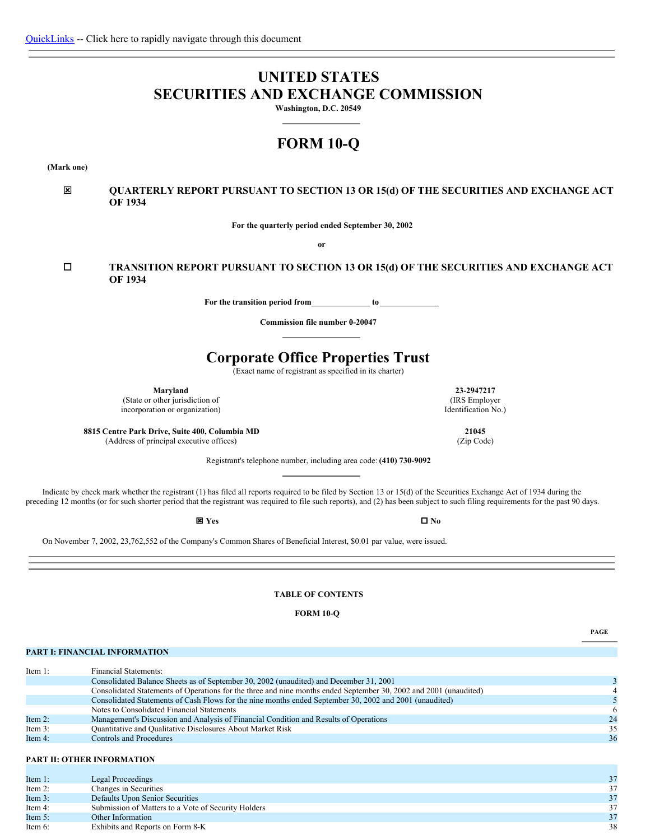# **UNITED STATES SECURITIES AND EXCHANGE COMMISSION**

**Washington, D.C. 20549**

# **FORM 10-Q**

**(Mark one)**

# ý **QUARTERLY REPORT PURSUANT TO SECTION 13 OR 15(d) OF THE SECURITIES AND EXCHANGE ACT OF 1934**

**For the quarterly period ended September 30, 2002**

**or**

# o **TRANSITION REPORT PURSUANT TO SECTION 13 OR 15(d) OF THE SECURITIES AND EXCHANGE ACT OF 1934**

**For the transition period from to**

**Commission file number 0-20047**

# **Corporate Office Properties Trust**

(Exact name of registrant as specified in its charter)

**Maryland**

(State or other jurisdiction of incorporation or organization)

**8815 Centre Park Drive, Suite 400, Columbia MD** (Address of principal executive offices)

Registrant's telephone number, including area code: **(410) 730-9092**

Indicate by check mark whether the registrant (1) has filed all reports required to be filed by Section 13 or 15(d) of the Securities Exchange Act of 1934 during the preceding 12 months (or for such shorter period that the registrant was required to file such reports), and (2) has been subject to such filing requirements for the past 90 days.

 $\blacksquare$  Yes  $\blacksquare$  No

On November 7, 2002, 23,762,552 of the Company's Common Shares of Beneficial Interest, \$0.01 par value, were issued.

**TABLE OF CONTENTS**

<span id="page-0-0"></span>**FORM 10-Q**

# **PART I: FINANCIAL INFORMATION**

| Item 1:    | Financial Statements:                                                                                             |    |
|------------|-------------------------------------------------------------------------------------------------------------------|----|
|            | Consolidated Balance Sheets as of September 30, 2002 (unaudited) and December 31, 2001                            |    |
|            | Consolidated Statements of Operations for the three and nine months ended September 30, 2002 and 2001 (unaudited) |    |
|            | Consolidated Statements of Cash Flows for the nine months ended September 30, 2002 and 2001 (unaudited)           |    |
|            | Notes to Consolidated Financial Statements                                                                        | 6  |
| Item $2$ : | Management's Discussion and Analysis of Financial Condition and Results of Operations                             | 24 |
| Item $3$ : | Quantitative and Qualitative Disclosures About Market Risk                                                        | 35 |
| Item 4:    | <b>Controls and Procedures</b>                                                                                    | 36 |

# **PART II: OTHER INFORMATION**

| Item 1:    | Legal Proceedings                                   | 37 |
|------------|-----------------------------------------------------|----|
| Item 2:    | Changes in Securities                               | 37 |
| Item $3$ : | Defaults Upon Senior Securities                     | 37 |
| Item 4:    | Submission of Matters to a Vote of Security Holders | 37 |
| Item $5$ : | Other Information                                   | 37 |
| Item 6:    | Exhibits and Reports on Form 8-K                    | 38 |

**23-2947217** (IRS Employer Identification No.)

> **21045** (Zip Code)

**PAGE**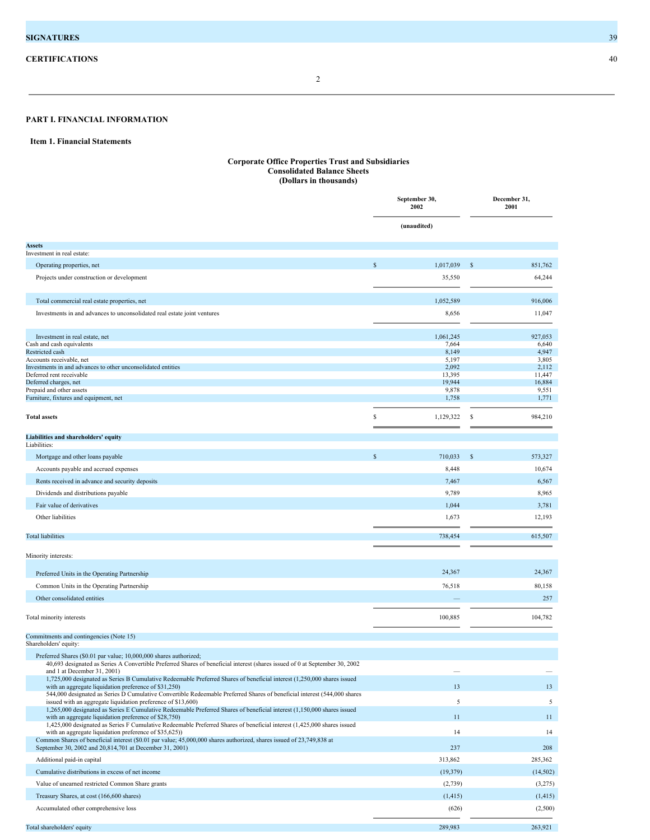# <span id="page-1-0"></span>**PART I. FINANCIAL INFORMATION**

# <span id="page-1-1"></span>**Item 1. Financial Statements**

#### **Corporate Office Properties Trust and Subsidiaries Consolidated Balance Sheets (Dollars in thousands)**

2

|                                                                                                                                                                                          | September 30,<br>2002     | December 31,<br>2001    |
|------------------------------------------------------------------------------------------------------------------------------------------------------------------------------------------|---------------------------|-------------------------|
|                                                                                                                                                                                          | (unaudited)               |                         |
| <b>Assets</b>                                                                                                                                                                            |                           |                         |
| Investment in real estate:                                                                                                                                                               |                           |                         |
| Operating properties, net                                                                                                                                                                | $\mathbb{S}$<br>1,017,039 | <b>S</b><br>851,762     |
| Projects under construction or development                                                                                                                                               | 35,550                    | 64,244                  |
| Total commercial real estate properties, net                                                                                                                                             | 1,052,589                 | 916,006                 |
| Investments in and advances to unconsolidated real estate joint ventures                                                                                                                 | 8,656                     | 11,047                  |
| Investment in real estate, net                                                                                                                                                           | 1,061,245                 | 927,053                 |
| Cash and cash equivalents<br>Restricted cash                                                                                                                                             | 7,664<br>8,149            | 6,640<br>4,947          |
| Accounts receivable, net                                                                                                                                                                 | 5,197                     | 3,805                   |
| Investments in and advances to other unconsolidated entities                                                                                                                             | 2,092                     | 2,112                   |
| Deferred rent receivable<br>Deferred charges, net                                                                                                                                        | 13,395<br>19,944          | 11,447<br>16,884        |
| Prepaid and other assets                                                                                                                                                                 | 9,878                     | 9,551                   |
| Furniture, fixtures and equipment, net                                                                                                                                                   | 1,758                     | 1,771                   |
|                                                                                                                                                                                          |                           |                         |
| <b>Total assets</b>                                                                                                                                                                      | \$<br>1,129,322           | S<br>984,210            |
| Liabilities and shareholders' equity<br>Liabilities:                                                                                                                                     |                           |                         |
| Mortgage and other loans payable                                                                                                                                                         | $\mathbb{S}$<br>710,033   | $\mathbb{S}$<br>573,327 |
| Accounts payable and accrued expenses                                                                                                                                                    | 8,448                     | 10,674                  |
| Rents received in advance and security deposits                                                                                                                                          | 7,467                     | 6,567                   |
| Dividends and distributions payable                                                                                                                                                      | 9,789                     | 8,965                   |
| Fair value of derivatives                                                                                                                                                                |                           |                         |
| Other liabilities                                                                                                                                                                        | 1,044<br>1,673            | 3,781<br>12,193         |
|                                                                                                                                                                                          |                           |                         |
| <b>Total liabilities</b>                                                                                                                                                                 | 738,454                   | 615,507                 |
| Minority interests:                                                                                                                                                                      |                           |                         |
| Preferred Units in the Operating Partnership                                                                                                                                             | 24,367                    | 24,367                  |
| Common Units in the Operating Partnership                                                                                                                                                | 76,518                    | 80,158                  |
| Other consolidated entities                                                                                                                                                              |                           | 257                     |
| Total minority interests                                                                                                                                                                 | 100,885                   | 104,782                 |
|                                                                                                                                                                                          |                           |                         |
| Commitments and contingencies (Note 15)<br>Shareholders' equity:                                                                                                                         |                           |                         |
| Preferred Shares (\$0.01 par value; 10,000,000 shares authorized;                                                                                                                        |                           |                         |
| 40,693 designated as Series A Convertible Preferred Shares of beneficial interest (shares issued of 0 at September 30, 2002<br>and 1 at December 31, 2001)                               |                           |                         |
| 1,725,000 designated as Series B Cumulative Redeemable Preferred Shares of beneficial interest (1,250,000 shares issued<br>with an aggregate liquidation preference of \$31,250)         | 13                        | 13                      |
| 544,000 designated as Series D Cumulative Convertible Redeemable Preferred Shares of beneficial interest (544,000 shares<br>issued with an aggregate liquidation preference of \$13,600) | $\sqrt{5}$                | 5                       |
| 1,265,000 designated as Series E Cumulative Redeemable Preferred Shares of beneficial interest (1,150,000 shares issued<br>with an aggregate liquidation preference of \$28,750)         | 11                        | 11                      |
| 1,425,000 designated as Series F Cumulative Redeemable Preferred Shares of beneficial interest (1,425,000 shares issued<br>with an aggregate liquidation preference of \$35,625))        | 14                        | 14                      |
| Common Shares of beneficial interest (\$0.01 par value; 45,000,000 shares authorized, shares issued of 23,749,838 at<br>September 30, 2002 and 20,814,701 at December 31, 2001)          | 237                       | 208                     |
| Additional paid-in capital                                                                                                                                                               | 313,862                   | 285,362                 |
| Cumulative distributions in excess of net income                                                                                                                                         | (19, 379)                 | (14, 502)               |
| Value of unearned restricted Common Share grants                                                                                                                                         | (2,739)                   | (3,275)                 |
|                                                                                                                                                                                          |                           |                         |
| Treasury Shares, at cost (166,600 shares)                                                                                                                                                | (1, 415)                  | (1, 415)                |
| Accumulated other comprehensive loss                                                                                                                                                     | (626)                     | (2,500)                 |
| Total shareholders' equity                                                                                                                                                               | 289,983                   | 263,921                 |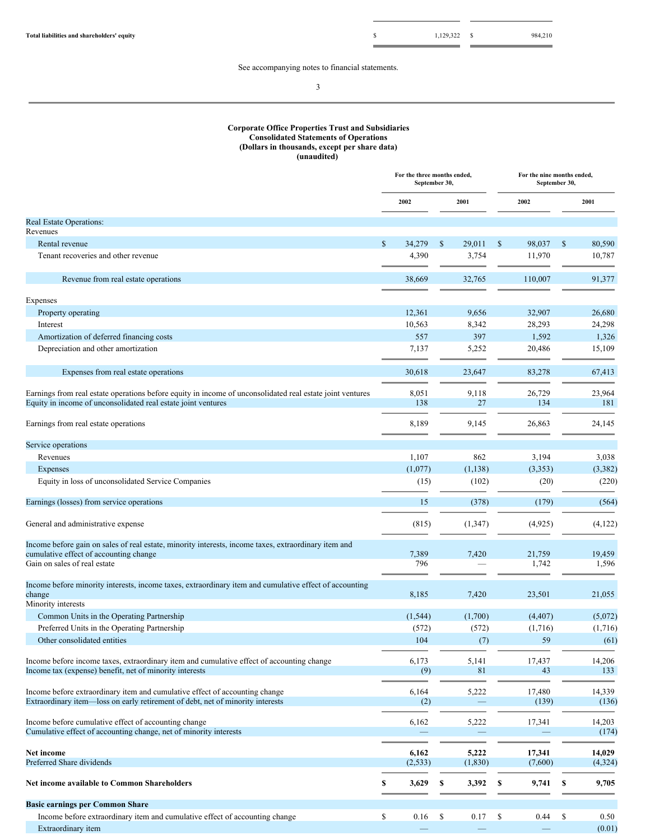×

# See accompanying notes to financial statements.

<span id="page-2-0"></span>3

### **Corporate Office Properties Trust and Subsidiaries Consolidated Statements of Operations (Dollars in thousands, except per share data) (unaudited)**

|                                                                                                                                                               | For the three months ended,<br>September 30, |              |              | For the nine months ended,<br>September 30, |               |                 |              |                 |
|---------------------------------------------------------------------------------------------------------------------------------------------------------------|----------------------------------------------|--------------|--------------|---------------------------------------------|---------------|-----------------|--------------|-----------------|
|                                                                                                                                                               |                                              | 2002         | 2001         |                                             | 2002          |                 |              | 2001            |
| Real Estate Operations:                                                                                                                                       |                                              |              |              |                                             |               |                 |              |                 |
| Revenues                                                                                                                                                      |                                              |              |              |                                             |               |                 |              |                 |
| Rental revenue                                                                                                                                                | $\mathbb{S}$                                 | 34,279       | $\mathbb{S}$ | 29,011                                      | $\mathcal{S}$ | 98,037          | $\mathbb{S}$ | 80,590          |
| Tenant recoveries and other revenue                                                                                                                           |                                              | 4,390        |              | 3,754                                       |               | 11,970          |              | 10,787          |
| Revenue from real estate operations                                                                                                                           |                                              | 38,669       |              | 32,765                                      |               | 110,007         |              | 91,377          |
| Expenses                                                                                                                                                      |                                              |              |              |                                             |               |                 |              |                 |
| Property operating                                                                                                                                            |                                              | 12,361       |              | 9,656                                       |               | 32,907          |              | 26,680          |
| Interest                                                                                                                                                      |                                              | 10,563       |              | 8,342                                       |               | 28,293          |              | 24,298          |
| Amortization of deferred financing costs                                                                                                                      |                                              | 557          |              | 397                                         |               | 1,592           |              | 1,326           |
|                                                                                                                                                               |                                              |              |              |                                             |               |                 |              |                 |
| Depreciation and other amortization                                                                                                                           |                                              | 7,137        |              | 5,252                                       |               | 20,486          |              | 15,109          |
| Expenses from real estate operations                                                                                                                          |                                              | 30,618       |              | 23,647                                      |               | 83,278          |              | 67,413          |
| Earnings from real estate operations before equity in income of unconsolidated real estate joint ventures                                                     |                                              | 8,051        |              | 9,118                                       |               | 26,729          |              | 23,964          |
| Equity in income of unconsolidated real estate joint ventures                                                                                                 |                                              | 138          |              | 27                                          |               | 134             |              | 181             |
| Earnings from real estate operations                                                                                                                          |                                              | 8,189        |              | 9,145                                       |               | 26,863          |              | 24,145          |
|                                                                                                                                                               |                                              |              |              |                                             |               |                 |              |                 |
| Service operations                                                                                                                                            |                                              |              |              |                                             |               |                 |              |                 |
| Revenues                                                                                                                                                      |                                              | 1,107        |              | 862                                         |               | 3,194           |              | 3,038           |
| Expenses                                                                                                                                                      |                                              | (1,077)      |              | (1, 138)                                    |               | (3,353)         |              | (3, 382)        |
| Equity in loss of unconsolidated Service Companies                                                                                                            |                                              | (15)         |              | (102)                                       |               | (20)            |              | (220)           |
| Earnings (losses) from service operations                                                                                                                     |                                              | 15           |              | (378)                                       |               | (179)           |              | (564)           |
| General and administrative expense                                                                                                                            |                                              | (815)        |              | (1, 347)                                    |               | (4,925)         |              | (4,122)         |
| Income before gain on sales of real estate, minority interests, income taxes, extraordinary item and                                                          |                                              |              |              |                                             |               |                 |              |                 |
| cumulative effect of accounting change<br>Gain on sales of real estate                                                                                        |                                              | 7,389<br>796 |              | 7,420                                       |               | 21,759<br>1,742 |              | 19,459<br>1,596 |
|                                                                                                                                                               |                                              |              |              |                                             |               |                 |              |                 |
| Income before minority interests, income taxes, extraordinary item and cumulative effect of accounting<br>change<br>Minority interests                        |                                              | 8,185        |              | 7,420                                       |               | 23,501          |              | 21,055          |
| Common Units in the Operating Partnership                                                                                                                     |                                              | (1, 544)     |              | (1,700)                                     |               | (4, 407)        |              | (5,072)         |
| Preferred Units in the Operating Partnership                                                                                                                  |                                              | (572)        |              | (572)                                       |               | (1,716)         |              | (1,716)         |
| Other consolidated entities                                                                                                                                   |                                              | 104          |              | (7)                                         |               | 59              |              | (61)            |
|                                                                                                                                                               |                                              |              |              |                                             |               |                 |              |                 |
| Income before income taxes, extraordinary item and cumulative effect of accounting change<br>Income tax (expense) benefit, net of minority interests          |                                              | 6,173<br>(9) |              | 5,141<br>81                                 |               | 17,437<br>43    |              | 14,206<br>133   |
|                                                                                                                                                               |                                              |              |              |                                             |               |                 |              |                 |
| Income before extraordinary item and cumulative effect of accounting change<br>Extraordinary item—loss on early retirement of debt, net of minority interests |                                              | 6,164<br>(2) |              | 5,222                                       |               | 17,480<br>(139) |              | 14,339<br>(136) |
|                                                                                                                                                               |                                              |              |              |                                             |               |                 |              |                 |
| Income before cumulative effect of accounting change                                                                                                          |                                              | 6,162        |              | 5,222                                       |               | 17,341          |              | 14,203          |
| Cumulative effect of accounting change, net of minority interests                                                                                             |                                              |              |              |                                             |               |                 |              | (174)           |
| Net income                                                                                                                                                    |                                              | 6,162        |              | 5,222                                       |               | 17,341          |              | 14,029          |
| Preferred Share dividends                                                                                                                                     |                                              | (2, 533)     |              | (1,830)                                     |               | (7,600)         |              | (4, 324)        |
| Net income available to Common Shareholders                                                                                                                   | \$                                           | 3,629        | \$           | 3,392                                       | \$            | 9,741           | \$           | 9,705           |
| <b>Basic earnings per Common Share</b>                                                                                                                        |                                              |              |              |                                             |               |                 |              |                 |
| Income before extraordinary item and cumulative effect of accounting change                                                                                   | \$                                           | 0.16         | -S           | 0.17                                        | \$            | 0.44            | \$           | 0.50            |
| Extraordinary item                                                                                                                                            |                                              |              |              |                                             |               |                 |              | (0.01)          |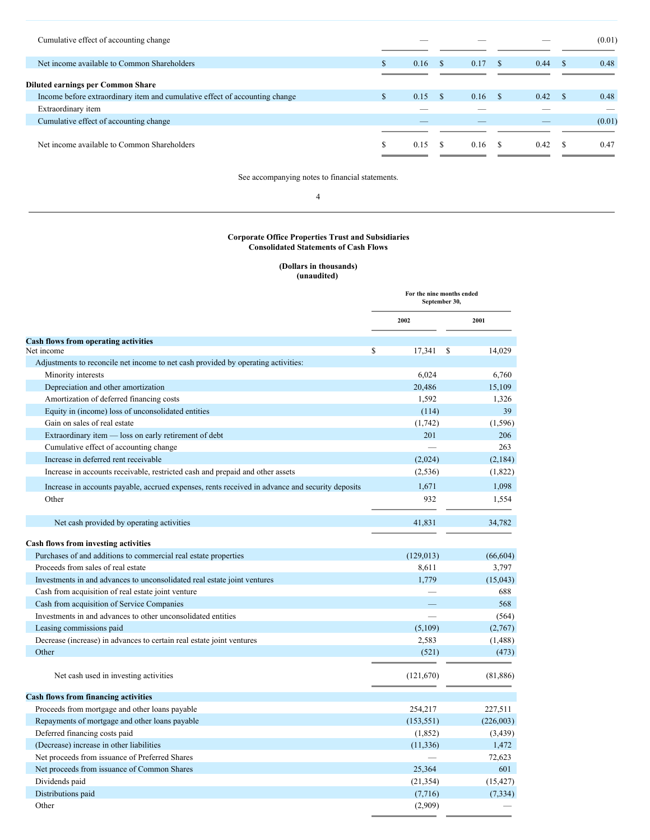| Cumulative effect of accounting change                                      |  |      |      |      |    |      |  |        |  | (0.01) |  |
|-----------------------------------------------------------------------------|--|------|------|------|----|------|--|--------|--|--------|--|
| Net income available to Common Shareholders                                 |  | 0.16 | - \$ | 0.17 |    | 0.44 |  | 0.48   |  |        |  |
| <b>Diluted earnings per Common Share</b>                                    |  |      |      |      |    |      |  |        |  |        |  |
| Income before extraordinary item and cumulative effect of accounting change |  | 0.15 | - \$ | 0.16 |    | 0.42 |  | 0.48   |  |        |  |
| Extraordinary item                                                          |  |      |      |      |    |      |  |        |  |        |  |
| Cumulative effect of accounting change                                      |  | _    |      | $-$  |    | $-$  |  | (0.01) |  |        |  |
|                                                                             |  |      |      |      |    |      |  |        |  |        |  |
| Net income available to Common Shareholders                                 |  | 0.15 | - S  | 0.16 | -8 | 0.42 |  | 0.47   |  |        |  |
|                                                                             |  |      |      |      |    |      |  |        |  |        |  |

See accompanying notes to financial statements.

<span id="page-3-0"></span>4

#### **Corporate Office Properties Trust and Subsidiaries Consolidated Statements of Cash Flows**

**(Dollars in thousands) (unaudited)**

|                                                                                                 | For the nine months ended<br>September 30, |   |           |  |  |
|-------------------------------------------------------------------------------------------------|--------------------------------------------|---|-----------|--|--|
|                                                                                                 | 2002                                       |   | 2001      |  |  |
| <b>Cash flows from operating activities</b>                                                     |                                            |   |           |  |  |
| Net income                                                                                      | \$<br>17,341                               | S | 14,029    |  |  |
| Adjustments to reconcile net income to net cash provided by operating activities:               |                                            |   |           |  |  |
| Minority interests                                                                              | 6,024                                      |   | 6,760     |  |  |
| Depreciation and other amortization                                                             | 20,486                                     |   | 15,109    |  |  |
| Amortization of deferred financing costs                                                        | 1,592                                      |   | 1,326     |  |  |
| Equity in (income) loss of unconsolidated entities                                              | (114)                                      |   | 39        |  |  |
| Gain on sales of real estate                                                                    | (1,742)                                    |   | (1, 596)  |  |  |
| Extraordinary item — loss on early retirement of debt                                           | 201                                        |   | 206       |  |  |
| Cumulative effect of accounting change                                                          |                                            |   | 263       |  |  |
| Increase in deferred rent receivable                                                            | (2,024)                                    |   | (2, 184)  |  |  |
| Increase in accounts receivable, restricted cash and prepaid and other assets                   | (2,536)                                    |   | (1,822)   |  |  |
| Increase in accounts payable, accrued expenses, rents received in advance and security deposits | 1,671                                      |   | 1,098     |  |  |
| Other                                                                                           | 932                                        |   | 1,554     |  |  |
| Net cash provided by operating activities                                                       | 41,831                                     |   | 34,782    |  |  |
| Cash flows from investing activities                                                            |                                            |   |           |  |  |
| Purchases of and additions to commercial real estate properties                                 | (129, 013)                                 |   | (66, 604) |  |  |
| Proceeds from sales of real estate                                                              | 8,611                                      |   | 3,797     |  |  |
| Investments in and advances to unconsolidated real estate joint ventures                        | 1.779                                      |   | (15,043)  |  |  |
| Cash from acquisition of real estate joint venture                                              |                                            |   | 688       |  |  |
| Cash from acquisition of Service Companies                                                      |                                            |   | 568       |  |  |
| Investments in and advances to other unconsolidated entities                                    |                                            |   | (564)     |  |  |
| Leasing commissions paid                                                                        | (5,109)                                    |   | (2,767)   |  |  |
| Decrease (increase) in advances to certain real estate joint ventures                           | 2,583                                      |   | (1,488)   |  |  |
| Other                                                                                           | (521)                                      |   | (473)     |  |  |
| Net cash used in investing activities                                                           | (121, 670)                                 |   | (81, 886) |  |  |
| Cash flows from financing activities                                                            |                                            |   |           |  |  |
| Proceeds from mortgage and other loans payable                                                  | 254,217                                    |   | 227,511   |  |  |
| Repayments of mortgage and other loans payable                                                  | (153, 551)                                 |   | (226,003) |  |  |
| Deferred financing costs paid                                                                   | (1, 852)                                   |   | (3, 439)  |  |  |
| (Decrease) increase in other liabilities                                                        | (11, 336)                                  |   | 1,472     |  |  |
| Net proceeds from issuance of Preferred Shares                                                  |                                            |   | 72,623    |  |  |
| Net proceeds from issuance of Common Shares                                                     | 25,364                                     |   | 601       |  |  |
| Dividends paid                                                                                  | (21, 354)                                  |   | (15, 427) |  |  |
| Distributions paid                                                                              | (7,716)                                    |   | (7, 334)  |  |  |
| Other                                                                                           | (2,909)                                    |   |           |  |  |
|                                                                                                 |                                            |   |           |  |  |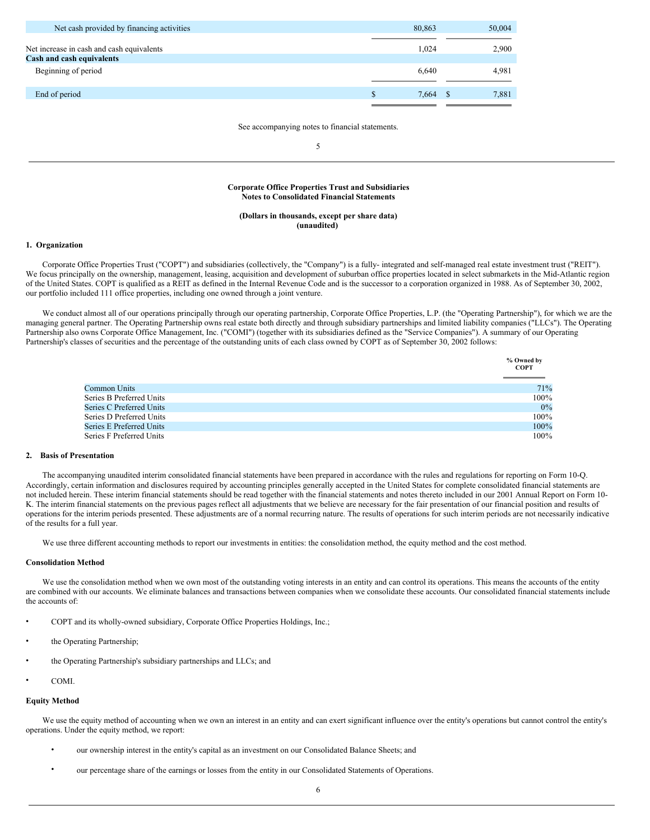| Net cash provided by financing activities | 80,863 | 50,004      |
|-------------------------------------------|--------|-------------|
| Net increase in cash and cash equivalents | 1.024  | 2,900       |
| Cash and cash equivalents                 |        |             |
| Beginning of period                       | 6,640  | 4,981       |
|                                           |        |             |
| End of period                             | 7.664  | 7,881<br>-S |
|                                           |        |             |

See accompanying notes to financial statements.

<span id="page-4-0"></span>5

### **Corporate Office Properties Trust and Subsidiaries Notes to Consolidated Financial Statements**

# **(Dollars in thousands, except per share data) (unaudited)**

### **1. Organization**

Corporate Office Properties Trust ("COPT") and subsidiaries (collectively, the "Company") is a fully- integrated and self-managed real estate investment trust ("REIT"). We focus principally on the ownership, management, leasing, acquisition and development of suburban office properties located in select submarkets in the Mid-Atlantic region of the United States. COPT is qualified as a REIT as defined in the Internal Revenue Code and is the successor to a corporation organized in 1988. As of September 30, 2002, our portfolio included 111 office properties, including one owned through a joint venture.

We conduct almost all of our operations principally through our operating partnership, Corporate Office Properties, L.P. (the "Operating Partnership"), for which we are the managing general partner. The Operating Partnership owns real estate both directly and through subsidiary partnerships and limited liability companies ("LLCs"). The Operating Partnership also owns Corporate Office Management, Inc. ("COMI") (together with its subsidiaries defined as the "Service Companies"). A summary of our Operating Partnership's classes of securities and the percentage of the outstanding units of each class owned by COPT as of September 30, 2002 follows:

|                          | % Owned by<br><b>COPT</b> |
|--------------------------|---------------------------|
|                          |                           |
| Common Units             | 71%                       |
| Series B Preferred Units | $100\%$                   |
| Series C Preferred Units | $0\%$                     |
| Series D Preferred Units | $100\%$                   |
| Series E Preferred Units | 100%                      |
| Series F Preferred Units | $100\%$                   |

# **2. Basis of Presentation**

The accompanying unaudited interim consolidated financial statements have been prepared in accordance with the rules and regulations for reporting on Form 10-Q. Accordingly, certain information and disclosures required by accounting principles generally accepted in the United States for complete consolidated financial statements are not included herein. These interim financial statements should be read together with the financial statements and notes thereto included in our 2001 Annual Report on Form 10- K. The interim financial statements on the previous pages reflect all adjustments that we believe are necessary for the fair presentation of our financial position and results of operations for the interim periods presented. These adjustments are of a normal recurring nature. The results of operations for such interim periods are not necessarily indicative of the results for a full year.

We use three different accounting methods to report our investments in entities: the consolidation method, the equity method and the cost method.

# **Consolidation Method**

We use the consolidation method when we own most of the outstanding voting interests in an entity and can control its operations. This means the accounts of the entity are combined with our accounts. We eliminate balances and transactions between companies when we consolidate these accounts. Our consolidated financial statements include the accounts of:

- COPT and its wholly-owned subsidiary, Corporate Office Properties Holdings, Inc.;
- the Operating Partnership;
- the Operating Partnership's subsidiary partnerships and LLCs; and
- COMI.

# **Equity Method**

We use the equity method of accounting when we own an interest in an entity and can exert significant influence over the entity's operations but cannot control the entity's operations. Under the equity method, we report:

- our ownership interest in the entity's capital as an investment on our Consolidated Balance Sheets; and
- our percentage share of the earnings or losses from the entity in our Consolidated Statements of Operations.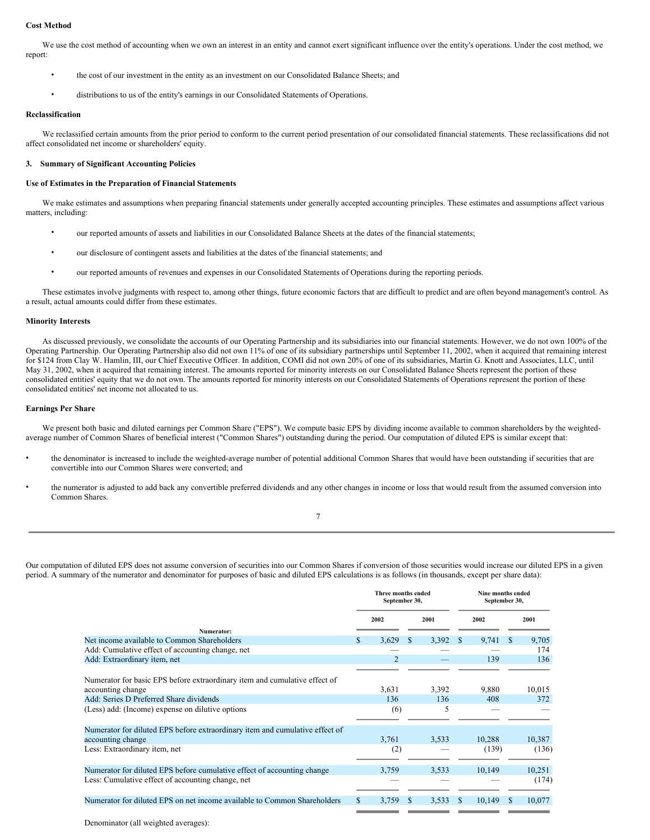### **Cost Method**

We use the cost method of accounting when we own an interest in an entity and cannot exert significant influence over the entity's operations. Under the cost method, we report:

- the cost of our investment in the entity as an investment on our Consolidated Balance Sheets; and
- distributions to us of the entity's earnings in our Consolidated Statements of Operations.

# **Reclassification**

We reclassified certain amounts from the prior period to conform to the current period presentation of our consolidated financial statements. These reclassifications did not affect consolidated net income or shareholders' equity.

# **3. Summary of Significant Accounting Policies**

### **Use of Estimates in the Preparation of Financial Statements**

We make estimates and assumptions when preparing financial statements under generally accepted accounting principles. These estimates and assumptions affect various matters, including:

- our reported amounts of assets and liabilities in our Consolidated Balance Sheets at the dates of the financial statements;
- our disclosure of contingent assets and liabilities at the dates of the financial statements; and
- our reported amounts of revenues and expenses in our Consolidated Statements of Operations during the reporting periods.

These estimates involve judgments with respect to, among other things, future economic factors that are difficult to predict and are often beyond management's control. As a result, actual amounts could differ from these estimates.

# **Minority Interests**

As discussed previously, we consolidate the accounts of our Operating Partnership and its subsidiaries into our financial statements. However, we do not own 100% of the Operating Partnership. Our Operating Partnership also did not own 11% of one of its subsidiary partnerships until September 11, 2002, when it acquired that remaining interest for \$124 from Clay W. Hamlin, III, our Chief Executive Officer. In addition, COMI did not own 20% of one of its subsidiaries, Martin G. Knott and Associates, LLC, until May 31, 2002, when it acquired that remaining interest. The amounts reported for minority interests on our Consolidated Balance Sheets represent the portion of these consolidated entities' equity that we do not own. The amounts reported for minority interests on our Consolidated Statements of Operations represent the portion of these consolidated entities' net income not allocated to us.

# **Earnings Per Share**

We present both basic and diluted earnings per Common Share ("EPS"). We compute basic EPS by dividing income available to common shareholders by the weightedaverage number of Common Shares of beneficial interest ("Common Shares") outstanding during the period. Our computation of diluted EPS is similar except that:

- the denominator is increased to include the weighted-average number of potential additional Common Shares that would have been outstanding if securities that are convertible into our Common Shares were converted; and
- the numerator is adjusted to add back any convertible preferred dividends and any other changes in income or loss that would result from the assumed conversion into Common Shares.

| I |  |
|---|--|

Our computation of diluted EPS does not assume conversion of securities into our Common Shares if conversion of those securities would increase our diluted EPS in a given period. A summary of the numerator and denominator for purposes of basic and diluted EPS calculations is as follows (in thousands, except per share data):

|                                                                              | Three months ended<br>September 30, |                |              |       |              | Nine months ended<br>September 30, |     |        |  |  |
|------------------------------------------------------------------------------|-------------------------------------|----------------|--------------|-------|--------------|------------------------------------|-----|--------|--|--|
|                                                                              |                                     | 2002           |              | 2001  |              | 2002                               |     | 2001   |  |  |
| Numerator:                                                                   |                                     |                |              |       |              |                                    |     |        |  |  |
| Net income available to Common Shareholders                                  | S                                   | 3,629          | <sup>S</sup> | 3,392 | <sup>S</sup> | 9,741                              | -S  | 9,705  |  |  |
| Add: Cumulative effect of accounting change, net                             |                                     |                |              |       |              |                                    |     | 174    |  |  |
| Add: Extraordinary item, net                                                 |                                     | $\overline{2}$ |              |       |              | 139                                |     | 136    |  |  |
|                                                                              |                                     |                |              |       |              |                                    |     |        |  |  |
| Numerator for basic EPS before extraordinary item and cumulative effect of   |                                     |                |              |       |              |                                    |     |        |  |  |
| accounting change                                                            |                                     | 3,631          |              | 3,392 |              | 9,880                              |     | 10,015 |  |  |
| Add: Series D Preferred Share dividends                                      |                                     | 136            |              | 136   |              | 408                                |     | 372    |  |  |
| (Less) add: (Income) expense on dilutive options                             |                                     | (6)            |              | 5     |              |                                    |     |        |  |  |
|                                                                              |                                     |                |              |       |              |                                    |     |        |  |  |
| Numerator for diluted EPS before extraordinary item and cumulative effect of |                                     |                |              |       |              |                                    |     |        |  |  |
| accounting change                                                            |                                     | 3,761          |              | 3,533 |              | 10,288                             |     | 10,387 |  |  |
| Less: Extraordinary item, net                                                |                                     | (2)            |              |       |              | (139)                              |     | (136)  |  |  |
|                                                                              |                                     |                |              |       |              |                                    |     |        |  |  |
| Numerator for diluted EPS before cumulative effect of accounting change      |                                     | 3,759          |              | 3,533 |              | 10,149                             |     | 10,251 |  |  |
| Less: Cumulative effect of accounting change, net                            |                                     |                |              |       |              |                                    |     | (174)  |  |  |
|                                                                              |                                     |                |              |       |              |                                    |     |        |  |  |
| Numerator for diluted EPS on net income available to Common Shareholders     | S.                                  | 3,759          | -\$          | 3,533 | <sup>S</sup> | 10,149                             | -SS | 10,077 |  |  |
|                                                                              |                                     |                |              |       |              |                                    |     |        |  |  |

Denominator (all weighted averages):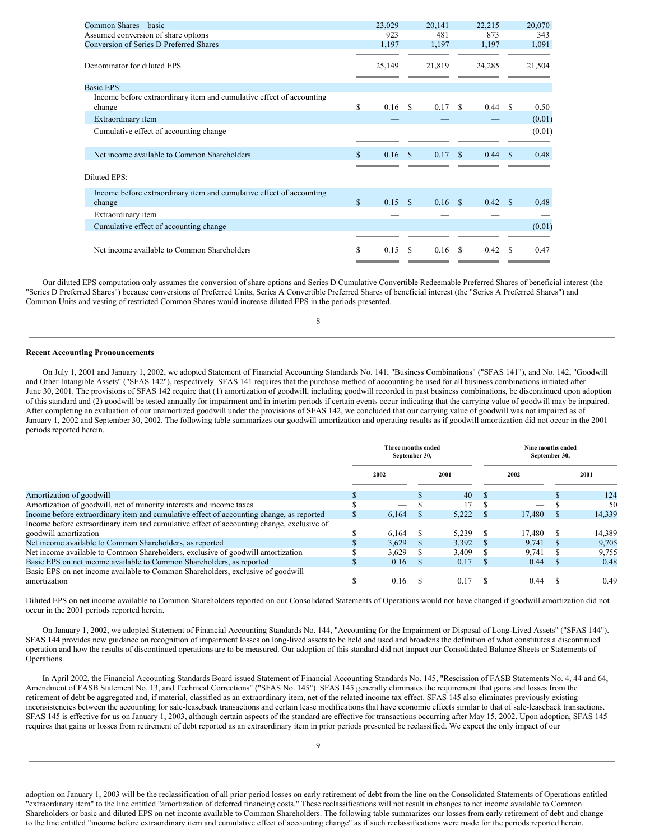| Common Shares—basic                                                            |              | 23,029 |            | 20,141    |               | 22,215          |               | 20,070 |
|--------------------------------------------------------------------------------|--------------|--------|------------|-----------|---------------|-----------------|---------------|--------|
| Assumed conversion of share options                                            |              | 923    |            | 481       |               | 873             |               | 343    |
| Conversion of Series D Preferred Shares                                        |              | 1,197  |            | 1,197     |               | 1,197           |               | 1,091  |
| Denominator for diluted EPS                                                    |              | 25,149 |            | 21,819    |               | 24,285          |               | 21,504 |
| <b>Basic EPS:</b>                                                              |              |        |            |           |               |                 |               |        |
| Income before extraordinary item and cumulative effect of accounting<br>change | S            | 0.16   | - \$       | 0.17S     |               | $0.44 \quad$ \$ |               | 0.50   |
| Extraordinary item                                                             |              |        |            |           |               |                 |               | (0.01) |
| Cumulative effect of accounting change                                         |              |        |            |           |               |                 |               | (0.01) |
|                                                                                |              |        |            |           |               |                 |               |        |
| Net income available to Common Shareholders                                    | $\mathbb{S}$ | 0.16   | - \$       | 0.17      | $\mathcal{S}$ | 0.44            | <sup>\$</sup> | 0.48   |
|                                                                                |              |        |            |           |               |                 |               |        |
| Diluted EPS:                                                                   |              |        |            |           |               |                 |               |        |
| Income before extraordinary item and cumulative effect of accounting           |              |        |            |           |               |                 |               |        |
| change                                                                         | $\mathbf S$  | 0.15   | $^{\circ}$ | $0.16$ \$ |               | $0.42 \quad$ \$ |               | 0.48   |
| Extraordinary item                                                             |              |        |            |           |               |                 |               |        |
| Cumulative effect of accounting change                                         |              |        |            |           |               |                 |               | (0.01) |
|                                                                                |              |        |            |           |               |                 |               |        |
| Net income available to Common Shareholders                                    | \$           | 0.15   | \$.        | 0.16      | <b>S</b>      | 0.42            | -S            | 0.47   |

Our diluted EPS computation only assumes the conversion of share options and Series D Cumulative Convertible Redeemable Preferred Shares of beneficial interest (the "Series D Preferred Shares") because conversions of Preferred Units, Series A Convertible Preferred Shares of beneficial interest (the "Series A Preferred Shares") and Common Units and vesting of restricted Common Shares would increase diluted EPS in the periods presented.

8

**Recent Accounting Pronouncements**

On July 1, 2001 and January 1, 2002, we adopted Statement of Financial Accounting Standards No. 141, "Business Combinations" ("SFAS 141"), and No. 142, "Goodwill and Other Intangible Assets" ("SFAS 142"), respectively. SFAS 141 requires that the purchase method of accounting be used for all business combinations initiated after June 30, 2001. The provisions of SFAS 142 require that (1) amortization of goodwill, including goodwill recorded in past business combinations, be discontinued upon adoption of this standard and (2) goodwill be tested annually for impairment and in interim periods if certain events occur indicating that the carrying value of goodwill may be impaired. After completing an evaluation of our unamortized goodwill under the provisions of SFAS 142, we concluded that our carrying value of goodwill was not impaired as of January 1, 2002 and September 30, 2002. The following table summarizes our goodwill amortization and operating results as if goodwill amortization did not occur in the 2001 periods reported herein.

|                                                                                           | Three months ended<br>September 30, |       |  |       |   | Nine months ended<br>September 30,    |    |        |  |  |
|-------------------------------------------------------------------------------------------|-------------------------------------|-------|--|-------|---|---------------------------------------|----|--------|--|--|
|                                                                                           | 2002<br>2001                        |       |  | 2002  |   | 2001                                  |    |        |  |  |
| Amortization of goodwill                                                                  |                                     |       |  | 40    |   | $\hspace{1.0cm} \rule{1.5cm}{0.15cm}$ |    | 124    |  |  |
| Amortization of goodwill, net of minority interests and income taxes                      |                                     | _     |  |       | S | _                                     |    | 50     |  |  |
| Income before extraordinary item and cumulative effect of accounting change, as reported  |                                     | 6,164 |  | 5,222 |   | 17,480                                |    | 14,339 |  |  |
| Income before extraordinary item and cumulative effect of accounting change, exclusive of |                                     |       |  |       |   |                                       |    |        |  |  |
| goodwill amortization                                                                     |                                     | 6.164 |  | 5.239 |   | 17.480                                |    | 14,389 |  |  |
| Net income available to Common Shareholders, as reported                                  |                                     | 3,629 |  | 3,392 |   | 9,741                                 | S. | 9,705  |  |  |
| Net income available to Common Shareholders, exclusive of goodwill amortization           |                                     | 3.629 |  | 3.409 |   | 9.741                                 |    | 9,755  |  |  |
| Basic EPS on net income available to Common Shareholders, as reported                     |                                     | 0.16  |  | 0.17  |   | 0.44                                  |    | 0.48   |  |  |
| Basic EPS on net income available to Common Shareholders, exclusive of goodwill           |                                     |       |  |       |   |                                       |    |        |  |  |
| amortization                                                                              |                                     | 0.16  |  | 0.17  |   | 0.44                                  |    | 0.49   |  |  |

Diluted EPS on net income available to Common Shareholders reported on our Consolidated Statements of Operations would not have changed if goodwill amortization did not occur in the 2001 periods reported herein.

On January 1, 2002, we adopted Statement of Financial Accounting Standards No. 144, "Accounting for the Impairment or Disposal of Long-Lived Assets" ("SFAS 144"). SFAS 144 provides new guidance on recognition of impairment losses on long-lived assets to be held and used and broadens the definition of what constitutes a discontinued operation and how the results of discontinued operations are to be measured. Our adoption of this standard did not impact our Consolidated Balance Sheets or Statements of Operations.

In April 2002, the Financial Accounting Standards Board issued Statement of Financial Accounting Standards No. 145, "Rescission of FASB Statements No. 4, 44 and 64, Amendment of FASB Statement No. 13, and Technical Corrections" ("SFAS No. 145"). SFAS 145 generally eliminates the requirement that gains and losses from the retirement of debt be aggregated and, if material, classified as an extraordinary item, net of the related income tax effect. SFAS 145 also eliminates previously existing inconsistencies between the accounting for sale-leaseback transactions and certain lease modifications that have economic effects similar to that of sale-leaseback transactions. SFAS 145 is effective for us on January 1, 2003, although certain aspects of the standard are effective for transactions occurring after May 15, 2002. Upon adoption, SFAS 145 requires that gains or losses from retirement of debt reported as an extraordinary item in prior periods presented be reclassified. We expect the only impact of our

adoption on January 1, 2003 will be the reclassification of all prior period losses on early retirement of debt from the line on the Consolidated Statements of Operations entitled "extraordinary item" to the line entitled "amortization of deferred financing costs." These reclassifications will not result in changes to net income available to Common Shareholders or basic and diluted EPS on net income available to Common Shareholders. The following table summarizes our losses from early retirement of debt and change to the line entitled "income before extraordinary item and cumulative effect of accounting change" as if such reclassifications were made for the periods reported herein.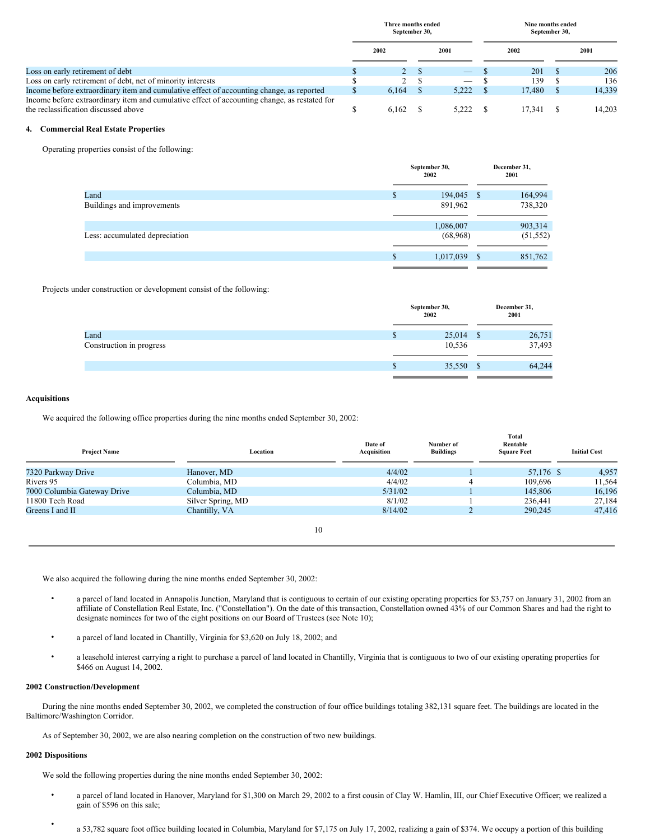|                                                                                              | Three months ended<br>September 30, |       |      |                          | Nine months ended<br>September 30, |        |  |        |
|----------------------------------------------------------------------------------------------|-------------------------------------|-------|------|--------------------------|------------------------------------|--------|--|--------|
|                                                                                              | 2002                                |       | 2001 |                          | 2002                               |        |  | 2001   |
|                                                                                              |                                     |       |      |                          |                                    |        |  |        |
| Loss on early retirement of debt                                                             |                                     |       |      | $\overline{\phantom{m}}$ |                                    | 201    |  | 206    |
| Loss on early retirement of debt, net of minority interests                                  |                                     |       |      | $\overline{\phantom{a}}$ |                                    | 139    |  | 136    |
| Income before extraordinary item and cumulative effect of accounting change, as reported     |                                     | 6.164 |      | 5.222                    |                                    | 17.480 |  | 14,339 |
| Income before extraordinary item and cumulative effect of accounting change, as restated for |                                     |       |      |                          |                                    |        |  |        |
| the reclassification discussed above                                                         |                                     | 6.162 |      |                          |                                    | 17.341 |  | 14.203 |

# **4. Commercial Real Estate Properties**

Operating properties consist of the following:

|                                | September 30, | December 31,<br>2001 |               |
|--------------------------------|---------------|----------------------|---------------|
| Land                           | \$            | 194,045 \$           | 164,994       |
| Buildings and improvements     |               | 891,962              | 738,320       |
|                                |               | 1,086,007            | 903,314       |
| Less: accumulated depreciation |               | (68,968)             | (51, 552)     |
|                                | $\mathbb{S}$  | 1,017,039            | \$<br>851,762 |
|                                |               |                      |               |

Projects under construction or development consist of the following:

|                          |   | September 30,<br>2002 | December 31,<br>2001 |
|--------------------------|---|-----------------------|----------------------|
| Land                     | D | $25,014$ \$           | 26,751               |
| Construction in progress |   | 10,536                | 37,493               |
|                          | Φ | 35,550                | 64,244               |

# **Acquisitions**

We acquired the following office properties during the nine months ended September 30, 2002:

| <b>Project Name</b>         | Location          | Date of<br>Acquisition | Number of<br><b>Buildings</b> | Total<br>Rentable<br><b>Square Feet</b> | <b>Initial Cost</b> |
|-----------------------------|-------------------|------------------------|-------------------------------|-----------------------------------------|---------------------|
| 7320 Parkway Drive          | Hanover, MD       | 4/4/02                 |                               | 57,176 \$                               | 4,957               |
| Rivers 95                   | Columbia, MD      | 4/4/02                 | 4                             | 109.696                                 | 11,564              |
| 7000 Columbia Gateway Drive | Columbia, MD      | 5/31/02                |                               | 145,806                                 | 16,196              |
| 11800 Tech Road             | Silver Spring, MD | 8/1/02                 |                               | 236.441                                 | 27.184              |
| Greens I and II             | Chantilly, VA     | 8/14/02                |                               | 290,245                                 | 47,416              |
|                             |                   | 10                     |                               |                                         |                     |

We also acquired the following during the nine months ended September 30, 2002:

- a parcel of land located in Annapolis Junction, Maryland that is contiguous to certain of our existing operating properties for \$3,757 on January 31, 2002 from an affiliate of Constellation Real Estate, Inc. ("Constellation"). On the date of this transaction, Constellation owned 43% of our Common Shares and had the right to designate nominees for two of the eight positions on our Board of Trustees (see Note 10);
- a parcel of land located in Chantilly, Virginia for \$3,620 on July 18, 2002; and
- a leasehold interest carrying a right to purchase a parcel of land located in Chantilly, Virginia that is contiguous to two of our existing operating properties for \$466 on August 14, 2002.

# **2002 Construction/Development**

During the nine months ended September 30, 2002, we completed the construction of four office buildings totaling 382,131 square feet. The buildings are located in the Baltimore/Washington Corridor.

As of September 30, 2002, we are also nearing completion on the construction of two new buildings.

#### **2002 Dispositions**

•

We sold the following properties during the nine months ended September 30, 2002:

- a parcel of land located in Hanover, Maryland for \$1,300 on March 29, 2002 to a first cousin of Clay W. Hamlin, III, our Chief Executive Officer; we realized a gain of \$596 on this sale;
- a 53,782 square foot office building located in Columbia, Maryland for \$7,175 on July 17, 2002, realizing a gain of \$374. We occupy a portion of this building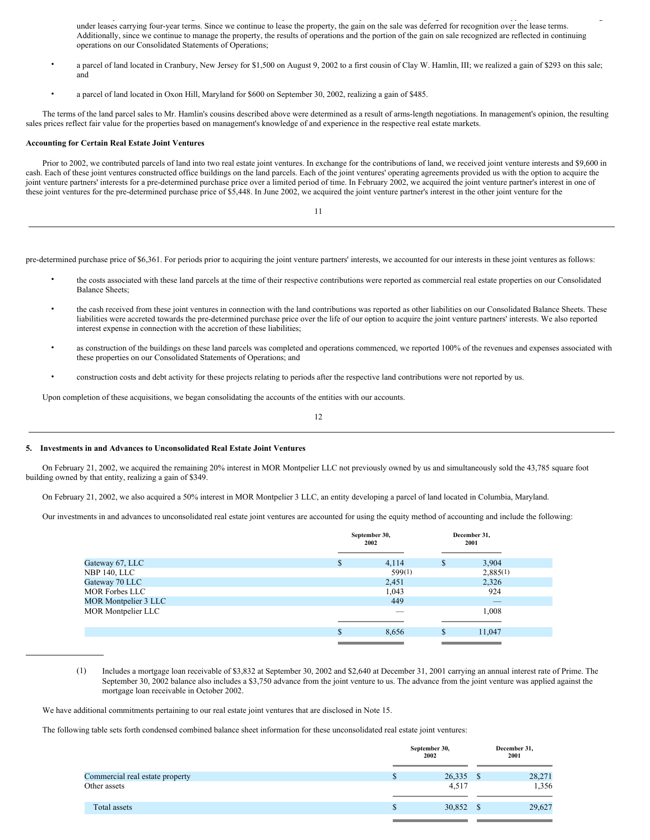under leases carrying four-year terms. Since we continue to lease the property, the gain on the sale was deferred for recognition over the lease terms. Additionally, since we continue to manage the property, the results of operations and the portion of the gain on sale recognized are reflected in continuing operations on our Consolidated Statements of Operations;

- a parcel of land located in Cranbury, New Jersey for \$1,500 on August 9, 2002 to a first cousin of Clay W. Hamlin, III; we realized a gain of \$293 on this sale; and
- a parcel of land located in Oxon Hill, Maryland for \$600 on September 30, 2002, realizing a gain of \$485.

The terms of the land parcel sales to Mr. Hamlin's cousins described above were determined as a result of arms-length negotiations. In management's opinion, the resulting sales prices reflect fair value for the properties based on management's knowledge of and experience in the respective real estate markets.

#### **Accounting for Certain Real Estate Joint Ventures**

Prior to 2002, we contributed parcels of land into two real estate joint ventures. In exchange for the contributions of land, we received joint venture interests and \$9,600 in cash. Each of these joint ventures constructed office buildings on the land parcels. Each of the joint ventures' operating agreements provided us with the option to acquire the joint venture partners' interests for a pre-determined purchase price over a limited period of time. In February 2002, we acquired the joint venture partner's interest in one of these joint ventures for the pre-determined purchase price of \$5,448. In June 2002, we acquired the joint venture partner's interest in the other joint venture for the

11

pre-determined purchase price of \$6,361. For periods prior to acquiring the joint venture partners' interests, we accounted for our interests in these joint ventures as follows:

- the costs associated with these land parcels at the time of their respective contributions were reported as commercial real estate properties on our Consolidated Balance Sheets;
- the cash received from these joint ventures in connection with the land contributions was reported as other liabilities on our Consolidated Balance Sheets. These liabilities were accreted towards the pre-determined purchase price over the life of our option to acquire the joint venture partners' interests. We also reported interest expense in connection with the accretion of these liabilities;
- as construction of the buildings on these land parcels was completed and operations commenced, we reported 100% of the revenues and expenses associated with these properties on our Consolidated Statements of Operations; and
- construction costs and debt activity for these projects relating to periods after the respective land contributions were not reported by us.

Upon completion of these acquisitions, we began consolidating the accounts of the entities with our accounts.

12

### **5. Investments in and Advances to Unconsolidated Real Estate Joint Ventures**

On February 21, 2002, we acquired the remaining 20% interest in MOR Montpelier LLC not previously owned by us and simultaneously sold the 43,785 square foot building owned by that entity, realizing a gain of \$349.

On February 21, 2002, we also acquired a 50% interest in MOR Montpelier 3 LLC, an entity developing a parcel of land located in Columbia, Maryland.

Our investments in and advances to unconsolidated real estate joint ventures are accounted for using the equity method of accounting and include the following:

|                       | September 30,<br>2002 | December 31,<br>2001 |          |  |
|-----------------------|-----------------------|----------------------|----------|--|
| Gateway 67, LLC       | \$<br>4,114           | \$                   | 3,904    |  |
| NBP 140, LLC          | 599(1)                |                      | 2,885(1) |  |
| Gateway 70 LLC        | 2,451                 |                      | 2,326    |  |
| <b>MOR Forbes LLC</b> | 1,043                 |                      | 924      |  |
| MOR Montpelier 3 LLC  | 449                   |                      |          |  |
| MOR Montpelier LLC    | __                    |                      | 1,008    |  |
|                       |                       |                      |          |  |
|                       | \$<br>8,656           | S                    | 11,047   |  |
|                       |                       |                      |          |  |

<sup>(1)</sup> Includes a mortgage loan receivable of \$3,832 at September 30, 2002 and \$2,640 at December 31, 2001 carrying an annual interest rate of Prime. The September 30, 2002 balance also includes a \$3,750 advance from the joint venture to us. The advance from the joint venture was applied against the mortgage loan receivable in October 2002.

We have additional commitments pertaining to our real estate joint ventures that are disclosed in Note 15.

The following table sets forth condensed combined balance sheet information for these unconsolidated real estate joint ventures:

|                                 |    | September 30,<br>2002 | December 31,<br>2001 |
|---------------------------------|----|-----------------------|----------------------|
| Commercial real estate property | ۰D | 26,335 \$             | 28,271               |
| Other assets                    |    | 4,517                 | 1,356                |
|                                 |    |                       |                      |
| Total assets                    |    | 30,852 \$             | 29,627               |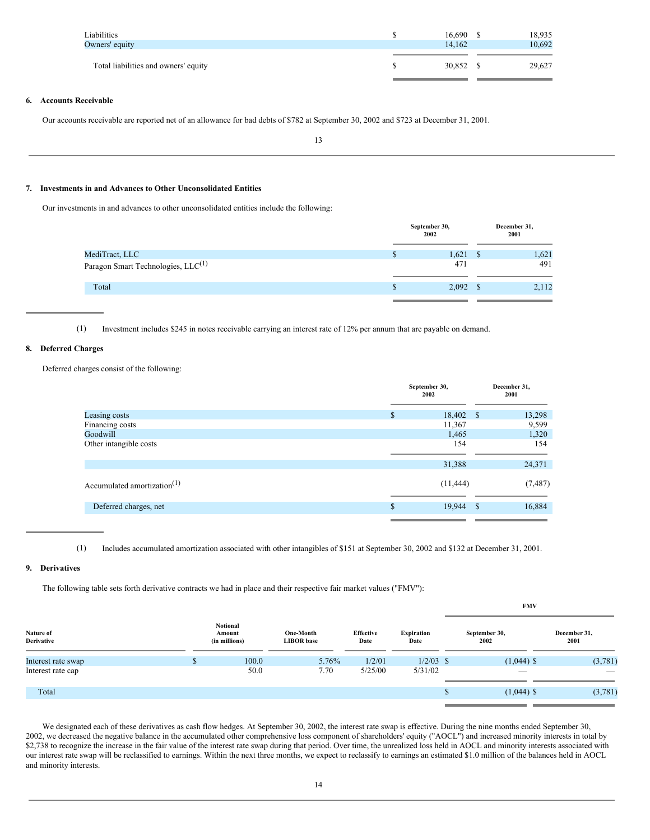| Liabilities                          | 16.690    | 18,935 |
|--------------------------------------|-----------|--------|
| Owners' equity                       | 14.162    | 10,692 |
| Total liabilities and owners' equity | 30.852 \$ | 29,627 |

# **6. Accounts Receivable**

Our accounts receivable are reported net of an allowance for bad debts of \$782 at September 30, 2002 and \$723 at December 31, 2001.

13

# **7. Investments in and Advances to Other Unconsolidated Entities**

Our investments in and advances to other unconsolidated entities include the following:

|                                                | September 30,<br>2002 | December 31,<br>2001 |
|------------------------------------------------|-----------------------|----------------------|
| MediTract, LLC                                 | 1,621                 | 1,621                |
| Paragon Smart Technologies, LLC <sup>(1)</sup> | 471                   | 491                  |
|                                                |                       |                      |
| Total                                          | $2,092$ \$            | 2,112                |
|                                                |                       |                      |

(1) Investment includes \$245 in notes receivable carrying an interest rate of 12% per annum that are payable on demand.

# **8. Deferred Charges**

Deferred charges consist of the following:

|                                                      | September 30,<br>2002 |  |          |  |
|------------------------------------------------------|-----------------------|--|----------|--|
| Leasing costs                                        | \$<br>18,402 \$       |  | 13,298   |  |
| Financing costs                                      | 11,367                |  | 9,599    |  |
| Goodwill                                             | 1,465                 |  | 1,320    |  |
| Other intangible costs                               | 154                   |  | 154      |  |
|                                                      | 31,388                |  | 24,371   |  |
| Accumulated amortization <sup><math>(1)</math></sup> | (11, 444)             |  | (7, 487) |  |
| Deferred charges, net                                | \$<br>$19,944$ \$     |  | 16,884   |  |
|                                                      |                       |  |          |  |

(1) Includes accumulated amortization associated with other intangibles of \$151 at September 30, 2002 and \$132 at December 31, 2001.

# **9. Derivatives**

The following table sets forth derivative contracts we had in place and their respective fair market values ("FMV"):

|                                |        |                                     |                                |                   |                           |    | <b>FMV</b>                     |                                |
|--------------------------------|--------|-------------------------------------|--------------------------------|-------------------|---------------------------|----|--------------------------------|--------------------------------|
| Nature of<br><b>Derivative</b> |        | Notional<br>Amount<br>(in millions) | One-Month<br><b>LIBOR</b> base | Effective<br>Date | <b>Expiration</b><br>Date |    | September 30,<br>2002          | December 31,<br>2001           |
| Interest rate swap             | ¢<br>ъ | 100.0                               | 5.76%                          | 1/2/01            | $1/2/03$ \$               |    | $(1,044)$ \$                   | (3,781)                        |
| Interest rate cap              |        | 50.0                                | 7.70                           | 5/25/00           | 5/31/02                   |    | $\overbrace{\hspace{25mm}}^{}$ | $\overbrace{\hspace{25mm}}^{}$ |
| Total                          |        |                                     |                                |                   |                           | D. | $(1,044)$ \$                   | (3,781)                        |
|                                |        |                                     |                                |                   |                           |    |                                |                                |

We designated each of these derivatives as cash flow hedges. At September 30, 2002, the interest rate swap is effective. During the nine months ended September 30, 2002, we decreased the negative balance in the accumulated other comprehensive loss component of shareholders' equity ("AOCL") and increased minority interests in total by \$2,738 to recognize the increase in the fair value of the interest rate swap during that period. Over time, the unrealized loss held in AOCL and minority interests associated with our interest rate swap will be reclassified to earnings. Within the next three months, we expect to reclassify to earnings an estimated \$1.0 million of the balances held in AOCL and minority interests.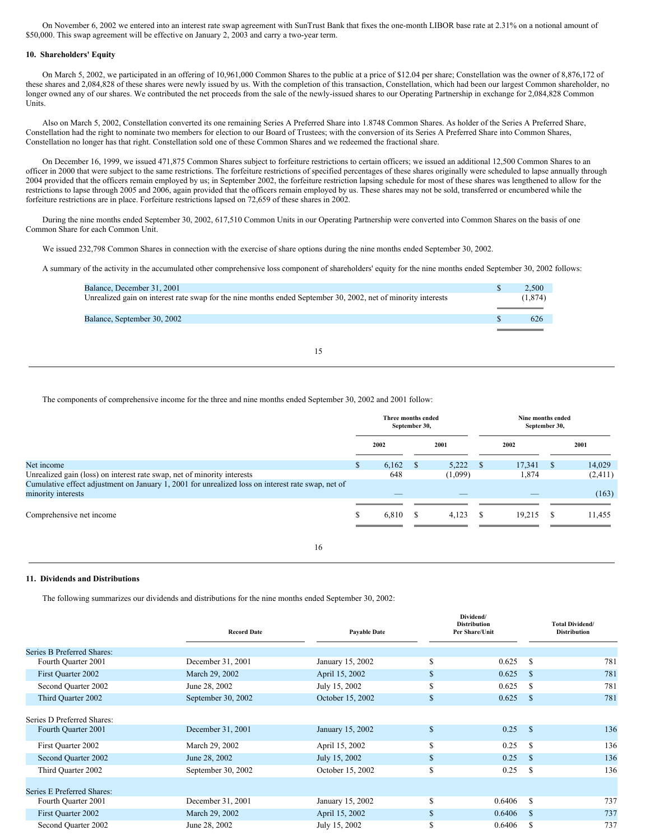On November 6, 2002 we entered into an interest rate swap agreement with SunTrust Bank that fixes the one-month LIBOR base rate at 2.31% on a notional amount of \$50,000. This swap agreement will be effective on January 2, 2003 and carry a two-year term.

#### **10. Shareholders' Equity**

On March 5, 2002, we participated in an offering of 10,961,000 Common Shares to the public at a price of \$12.04 per share; Constellation was the owner of 8,876,172 of these shares and 2,084,828 of these shares were newly issued by us. With the completion of this transaction, Constellation, which had been our largest Common shareholder, no longer owned any of our shares. We contributed the net proceeds from the sale of the newly-issued shares to our Operating Partnership in exchange for 2,084,828 Common Units.

Also on March 5, 2002, Constellation converted its one remaining Series A Preferred Share into 1.8748 Common Shares. As holder of the Series A Preferred Share, Constellation had the right to nominate two members for election to our Board of Trustees; with the conversion of its Series A Preferred Share into Common Shares, Constellation no longer has that right. Constellation sold one of these Common Shares and we redeemed the fractional share.

On December 16, 1999, we issued 471,875 Common Shares subject to forfeiture restrictions to certain officers; we issued an additional 12,500 Common Shares to an officer in 2000 that were subject to the same restrictions. The forfeiture restrictions of specified percentages of these shares originally were scheduled to lapse annually through 2004 provided that the officers remain employed by us; in September 2002, the forfeiture restriction lapsing schedule for most of these shares was lengthened to allow for the restrictions to lapse through 2005 and 2006, again provided that the officers remain employed by us. These shares may not be sold, transferred or encumbered while the forfeiture restrictions are in place. Forfeiture restrictions lapsed on 72,659 of these shares in 2002.

During the nine months ended September 30, 2002, 617,510 Common Units in our Operating Partnership were converted into Common Shares on the basis of one Common Share for each Common Unit.

We issued 232,798 Common Shares in connection with the exercise of share options during the nine months ended September 30, 2002.

A summary of the activity in the accumulated other comprehensive loss component of shareholders' equity for the nine months ended September 30, 2002 follows:

| Balance, December 31, 2001                                                                                    | 2,500   |
|---------------------------------------------------------------------------------------------------------------|---------|
| Unrealized gain on interest rate swap for the nine months ended September 30, 2002, net of minority interests | (1,874) |
|                                                                                                               |         |
| Balance, September 30, 2002                                                                                   | 626     |
|                                                                                                               |         |

# 15

The components of comprehensive income for the three and nine months ended September 30, 2002 and 2001 follow:

|                                                                                                   | Three months ended<br>September 30, |       |      |         | Nine months ended<br>September 30, |        |                     |         |
|---------------------------------------------------------------------------------------------------|-------------------------------------|-------|------|---------|------------------------------------|--------|---------------------|---------|
|                                                                                                   | 2002<br>2001                        |       | 2002 |         | 2001                               |        |                     |         |
| Net income                                                                                        | м                                   | 6,162 | -S   | 5,222   | - \$                               | 17,341 | $\sim$ $\mathbf{S}$ | 14,029  |
| Unrealized gain (loss) on interest rate swap, net of minority interests                           |                                     | 648   |      | (1,099) |                                    | 1,874  |                     | (2,411) |
| Cumulative effect adjustment on January 1, 2001 for unrealized loss on interest rate swap, net of |                                     |       |      |         |                                    |        |                     |         |
| minority interests                                                                                |                                     |       |      | _       |                                    |        |                     | (163)   |
|                                                                                                   |                                     |       |      |         |                                    |        |                     |         |
| Comprehensive net income                                                                          | ۰υ                                  | 6,810 |      | 4,123   | -S                                 | 19.215 | -S                  | 11,455  |
|                                                                                                   |                                     |       |      |         |                                    |        |                     |         |
|                                                                                                   |                                     |       |      |         |                                    |        |                     |         |

#### 16

#### **11. Dividends and Distributions**

The following summarizes our dividends and distributions for the nine months ended September 30, 2002:

|                                                   | <b>Record Date</b> | <b>Payable Date</b> |              | Dividend/<br><b>Distribution</b><br>Per Share/Unit | <b>Total Dividend/</b><br><b>Distribution</b> |     |  |
|---------------------------------------------------|--------------------|---------------------|--------------|----------------------------------------------------|-----------------------------------------------|-----|--|
| Series B Preferred Shares:                        |                    |                     |              |                                                    |                                               |     |  |
| Fourth Quarter 2001                               | December 31, 2001  | January 15, 2002    | S            | 0.625                                              | -S                                            | 781 |  |
| First Ouarter 2002                                | March 29, 2002     | April 15, 2002      | $\mathbb{S}$ | 0.625                                              | -S                                            | 781 |  |
| Second Quarter 2002                               | June 28, 2002      | July 15, 2002       | S            | 0.625                                              | -S                                            | 781 |  |
| Third Quarter 2002                                | September 30, 2002 | October 15, 2002    | \$           | 0.625                                              | -S                                            | 781 |  |
| Series D Preferred Shares:<br>Fourth Quarter 2001 | December 31, 2001  | January 15, 2002    | \$           | 0.25                                               | - \$                                          | 136 |  |
| First Quarter 2002                                | March 29, 2002     | April 15, 2002      | S            | 0.25                                               | <sup>\$</sup>                                 | 136 |  |
| Second Quarter 2002                               | June 28, 2002      | July 15, 2002       | \$           | 0.25                                               | - \$                                          | 136 |  |
| Third Quarter 2002                                | September 30, 2002 | October 15, 2002    | S            | 0.25                                               | <sup>\$</sup>                                 | 136 |  |
| Series E Preferred Shares:                        |                    |                     | S            | 0.6406                                             | <sup>\$</sup>                                 | 737 |  |
| Fourth Quarter 2001                               | December 31, 2001  | January 15, 2002    |              |                                                    |                                               |     |  |
| First Quarter 2002                                | March 29, 2002     | April 15, 2002      | \$           | 0.6406                                             | -S                                            | 737 |  |
| Second Quarter 2002                               | June 28, 2002      | July 15, 2002       | S            | 0.6406                                             | <sup>\$</sup>                                 | 737 |  |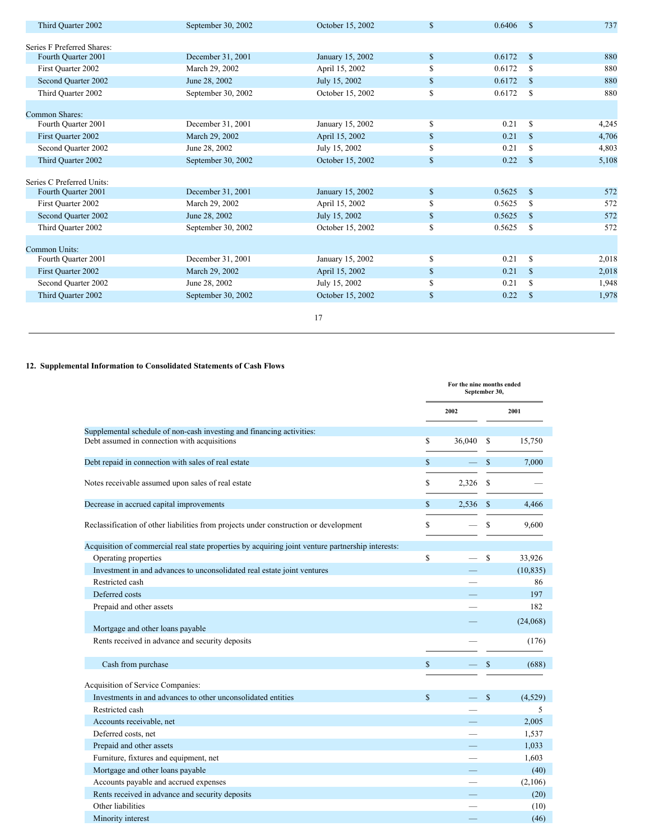| Third Ouarter 2002                               | September 30, 2002 | October 15, 2002 | \$           | 0.6406 | $\mathcal{S}$      | 737   |
|--------------------------------------------------|--------------------|------------------|--------------|--------|--------------------|-------|
| Series F Preferred Shares:                       |                    |                  |              |        |                    |       |
| Fourth Quarter 2001                              | December 31, 2001  | January 15, 2002 | $\mathbb{S}$ | 0.6172 | $\mathbf{\hat{s}}$ | 880   |
| First Ouarter 2002                               | March 29, 2002     | April 15, 2002   | S            | 0.6172 | \$                 | 880   |
| Second Quarter 2002                              | June 28, 2002      | July 15, 2002    | $\mathbb{S}$ | 0.6172 | $\mathcal{S}$      | 880   |
| Third Quarter 2002                               | September 30, 2002 | October 15, 2002 | $\mathbb{S}$ | 0.6172 | \$                 | 880   |
|                                                  |                    |                  |              |        |                    |       |
| <b>Common Shares:</b>                            |                    |                  |              |        |                    |       |
| Fourth Ouarter 2001                              | December 31, 2001  | January 15, 2002 | \$           | 0.21   | $\mathcal{S}$      | 4,245 |
| First Ouarter 2002                               | March 29, 2002     | April 15, 2002   | $\mathbb{S}$ | 0.21   | <sup>\$</sup>      | 4,706 |
| Second Ouarter 2002                              | June 28, 2002      | July 15, 2002    | S.           | 0.21   | S                  | 4,803 |
| Third Quarter 2002                               | September 30, 2002 | October 15, 2002 | $\mathbb{S}$ | 0.22   | <sup>\$</sup>      | 5,108 |
|                                                  |                    |                  |              |        |                    |       |
| Series C Preferred Units:<br>Fourth Quarter 2001 | December 31, 2001  | January 15, 2002 | $\mathbb{S}$ | 0.5625 | $\mathbf{\hat{s}}$ | 572   |
|                                                  |                    |                  |              |        |                    |       |
| First Ouarter 2002                               | March 29, 2002     | April 15, 2002   | S.           | 0.5625 | \$                 | 572   |
| Second Ouarter 2002                              | June 28, 2002      | July 15, 2002    | $\mathbb{S}$ | 0.5625 | -S                 | 572   |
| Third Ouarter 2002                               | September 30, 2002 | October 15, 2002 | \$           | 0.5625 | <sup>\$</sup>      | 572   |
| <b>Common Units:</b>                             |                    |                  |              |        |                    |       |
| Fourth Quarter 2001                              | December 31, 2001  | January 15, 2002 | S            | 0.21   | \$                 | 2,018 |
| First Quarter 2002                               | March 29, 2002     | April 15, 2002   | $\mathbb{S}$ | 0.21   | <sup>\$</sup>      | 2,018 |
|                                                  |                    |                  |              |        |                    |       |
| Second Quarter 2002                              | June 28, 2002      | July 15, 2002    | S            | 0.21   | \$.                | 1,948 |
| Third Ouarter 2002                               | September 30, 2002 | October 15, 2002 | $\mathbb{S}$ | 0.22   | $\mathbf{s}$       | 1,978 |
|                                                  |                    |                  |              |        |                    |       |

17

# **12. Supplemental Information to Consolidated Statements of Cash Flows**

|                                                                                                   | For the nine months ended<br>September 30, |        |              |           |  |  |
|---------------------------------------------------------------------------------------------------|--------------------------------------------|--------|--------------|-----------|--|--|
|                                                                                                   |                                            | 2002   |              | 2001      |  |  |
| Supplemental schedule of non-cash investing and financing activities:                             |                                            |        |              |           |  |  |
| Debt assumed in connection with acquisitions                                                      | \$                                         | 36,040 | \$           | 15,750    |  |  |
| Debt repaid in connection with sales of real estate                                               | \$                                         |        | \$           | 7.000     |  |  |
| Notes receivable assumed upon sales of real estate                                                | \$                                         | 2,326  | $\mathbb{S}$ |           |  |  |
| Decrease in accrued capital improvements                                                          | $\mathbb{S}$                               | 2,536  | $\mathbb{S}$ | 4,466     |  |  |
| Reclassification of other liabilities from projects under construction or development             | \$                                         |        | \$           | 9,600     |  |  |
| Acquisition of commercial real state properties by acquiring joint venture partnership interests: |                                            |        |              |           |  |  |
| Operating properties                                                                              | \$                                         |        | \$           | 33,926    |  |  |
| Investment in and advances to unconsolidated real estate joint ventures                           |                                            |        |              | (10, 835) |  |  |
| Restricted cash                                                                                   |                                            |        |              | 86        |  |  |
| Deferred costs                                                                                    |                                            |        |              | 197       |  |  |
| Prepaid and other assets                                                                          |                                            |        |              | 182       |  |  |
| Mortgage and other loans payable                                                                  |                                            |        |              | (24,068)  |  |  |
| Rents received in advance and security deposits                                                   |                                            |        |              | (176)     |  |  |
| Cash from purchase                                                                                | \$                                         |        | $\mathbb{S}$ | (688)     |  |  |
| Acquisition of Service Companies:                                                                 |                                            |        |              |           |  |  |
| Investments in and advances to other unconsolidated entities                                      | $\mathbb{S}$                               |        | \$           | (4, 529)  |  |  |
| Restricted cash                                                                                   |                                            |        |              | 5         |  |  |
| Accounts receivable, net                                                                          |                                            |        |              | 2,005     |  |  |
| Deferred costs, net                                                                               |                                            |        |              | 1,537     |  |  |
| Prepaid and other assets                                                                          |                                            |        |              | 1,033     |  |  |
| Furniture, fixtures and equipment, net                                                            |                                            |        |              | 1,603     |  |  |
| Mortgage and other loans payable                                                                  |                                            |        |              | (40)      |  |  |
| Accounts payable and accrued expenses                                                             |                                            |        |              | (2,106)   |  |  |
| Rents received in advance and security deposits                                                   |                                            |        |              | (20)      |  |  |
| Other liabilities                                                                                 |                                            |        |              | (10)      |  |  |
| Minority interest                                                                                 |                                            |        |              | (46)      |  |  |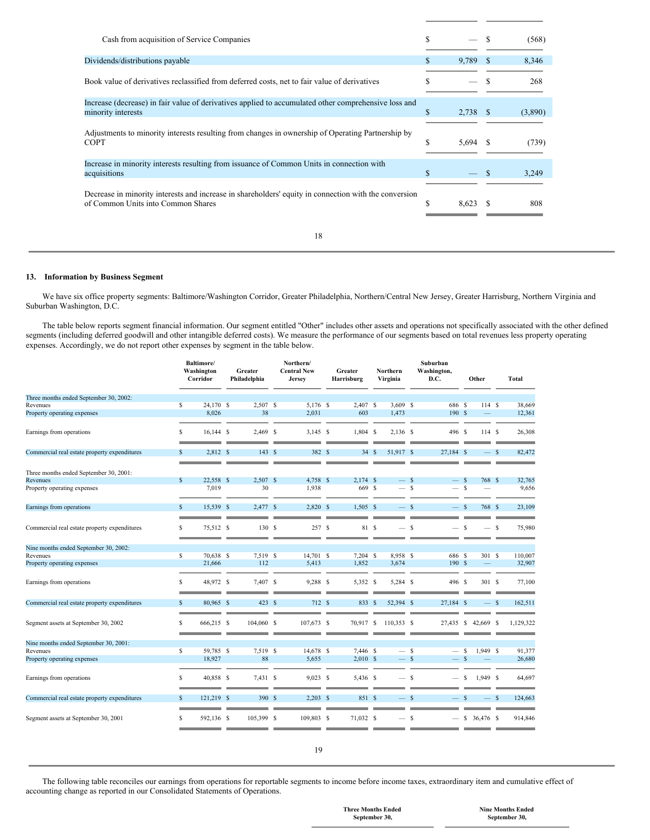| Cash from acquisition of Service Companies                                                                                                  | S            |            |              | (568)   |
|---------------------------------------------------------------------------------------------------------------------------------------------|--------------|------------|--------------|---------|
| Dividends/distributions payable                                                                                                             |              | 9,789      | <sup>S</sup> | 8,346   |
| Book value of derivatives reclassified from deferred costs, net to fair value of derivatives                                                | S            |            |              | 268     |
| Increase (decrease) in fair value of derivatives applied to accumulated other comprehensive loss and<br>minority interests                  | S.           | $2,738$ \$ |              | (3,890) |
| Adjustments to minority interests resulting from changes in ownership of Operating Partnership by<br><b>COPT</b>                            | S            | 5,694      | -8           | (739)   |
| Increase in minority interests resulting from issuance of Common Units in connection with<br>acquisitions                                   | $\mathbf{s}$ |            | \$.          | 3,249   |
| Decrease in minority interests and increase in shareholders' equity in connection with the conversion<br>of Common Units into Common Shares | S            | 8,623      | -S           | 808     |
| 18                                                                                                                                          |              |            |              |         |

# <span id="page-12-0"></span>**13. Information by Business Segment**

We have six office property segments: Baltimore/Washington Corridor, Greater Philadelphia, Northern/Central New Jersey, Greater Harrisburg, Northern Virginia and Suburban Washington, D.C.

The table below reports segment financial information. Our segment entitled "Other" includes other assets and operations not specifically associated with the other defined segments (including deferred goodwill and other intangible deferred costs). We measure the performance of our segments based on total revenues less property operating expenses. Accordingly, we do not report other expenses by segment in the table below.

|                                              |              | Baltimore/<br>Washington<br>Corridor |  | Greater<br>Philadelphia |     | Northern/<br><b>Central New</b><br>Jersey |  | Greater<br>Harrisburg |  | Northern<br>Virginia     |   | Suburban<br>Washington,<br>D.C. |               | Other                    | Total |           |
|----------------------------------------------|--------------|--------------------------------------|--|-------------------------|-----|-------------------------------------------|--|-----------------------|--|--------------------------|---|---------------------------------|---------------|--------------------------|-------|-----------|
| Three months ended September 30, 2002:       |              |                                      |  |                         |     |                                           |  |                       |  |                          |   |                                 |               |                          |       |           |
| Revenues                                     | S            | 24,170 \$                            |  | 2,507 \$                |     | 5.176 S                                   |  | 2,407 \$              |  | 3,609 \$                 |   | 686 S                           |               | 114S                     |       | 38,669    |
| Property operating expenses                  |              | 8,026                                |  | 38                      |     | 2,031                                     |  | 603                   |  | 1,473                    |   | 190S                            |               | $\overline{\phantom{0}}$ |       | 12,361    |
| Earnings from operations                     | S            | $16,144$ \$                          |  | 2,469                   | - S | $3,145$ \$                                |  | $1.804$ \$            |  | 2,136 \$                 |   | 496 S                           |               | 114S                     |       | 26,308    |
| Commercial real estate property expenditures | S            | $2,812$ \$                           |  | 143S                    |     | 382 S                                     |  | 34S                   |  | 51.917 \$                |   | 27,184 \$                       |               | $-$ S                    |       | 82,472    |
| Three months ended September 30, 2001:       |              |                                      |  |                         |     |                                           |  |                       |  |                          |   |                                 |               |                          |       |           |
| Revenues                                     | $\mathbb{S}$ | 22,558 \$                            |  | $2,507$ \$              |     | 4,758 \$                                  |  | $2,174$ \$            |  | $-$ \$                   |   | $-$ \$                          |               | 768 \$                   |       | 32,765    |
| Property operating expenses                  |              | 7,019                                |  | 30                      |     | 1,938                                     |  | 669 S                 |  | $-$ s                    |   | $\overbrace{\phantom{12333}}$   | <sup>S</sup>  |                          |       | 9,656     |
| Earnings from operations                     | $\mathbb{S}$ | 15,539 \$                            |  | 2,477 \$                |     | $2,820$ \$                                |  | $1,505$ \$            |  | $-$ s                    |   | $-$ s                           |               | 768 \$                   |       | 23,109    |
|                                              |              |                                      |  |                         |     |                                           |  |                       |  |                          |   |                                 |               |                          |       |           |
| Commercial real estate property expenditures | S            | 75,512 \$                            |  | 130S                    |     | 257S                                      |  | 81 S                  |  |                          | S |                                 | S             |                          | S     | 75,980    |
|                                              |              |                                      |  |                         |     |                                           |  |                       |  |                          |   |                                 |               |                          |       |           |
| Nine months ended September 30, 2002:        |              |                                      |  |                         |     |                                           |  |                       |  |                          |   |                                 |               |                          |       |           |
| Revenues                                     | \$           | $70,638$ \$                          |  | $7,519$ \$              |     | $14,701$ \$                               |  | $7,204$ \$            |  | 8,958 \$                 |   | 686 \$                          |               | 301 \$                   |       | 110,007   |
| Property operating expenses                  |              | 21,666                               |  | 112                     |     | 5,413                                     |  | 1,852                 |  | 3,674                    |   | 190S                            |               | $\equiv$                 |       | 32,907    |
| Earnings from operations                     | S            | 48.972 \$                            |  | 7.407 S                 |     | 9,288 \$                                  |  | 5.352 S               |  | 5,284 \$                 |   | 496 S                           |               | 301 S                    |       | 77,100    |
| Commercial real estate property expenditures | \$.          | $80.965$ \$                          |  | 423 S                   |     | 712 S                                     |  | 833 S                 |  | 52.394 \$                |   | 27.184 \$                       |               | $-$ \$                   |       | 162,511   |
|                                              |              |                                      |  |                         |     |                                           |  |                       |  |                          |   |                                 |               |                          |       |           |
| Segment assets at September 30, 2002         | S            | 666,215 \$                           |  | 104,060 \$              |     | 107,673 \$                                |  | 70,917 \$             |  | $110,353$ \$             |   | 27,435 \$                       |               | 42,669 \$                |       | 1,129,322 |
|                                              |              |                                      |  |                         |     |                                           |  |                       |  |                          |   |                                 |               |                          |       |           |
| Nine months ended September 30, 2001:        |              |                                      |  |                         |     |                                           |  |                       |  |                          |   |                                 |               |                          |       |           |
| Revenues                                     | \$           | 59,785 \$                            |  | $7,519$ \$              |     | 14,678 \$                                 |  | $7,446$ \$            |  | $-$ s                    |   | $\overline{\phantom{0}}$        | S             | 1,949 \$                 |       | 91,377    |
| Property operating expenses                  |              | 18,927                               |  | 88                      |     | 5,655                                     |  | $2,010$ \$            |  | $-$ s                    |   |                                 | $\mathcal{S}$ | $\overline{\phantom{0}}$ |       | 26,680    |
| Earnings from operations                     | \$           | 40,858 \$                            |  | 7,431S                  |     | $9,023$ \$                                |  | 5,436 \$              |  | $\overline{\phantom{0}}$ | S |                                 | S             | 1,949 \$                 |       | 64,697    |
| Commercial real estate property expenditures | $\mathbb{S}$ | 121,219 \$                           |  | 390 S                   |     | 2.203 S                                   |  | 851 S                 |  | $-$ s                    |   | ÷.                              | $\mathcal{S}$ | $-$ s                    |       | 124,663   |
|                                              |              |                                      |  |                         |     |                                           |  |                       |  |                          |   |                                 |               |                          |       |           |
| Segment assets at September 30, 2001         | S            | 592,136 \$                           |  | 105,399 \$              |     | 109,803 \$                                |  | 71,032 \$             |  | $-$ s                    |   |                                 | S             | 36,476 \$                |       | 914,846   |
|                                              |              |                                      |  |                         |     |                                           |  |                       |  |                          |   |                                 |               |                          |       |           |

The following table reconciles our earnings from operations for reportable segments to income before income taxes, extraordinary item and cumulative effect of accounting change as reported in our Consolidated Statements of Operations.

> **Three Months Ended September 30,**

**Nine Months Ended September 30,**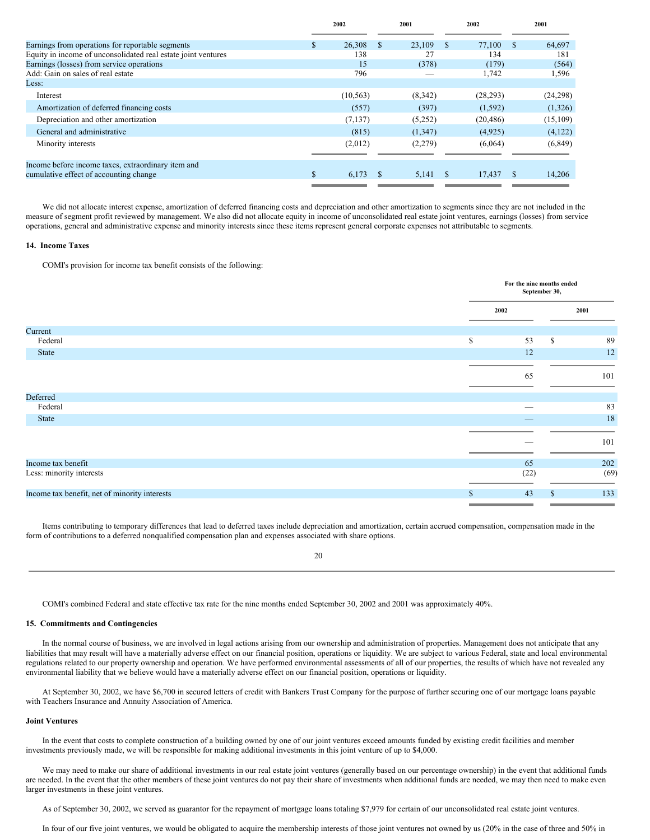|                                                                                              |    | 2002      |    | 2001    | 2002               |    | 2001      |
|----------------------------------------------------------------------------------------------|----|-----------|----|---------|--------------------|----|-----------|
| Earnings from operations for reportable segments                                             | S  | 26,308    | S. | 23,109  | 77,100<br><b>S</b> | -S | 64,697    |
| Equity in income of unconsolidated real estate joint ventures                                |    | 138       |    | 27      | 134                |    | 181       |
| Earnings (losses) from service operations                                                    |    | 15        |    | (378)   | (179)              |    | (564)     |
| Add: Gain on sales of real estate                                                            |    | 796       |    |         | 1,742              |    | 1,596     |
| Less:                                                                                        |    |           |    |         |                    |    |           |
| Interest                                                                                     |    | (10, 563) |    | (8,342) | (28, 293)          |    | (24,298)  |
| Amortization of deferred financing costs                                                     |    | (557)     |    | (397)   | (1, 592)           |    | (1,326)   |
| Depreciation and other amortization                                                          |    | (7,137)   |    | (5,252) | (20, 486)          |    | (15, 109) |
| General and administrative                                                                   |    | (815)     |    | (1,347) | (4,925)            |    | (4,122)   |
| Minority interests                                                                           |    | (2,012)   |    | (2,279) | (6,064)            |    | (6, 849)  |
| Income before income taxes, extraordinary item and<br>cumulative effect of accounting change | S. | 6,173     |    | 5,141   | $17,437$ \$<br>-S  |    | 14,206    |
|                                                                                              |    |           |    |         |                    |    |           |

We did not allocate interest expense, amortization of deferred financing costs and depreciation and other amortization to segments since they are not included in the measure of segment profit reviewed by management. We also did not allocate equity in income of unconsolidated real estate joint ventures, earnings (losses) from service operations, general and administrative expense and minority interests since these items represent general corporate expenses not attributable to segments.

### **14. Income Taxes**

COMI's provision for income tax benefit consists of the following:

|                                               | For the nine months ended<br>September 30, |              |      |  |  |  |
|-----------------------------------------------|--------------------------------------------|--------------|------|--|--|--|
|                                               | 2002                                       |              | 2001 |  |  |  |
| Current                                       |                                            |              |      |  |  |  |
| Federal                                       | \$<br>53                                   | \$           | 89   |  |  |  |
| State                                         | 12                                         |              | 12   |  |  |  |
|                                               | 65                                         |              | 101  |  |  |  |
| Deferred                                      |                                            |              |      |  |  |  |
| Federal                                       |                                            |              | 83   |  |  |  |
| State                                         |                                            |              | 18   |  |  |  |
|                                               |                                            |              | 101  |  |  |  |
| Income tax benefit                            | 65                                         |              | 202  |  |  |  |
| Less: minority interests                      | (22)                                       |              | (69) |  |  |  |
| Income tax benefit, net of minority interests | \$<br>43                                   | $\mathbb{S}$ | 133  |  |  |  |

Items contributing to temporary differences that lead to deferred taxes include depreciation and amortization, certain accrued compensation, compensation made in the form of contributions to a deferred nonqualified compensation plan and expenses associated with share options.

20

COMI's combined Federal and state effective tax rate for the nine months ended September 30, 2002 and 2001 was approximately 40%.

# **15. Commitments and Contingencies**

In the normal course of business, we are involved in legal actions arising from our ownership and administration of properties. Management does not anticipate that any liabilities that may result will have a materially adverse effect on our financial position, operations or liquidity. We are subject to various Federal, state and local environmental regulations related to our property ownership and operation. We have performed environmental assessments of all of our properties, the results of which have not revealed any environmental liability that we believe would have a materially adverse effect on our financial position, operations or liquidity.

At September 30, 2002, we have \$6,700 in secured letters of credit with Bankers Trust Company for the purpose of further securing one of our mortgage loans payable with Teachers Insurance and Annuity Association of America.

### **Joint Ventures**

In the event that costs to complete construction of a building owned by one of our joint ventures exceed amounts funded by existing credit facilities and member investments previously made, we will be responsible for making additional investments in this joint venture of up to \$4,000.

We may need to make our share of additional investments in our real estate joint ventures (generally based on our percentage ownership) in the event that additional funds are needed. In the event that the other members of these joint ventures do not pay their share of investments when additional funds are needed, we may then need to make even larger investments in these joint ventures.

As of September 30, 2002, we served as guarantor for the repayment of mortgage loans totaling \$7,979 for certain of our unconsolidated real estate joint ventures.

In four of our five joint ventures, we would be obligated to acquire the membership interests of those joint ventures not owned by us (20% in the case of three and 50% in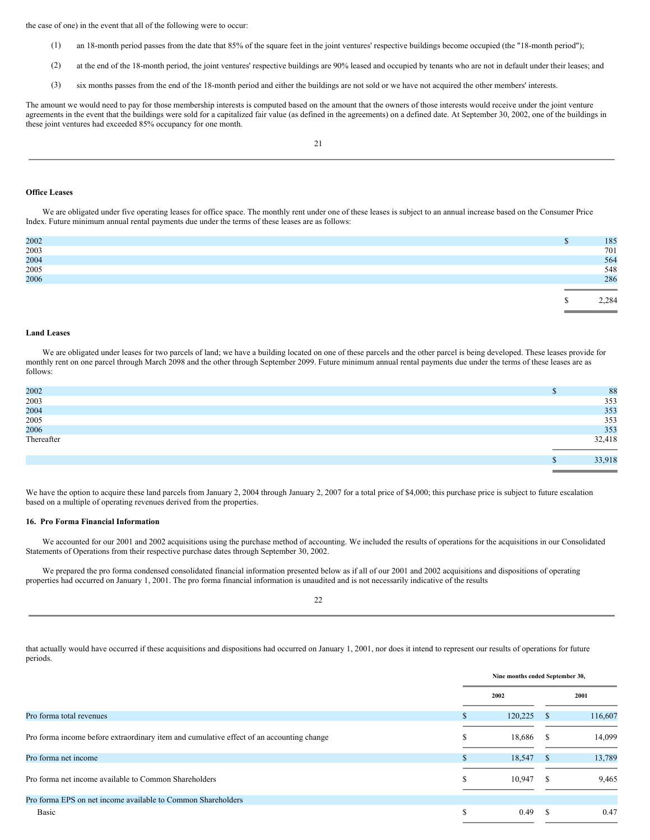the case of one) in the event that all of the following were to occur:

- (1) an 18-month period passes from the date that 85% of the square feet in the joint ventures' respective buildings become occupied (the "18-month period");
- (2) at the end of the 18-month period, the joint ventures' respective buildings are 90% leased and occupied by tenants who are not in default under their leases; and
- (3) six months passes from the end of the 18-month period and either the buildings are not sold or we have not acquired the other members' interests.

The amount we would need to pay for those membership interests is computed based on the amount that the owners of those interests would receive under the joint venture agreements in the event that the buildings were sold for a capitalized fair value (as defined in the agreements) on a defined date. At September 30, 2002, one of the buildings in these joint ventures had exceeded 85% occupancy for one month.

# **Office Leases**

We are obligated under five operating leases for office space. The monthly rent under one of these leases is subject to an annual increase based on the Consumer Price Index. Future minimum annual rental payments due under the terms of these leases are as follows:

|                      | 185<br>ъĐ         |
|----------------------|-------------------|
| 2002<br>2003         | 701               |
| 2004<br>2005<br>2006 | 564               |
|                      | $\frac{548}{286}$ |
|                      |                   |
|                      |                   |
|                      | 2,284             |

# **Land Leases**

We are obligated under leases for two parcels of land; we have a building located on one of these parcels and the other parcel is being developed. These leases provide for monthly rent on one parcel through March 2098 and the other through September 2099. Future minimum annual rental payments due under the terms of these leases are as follows:

|              | 88     |
|--------------|--------|
| 2002<br>2003 | 353    |
| 2004         | 353    |
| 2005         | 353    |
| 2006         | 353    |
| Thereafter   | 32,418 |
|              |        |
|              | 33,918 |

We have the option to acquire these land parcels from January 2, 2004 through January 2, 2007 for a total price of \$4,000; this purchase price is subject to future escalation based on a multiple of operating revenues derived from the properties.

# **16. Pro Forma Financial Information**

We accounted for our 2001 and 2002 acquisitions using the purchase method of accounting. We included the results of operations for the acquisitions in our Consolidated Statements of Operations from their respective purchase dates through September 30, 2002.

We prepared the pro forma condensed consolidated financial information presented below as if all of our 2001 and 2002 acquisitions and dispositions of operating properties had occurred on January 1, 2001. The pro forma financial information is unaudited and is not necessarily indicative of the results

22

that actually would have occurred if these acquisitions and dispositions had occurred on January 1, 2001, nor does it intend to represent our results of operations for future periods.

|                                                                                          |    | Nine months ended September 30, |              |         |  |  |  |
|------------------------------------------------------------------------------------------|----|---------------------------------|--------------|---------|--|--|--|
|                                                                                          |    | 2002                            | 2001         |         |  |  |  |
| Pro forma total revenues                                                                 |    | 120,225                         | - S          | 116,607 |  |  |  |
| Pro forma income before extraordinary item and cumulative effect of an accounting change | S  | 18,686                          | $\mathbb{S}$ | 14,099  |  |  |  |
| Pro forma net income                                                                     | S. | 18,547                          | - S          | 13,789  |  |  |  |
| Pro forma net income available to Common Shareholders                                    | S  | 10.947                          | - \$         | 9,465   |  |  |  |
| Pro forma EPS on net income available to Common Shareholders                             |    |                                 |              |         |  |  |  |
| <b>Basic</b>                                                                             | S  | 0.49                            | - \$         | 0.47    |  |  |  |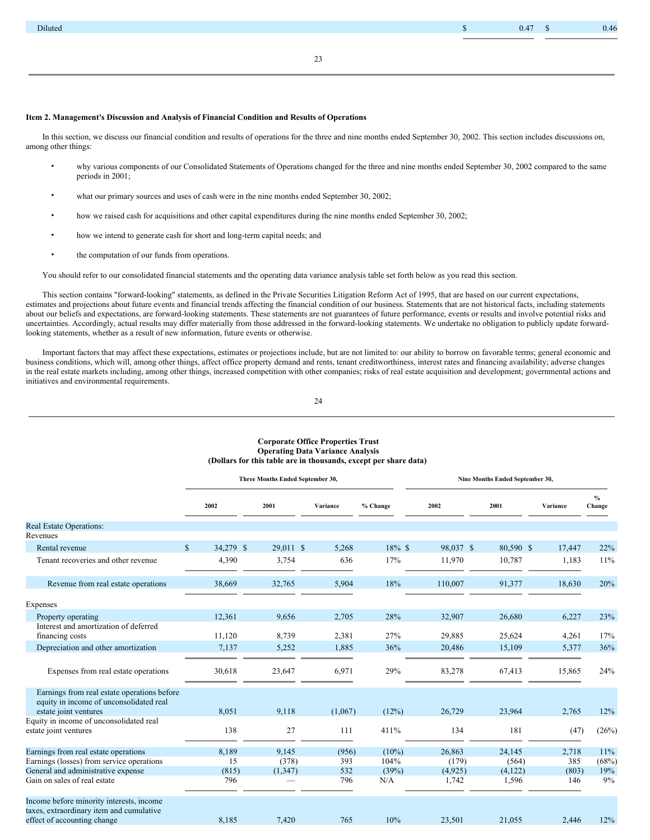23

# <span id="page-15-0"></span>**Item 2. Management's Discussion and Analysis of Financial Condition and Results of Operations**

In this section, we discuss our financial condition and results of operations for the three and nine months ended September 30, 2002. This section includes discussions on, among other things:

- why various components of our Consolidated Statements of Operations changed for the three and nine months ended September 30, 2002 compared to the same periods in 2001;
- what our primary sources and uses of cash were in the nine months ended September 30, 2002;
- how we raised cash for acquisitions and other capital expenditures during the nine months ended September 30, 2002;
- how we intend to generate cash for short and long-term capital needs; and
- the computation of our funds from operations.

You should refer to our consolidated financial statements and the operating data variance analysis table set forth below as you read this section.

This section contains "forward-looking" statements, as defined in the Private Securities Litigation Reform Act of 1995, that are based on our current expectations, estimates and projections about future events and financial trends affecting the financial condition of our business. Statements that are not historical facts, including statements about our beliefs and expectations, are forward-looking statements. These statements are not guarantees of future performance, events or results and involve potential risks and uncertainties. Accordingly, actual results may differ materially from those addressed in the forward-looking statements. We undertake no obligation to publicly update forwardlooking statements, whether as a result of new information, future events or otherwise.

Important factors that may affect these expectations, estimates or projections include, but are not limited to: our ability to borrow on favorable terms; general economic and business conditions, which will, among other things, affect office property demand and rents, tenant creditworthiness, interest rates and financing availability; adverse changes in the real estate markets including, among other things, increased competition with other companies; risks of real estate acquisition and development; governmental actions and initiatives and environmental requirements.

<span id="page-15-1"></span>24

# **Corporate Office Properties Trust Operating Data Variance Analysis (Dollars for this table are in thousands, except per share data)**

|                                                                                                                 |                           | Three Months Ended September 30, |          |          | Nine Months Ended September 30, |           |          |                         |  |  |  |
|-----------------------------------------------------------------------------------------------------------------|---------------------------|----------------------------------|----------|----------|---------------------------------|-----------|----------|-------------------------|--|--|--|
|                                                                                                                 | 2002                      | 2001                             | Variance | % Change | 2002                            | 2001      | Variance | $\frac{0}{0}$<br>Change |  |  |  |
| <b>Real Estate Operations:</b>                                                                                  |                           |                                  |          |          |                                 |           |          |                         |  |  |  |
| Revenues                                                                                                        |                           |                                  |          |          |                                 |           |          |                         |  |  |  |
| Rental revenue                                                                                                  | $\mathbb{S}$<br>34,279 \$ | 29,011 \$                        | 5,268    | 18% \$   | 98,037 \$                       | 80,590 \$ | 17,447   | 22%                     |  |  |  |
| Tenant recoveries and other revenue                                                                             | 4,390                     | 3,754                            | 636      | 17%      | 11,970                          | 10,787    | 1,183    | 11%                     |  |  |  |
| Revenue from real estate operations                                                                             | 38,669                    | 32,765                           | 5,904    | 18%      | 110,007                         | 91,377    | 18,630   | 20%                     |  |  |  |
| Expenses                                                                                                        |                           |                                  |          |          |                                 |           |          |                         |  |  |  |
| Property operating                                                                                              | 12,361                    | 9,656                            | 2,705    | 28%      | 32,907                          | 26,680    | 6,227    | 23%                     |  |  |  |
| Interest and amortization of deferred<br>financing costs                                                        | 11,120                    | 8,739                            | 2,381    | 27%      | 29,885                          | 25,624    | 4,261    | 17%                     |  |  |  |
| Depreciation and other amortization                                                                             | 7,137                     | 5,252                            | 1,885    | 36%      | 20,486                          | 15,109    | 5,377    | 36%                     |  |  |  |
|                                                                                                                 |                           |                                  |          |          |                                 |           |          |                         |  |  |  |
| Expenses from real estate operations                                                                            | 30,618                    | 23,647                           | 6,971    | 29%      | 83,278                          | 67,413    | 15,865   | 24%                     |  |  |  |
| Earnings from real estate operations before<br>equity in income of unconsolidated real<br>estate joint ventures | 8,051                     | 9,118                            | (1,067)  | (12%)    | 26,729                          | 23,964    | 2,765    | 12%                     |  |  |  |
| Equity in income of unconsolidated real                                                                         |                           |                                  |          |          |                                 |           |          |                         |  |  |  |
| estate joint ventures                                                                                           | 138                       | 27                               | 111      | 411%     | 134                             | 181       | (47)     | (26%)                   |  |  |  |
| Earnings from real estate operations                                                                            | 8.189                     | 9,145                            | (956)    | $(10\%)$ | 26,863                          | 24,145    | 2,718    | 11%                     |  |  |  |
| Earnings (losses) from service operations                                                                       | 15                        | (378)                            | 393      | 104%     | (179)                           | (564)     | 385      | (68%)                   |  |  |  |
| General and administrative expense                                                                              | (815)                     | (1, 347)                         | 532      | (39%)    | (4,925)                         | (4,122)   | (803)    | 19%                     |  |  |  |
| Gain on sales of real estate                                                                                    | 796                       |                                  | 796      | N/A      | 1,742                           | 1,596     | 146      | 9%                      |  |  |  |
| Income before minority interests, income<br>taxes, extraordinary item and cumulative                            |                           |                                  |          |          |                                 |           |          |                         |  |  |  |
| effect of accounting change                                                                                     | 8,185                     | 7,420                            | 765      | 10%      | 23,501                          | 21,055    | 2,446    | 12%                     |  |  |  |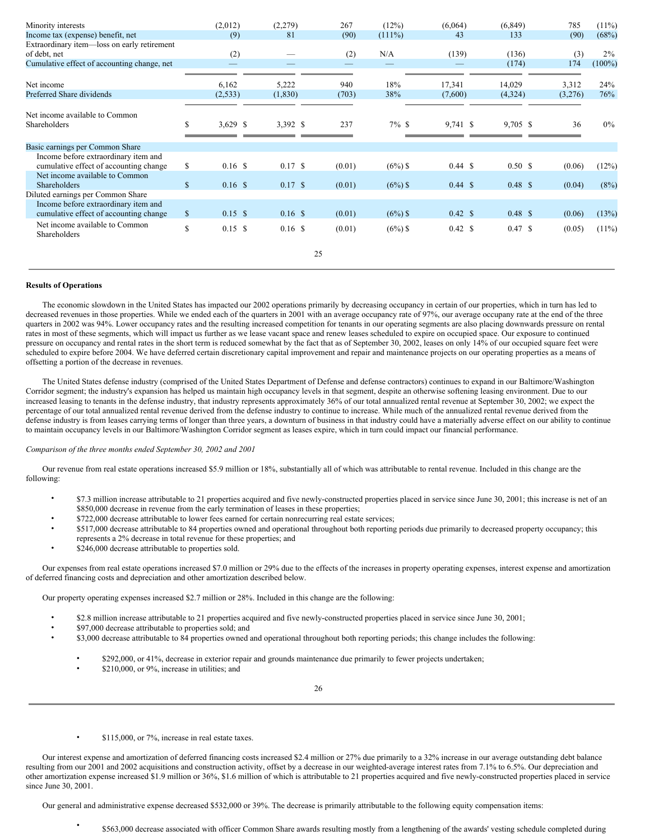| Minority interests                          |              | (2,012)    | (2,279)            |    | 267    | (12%)      | (6,064)            | (6, 849)           |         | 785  | $(11\%)$  |
|---------------------------------------------|--------------|------------|--------------------|----|--------|------------|--------------------|--------------------|---------|------|-----------|
| Income tax (expense) benefit, net           |              | (9)        | 81                 |    | (90)   | $(111\%)$  | 43                 | 133                |         | (90) | (68%)     |
| Extraordinary item—loss on early retirement |              |            |                    |    |        |            |                    |                    |         |      |           |
| of debt, net                                |              | (2)        |                    |    | (2)    | N/A        | (139)              | (136)              |         | (3)  | $2\%$     |
| Cumulative effect of accounting change, net |              |            |                    |    |        |            |                    | (174)              |         | 174  | $(100\%)$ |
|                                             |              |            |                    |    |        |            |                    |                    |         |      |           |
| Net income                                  |              | 6,162      | 5,222              |    | 940    | 18%        | 17,341             | 14,029             | 3,312   |      | 24%       |
| Preferred Share dividends                   |              | (2, 533)   | (1,830)            |    | (703)  | 38%        | (7,600)            | (4,324)            | (3,276) |      | 76%       |
|                                             |              |            |                    |    |        |            |                    |                    |         |      |           |
| Net income available to Common              |              |            |                    |    |        |            |                    |                    |         |      |           |
| Shareholders                                | \$           | $3,629$ \$ | 3,392 \$           |    | 237    | $7\%$ \$   | 9,741 \$           | $9,705$ \$         |         | 36   | $0\%$     |
|                                             |              |            |                    |    |        |            |                    |                    |         |      |           |
| Basic earnings per Common Share             |              |            |                    |    |        |            |                    |                    |         |      |           |
| Income before extraordinary item and        |              |            |                    |    |        |            |                    |                    |         |      |           |
| cumulative effect of accounting change      | \$           | 0.16S      | 0.17S              |    | (0.01) | $(6\%)$ \$ | 0.44S              | 0.50 S             | (0.06)  |      | (12%)     |
| Net income available to Common              |              |            |                    |    |        |            |                    |                    |         |      |           |
| <b>Shareholders</b>                         | $\mathbb{S}$ | $0.16$ \$  | $0.17 \text{ }$ \$ |    | (0.01) | $(6\%)$ \$ | $0.44 \text{ }$ \$ | $0.48 \text{ }$ \$ | (0.04)  |      | (8%)      |
| Diluted earnings per Common Share           |              |            |                    |    |        |            |                    |                    |         |      |           |
| Income before extraordinary item and        |              |            |                    |    |        |            |                    |                    |         |      |           |
| cumulative effect of accounting change      | $\mathbb{S}$ | $0.15$ \$  | $0.16$ \$          |    | (0.01) | $(6\%)$ \$ | $0.42 \text{ } $$  | $0.48 \text{ }$ \$ | (0.06)  |      | (13%)     |
| Net income available to Common              | \$           | 0.15 S     | 0.16 S             |    | (0.01) | $(6\%)$ \$ | $0.42 \text{ }$ \$ | 0.47 S             | (0.05)  |      | $(11\%)$  |
| Shareholders                                |              |            |                    |    |        |            |                    |                    |         |      |           |
|                                             |              |            |                    | 25 |        |            |                    |                    |         |      |           |
|                                             |              |            |                    |    |        |            |                    |                    |         |      |           |

# **Results of Operations**

The economic slowdown in the United States has impacted our 2002 operations primarily by decreasing occupancy in certain of our properties, which in turn has led to decreased revenues in those properties. While we ended each of the quarters in 2001 with an average occupancy rate of 97%, our average occupany rate at the end of the three quarters in 2002 was 94%. Lower occupancy rates and the resulting increased competition for tenants in our operating segments are also placing downwards pressure on rental rates in most of these segments, which will impact us further as we lease vacant space and renew leases scheduled to expire on occupied space. Our exposure to continued pressure on occupancy and rental rates in the short term is reduced somewhat by the fact that as of September 30, 2002, leases on only 14% of our occupied square feet were scheduled to expire before 2004. We have deferred certain discretionary capital improvement and repair and maintenance projects on our operating properties as a means of offsetting a portion of the decrease in revenues.

The United States defense industry (comprised of the United States Department of Defense and defense contractors) continues to expand in our Baltimore/Washington Corridor segment; the industry's expansion has helped us maintain high occupancy levels in that segment, despite an otherwise softening leasing environment. Due to our increased leasing to tenants in the defense industry, that industry represents approximately 36% of our total annualized rental revenue at September 30, 2002; we expect the percentage of our total annualized rental revenue derived from the defense industry to continue to increase. While much of the annualized rental revenue derived from the defense industry is from leases carrying terms of longer than three years, a downturn of business in that industry could have a materially adverse effect on our ability to continue to maintain occupancy levels in our Baltimore/Washington Corridor segment as leases expire, which in turn could impact our financial performance.

# *Comparison of the three months ended September 30, 2002 and 2001*

Our revenue from real estate operations increased \$5.9 million or 18%, substantially all of which was attributable to rental revenue. Included in this change are the following:

- \$7.3 million increase attributable to 21 properties acquired and five newly-constructed properties placed in service since June 30, 2001; this increase is net of an \$850,000 decrease in revenue from the early termination of leases in these properties;
- \$722,000 decrease attributable to lower fees earned for certain nonrecurring real estate services;
- \$517,000 decrease attributable to 84 properties owned and operational throughout both reporting periods due primarily to decreased property occupancy; this represents a 2% decrease in total revenue for these properties; and
- \$246,000 decrease attributable to properties sold.

Our expenses from real estate operations increased \$7.0 million or 29% due to the effects of the increases in property operating expenses, interest expense and amortization of deferred financing costs and depreciation and other amortization described below.

Our property operating expenses increased \$2.7 million or 28%. Included in this change are the following:

- \$2.8 million increase attributable to 21 properties acquired and five newly-constructed properties placed in service since June 30, 2001;
- \$97,000 decrease attributable to properties sold; and
	- \$3,000 decrease attributable to 84 properties owned and operational throughout both reporting periods; this change includes the following:
	- \$292,000, or 41%, decrease in exterior repair and grounds maintenance due primarily to fewer projects undertaken;
	- $$210,000$ , or  $9\%$ , increase in utilities; and

• \$115,000, or 7%, increase in real estate taxes.

Our interest expense and amortization of deferred financing costs increased \$2.4 million or 27% due primarily to a 32% increase in our average outstanding debt balance resulting from our 2001 and 2002 acquisitions and construction activity, offset by a decrease in our weighted-average interest rates from 7.1% to 6.5%. Our depreciation and other amortization expense increased \$1.9 million or 36%, \$1.6 million of which is attributable to 21 properties acquired and five newly-constructed properties placed in service since June 30, 2001.

Our general and administrative expense decreased \$532,000 or 39%. The decrease is primarily attributable to the following equity compensation items:

• \$563,000 decrease associated with officer Common Share awards resulting mostly from <sup>a</sup> lengthening of the awards' vesting schedule completed during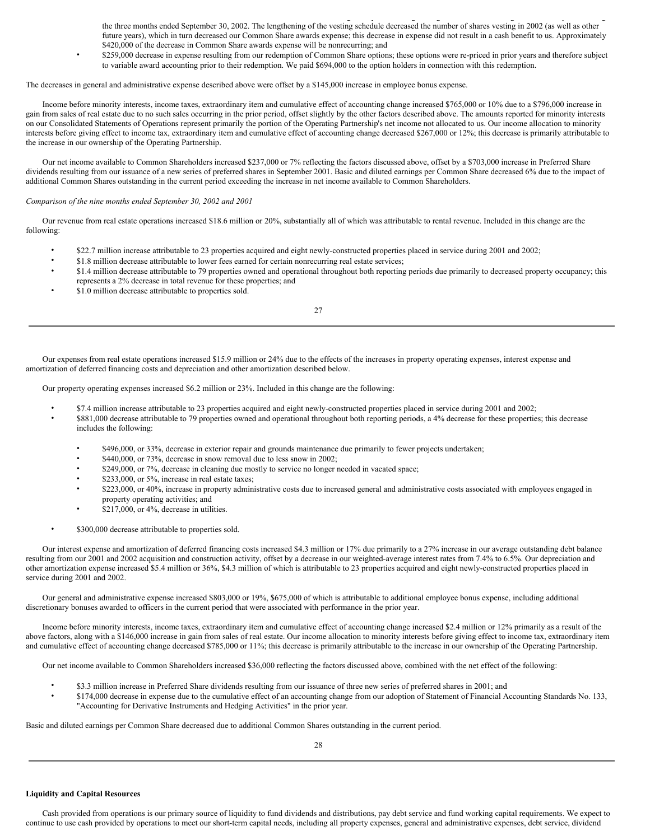the three months ended September 30, 2002. The lengthening of the vesting schedule decreased the number of shares vesting in 2002 (as well as other future years), which in turn decreased our Common Share awards expense; this decrease in expense did not result in a cash benefit to us. Approximately \$420,000 of the decrease in Common Share awards expense will be nonrecurring; and

\$259,000 decrease in expense resulting from our redemption of Common Share options; these options were re-priced in prior years and therefore subject to variable award accounting prior to their redemption. We paid \$694,000 to the option holders in connection with this redemption.

The decreases in general and administrative expense described above were offset by a \$145,000 increase in employee bonus expense.

Income before minority interests, income taxes, extraordinary item and cumulative effect of accounting change increased \$765,000 or 10% due to a \$796,000 increase in gain from sales of real estate due to no such sales occurring in the prior period, offset slightly by the other factors described above. The amounts reported for minority interests on our Consolidated Statements of Operations represent primarily the portion of the Operating Partnership's net income not allocated to us. Our income allocation to minority interests before giving effect to income tax, extraordinary item and cumulative effect of accounting change decreased \$267,000 or 12%; this decrease is primarily attributable to the increase in our ownership of the Operating Partnership.

Our net income available to Common Shareholders increased \$237,000 or 7% reflecting the factors discussed above, offset by a \$703,000 increase in Preferred Share dividends resulting from our issuance of a new series of preferred shares in September 2001. Basic and diluted earnings per Common Share decreased 6% due to the impact of additional Common Shares outstanding in the current period exceeding the increase in net income available to Common Shareholders.

#### *Comparison of the nine months ended September 30, 2002 and 2001*

Our revenue from real estate operations increased \$18.6 million or 20%, substantially all of which was attributable to rental revenue. Included in this change are the following:

- \$22.7 million increase attributable to 23 properties acquired and eight newly-constructed properties placed in service during 2001 and 2002;
- \$1.8 million decrease attributable to lower fees earned for certain nonrecurring real estate services;
- \$1.4 million decrease attributable to 79 properties owned and operational throughout both reporting periods due primarily to decreased property occupancy; this represents a 2% decrease in total revenue for these properties; and

27

• \$1.0 million decrease attributable to properties sold.

Our expenses from real estate operations increased \$15.9 million or 24% due to the effects of the increases in property operating expenses, interest expense and amortization of deferred financing costs and depreciation and other amortization described below.

Our property operating expenses increased \$6.2 million or 23%. Included in this change are the following:

- \$7.4 million increase attributable to 23 properties acquired and eight newly-constructed properties placed in service during 2001 and 2002;
	- \$881,000 decrease attributable to 79 properties owned and operational throughout both reporting periods, a 4% decrease for these properties; this decrease includes the following:
		- \$496,000, or 33%, decrease in exterior repair and grounds maintenance due primarily to fewer projects undertaken;
		- \$440,000, or 73%, decrease in snow removal due to less snow in 2002;
		- \$249,000, or 7%, decrease in cleaning due mostly to service no longer needed in vacated space;
		- \$233,000, or 5%, increase in real estate taxes;
		- \$223,000, or 40%, increase in property administrative costs due to increased general and administrative costs associated with employees engaged in property operating activities; and
		- \$217,000, or 4%, decrease in utilities.
	- \$300,000 decrease attributable to properties sold.

Our interest expense and amortization of deferred financing costs increased \$4.3 million or 17% due primarily to a 27% increase in our average outstanding debt balance resulting from our 2001 and 2002 acquisition and construction activity, offset by a decrease in our weighted-average interest rates from 7.4% to 6.5%. Our depreciation and other amortization expense increased \$5.4 million or 36%, \$4.3 million of which is attributable to 23 properties acquired and eight newly-constructed properties placed in service during 2001 and 2002.

Our general and administrative expense increased \$803,000 or 19%, \$675,000 of which is attributable to additional employee bonus expense, including additional discretionary bonuses awarded to officers in the current period that were associated with performance in the prior year.

Income before minority interests, income taxes, extraordinary item and cumulative effect of accounting change increased \$2.4 million or 12% primarily as a result of the above factors, along with a \$146,000 increase in gain from sales of real estate. Our income allocation to minority interests before giving effect to income tax, extraordinary item and cumulative effect of accounting change decreased \$785,000 or 11%; this decrease is primarily attributable to the increase in our ownership of the Operating Partnership.

Our net income available to Common Shareholders increased \$36,000 reflecting the factors discussed above, combined with the net effect of the following:

- \$3.3 million increase in Preferred Share dividends resulting from our issuance of three new series of preferred shares in 2001; and
- \$174,000 decrease in expense due to the cumulative effect of an accounting change from our adoption of Statement of Financial Accounting Standards No. 133, "Accounting for Derivative Instruments and Hedging Activities" in the prior year.

Basic and diluted earnings per Common Share decreased due to additional Common Shares outstanding in the current period.

### **Liquidity and Capital Resources**

Cash provided from operations is our primary source of liquidity to fund dividends and distributions, pay debt service and fund working capital requirements. We expect to continue to use cash provided by operations to meet our short-term capital needs, including all property expenses, general and administrative expenses, debt service, dividend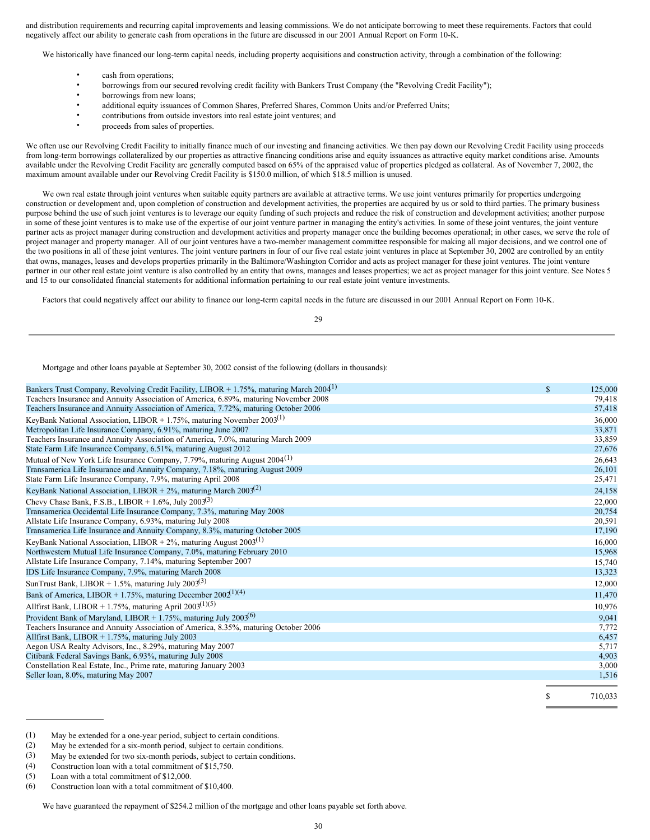and distribution requirements and recurring capital improvements and leasing commissions. We do not anticipate borrowing to meet these requirements. Factors that could negatively affect our ability to generate cash from operations in the future are discussed in our 2001 Annual Report on Form 10-K.

We historically have financed our long-term capital needs, including property acquisitions and construction activity, through a combination of the following:

- cash from operations;
- borrowings from our secured revolving credit facility with Bankers Trust Company (the "Revolving Credit Facility");
- borrowings from new loans;
- additional equity issuances of Common Shares, Preferred Shares, Common Units and/or Preferred Units;
- contributions from outside investors into real estate joint ventures; and
- proceeds from sales of properties.

We often use our Revolving Credit Facility to initially finance much of our investing and financing activities. We then pay down our Revolving Credit Facility using proceeds from long-term borrowings collateralized by our properties as attractive financing conditions arise and equity issuances as attractive equity market conditions arise. Amounts available under the Revolving Credit Facility are generally computed based on 65% of the appraised value of properties pledged as collateral. As of November 7, 2002, the maximum amount available under our Revolving Credit Facility is \$150.0 million, of which \$18.5 million is unused.

We own real estate through joint ventures when suitable equity partners are available at attractive terms. We use joint ventures primarily for properties undergoing construction or development and, upon completion of construction and development activities, the properties are acquired by us or sold to third parties. The primary business purpose behind the use of such joint ventures is to leverage our equity funding of such projects and reduce the risk of construction and development activities; another purpose in some of these joint ventures is to make use of the expertise of our joint venture partner in managing the entity's activities. In some of these joint ventures, the joint venture partner acts as project manager during construction and development activities and property manager once the building becomes operational; in other cases, we serve the role of project manager and property manager. All of our joint ventures have a two-member management committee responsible for making all major decisions, and we control one of the two positions in all of these joint ventures. The joint venture partners in four of our five real estate joint ventures in place at September 30, 2002 are controlled by an entity that owns, manages, leases and develops properties primarily in the Baltimore/Washington Corridor and acts as project manager for these joint ventures. The joint venture partner in our other real estate joint venture is also controlled by an entity that owns, manages and leases properties; we act as project manager for this joint venture. See Notes 5 and 15 to our consolidated financial statements for additional information pertaining to our real estate joint venture investments.

Factors that could negatively affect our ability to finance our long-term capital needs in the future are discussed in our 2001 Annual Report on Form 10-K.

29

Mortgage and other loans payable at September 30, 2002 consist of the following (dollars in thousands):

|                                                                                                                                                                                            | $\mathcal{S}$ |                   |
|--------------------------------------------------------------------------------------------------------------------------------------------------------------------------------------------|---------------|-------------------|
| Bankers Trust Company, Revolving Credit Facility, LIBOR + 1.75%, maturing March 2004 <sup>1)</sup><br>Teachers Insurance and Annuity Association of America, 6.89%, maturing November 2008 |               | 125,000<br>79,418 |
| Teachers Insurance and Annuity Association of America, 7.72%, maturing October 2006                                                                                                        |               | 57,418            |
|                                                                                                                                                                                            |               |                   |
| KeyBank National Association, LIBOR + 1.75%, maturing November 2003 <sup>(1)</sup>                                                                                                         |               | 36,000            |
| Metropolitan Life Insurance Company, 6.91%, maturing June 2007<br>Teachers Insurance and Annuity Association of America, 7.0%, maturing March 2009                                         |               | 33,871<br>33,859  |
| State Farm Life Insurance Company, 6.51%, maturing August 2012                                                                                                                             |               | 27,676            |
|                                                                                                                                                                                            |               |                   |
| Mutual of New York Life Insurance Company, 7.79%, maturing August 2004 <sup>(1)</sup>                                                                                                      |               | 26.643            |
| Transamerica Life Insurance and Annuity Company, 7.18%, maturing August 2009<br>State Farm Life Insurance Company, 7.9%, maturing April 2008                                               |               | 26,101            |
|                                                                                                                                                                                            |               | 25,471            |
| KeyBank National Association, LIBOR + 2%, maturing March $2003^{(2)}$                                                                                                                      |               | 24,158            |
| Chevy Chase Bank, F.S.B., LIBOR + $1.6\%$ , July 2003 <sup>(3)</sup>                                                                                                                       |               | 22,000            |
| Transamerica Occidental Life Insurance Company, 7.3%, maturing May 2008                                                                                                                    |               | 20,754            |
| Allstate Life Insurance Company, 6.93%, maturing July 2008                                                                                                                                 |               | 20,591            |
| Transamerica Life Insurance and Annuity Company, 8.3%, maturing October 2005                                                                                                               |               | 17,190            |
| KeyBank National Association, LIBOR + $2\%$ , maturing August 2003 <sup>(1)</sup>                                                                                                          |               | 16,000            |
| Northwestern Mutual Life Insurance Company, 7.0%, maturing February 2010                                                                                                                   |               | 15,968            |
| Allstate Life Insurance Company, 7.14%, maturing September 2007                                                                                                                            |               | 15,740            |
| IDS Life Insurance Company, 7.9%, maturing March 2008                                                                                                                                      |               | 13,323            |
| SunTrust Bank, LIBOR + 1.5%, maturing July 2003 <sup>(3)</sup>                                                                                                                             |               | 12,000            |
| Bank of America, LIBOR + 1.75%, maturing December $2002^{(1)(4)}$                                                                                                                          |               | 11,470            |
| Allfirst Bank, LIBOR + 1.75%, maturing April 2003 <sup>(1)(5)</sup>                                                                                                                        |               | 10,976            |
| Provident Bank of Maryland, LIBOR + 1.75%, maturing July 2003 <sup>(6)</sup>                                                                                                               |               | 9.041             |
| Teachers Insurance and Annuity Association of America, 8.35%, maturing October 2006                                                                                                        |               | 7,772             |
| Allfirst Bank, LIBOR + 1.75%, maturing July 2003                                                                                                                                           |               | 6,457             |
| Aegon USA Realty Advisors, Inc., 8.29%, maturing May 2007                                                                                                                                  |               | 5,717             |
| Citibank Federal Savings Bank, 6.93%, maturing July 2008                                                                                                                                   |               | 4,903             |
| Constellation Real Estate, Inc., Prime rate, maturing January 2003                                                                                                                         |               | 3,000             |
| Seller loan, 8.0%, maturing May 2007                                                                                                                                                       |               | 1,516             |
|                                                                                                                                                                                            |               |                   |
|                                                                                                                                                                                            |               | 710.033           |

(1) May be extended for a one-year period, subject to certain conditions.<br>(2) May be extended for a six-month period, subject to certain conditions

- May be extended for a six-month period, subject to certain conditions.
- (3) May be extended for two six-month periods, subject to certain conditions.
- (4) Construction loan with a total commitment of \$15,750.
- (5) Loan with a total commitment of \$12,000.

<sup>(6)</sup> Construction loan with a total commitment of \$10,400.

We have guaranteed the repayment of \$254.2 million of the mortgage and other loans payable set forth above.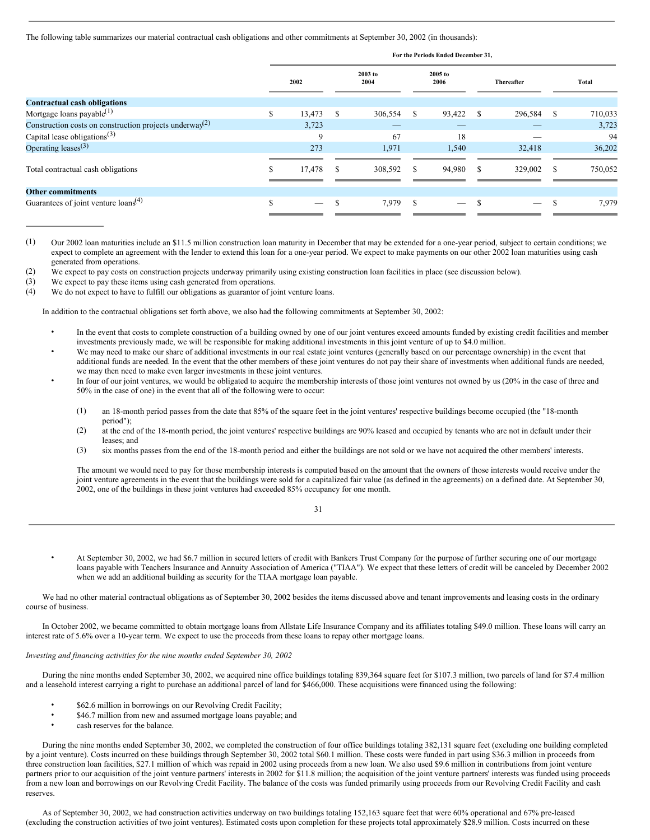The following table summarizes our material contractual cash obligations and other commitments at September 30, 2002 (in thousands):

|                                                                     |    | For the Periods Ended December 31, |               |                   |                 |                                 |            |                          |    |              |  |
|---------------------------------------------------------------------|----|------------------------------------|---------------|-------------------|-----------------|---------------------------------|------------|--------------------------|----|--------------|--|
|                                                                     |    | 2002                               |               | $2003$ to<br>2004 | 2005 to<br>2006 |                                 | Thereafter |                          |    | <b>Total</b> |  |
| <b>Contractual cash obligations</b>                                 |    |                                    |               |                   |                 |                                 |            |                          |    |              |  |
| Mortgage loans payable $(1)$                                        | S. | 13,473                             | <sup>S</sup>  | 306,554           | <sup>\$</sup>   | 93,422                          | S          | 296,584                  | -S | 710,033      |  |
| Construction costs on construction projects underway <sup>(2)</sup> |    | 3,723                              |               | _                 |                 |                                 |            |                          |    | 3,723        |  |
| Capital lease obligations $(3)$                                     |    | 9                                  |               | 67                |                 | 18                              |            | $\overline{\phantom{a}}$ |    | 94           |  |
| Operating leases $^{(3)}$                                           |    | 273                                |               | 1,971             |                 | 1,540                           |            | 32,418                   |    | 36,202       |  |
| Total contractual cash obligations                                  | S  | 17,478                             | <sup>\$</sup> | 308,592           | S.              | 94,980                          | <b>S</b>   | 329,002                  | -S | 750,052      |  |
| <b>Other commitments</b>                                            |    |                                    |               |                   |                 |                                 |            |                          |    |              |  |
| Guarantees of joint venture loans <sup>(4)</sup>                    | S  |                                    |               | 7,979             | <sup>\$</sup>   | $\hspace{0.1mm}-\hspace{0.1mm}$ |            |                          |    | 7,979        |  |

(1) Our 2002 loan maturities include an \$11.5 million construction loan maturity in December that may be extended for a one-year period, subject to certain conditions; we expect to complete an agreement with the lender to extend this loan for a one-year period. We expect to make payments on our other 2002 loan maturities using cash generated from operations.

(2) We expect to pay costs on construction projects underway primarily using existing construction loan facilities in place (see discussion below).

(3) We expect to pay these items using cash generated from operations.<br>  $(4)$  We do not expect to have to fulfill our obligations as guarantor of io

We do not expect to have to fulfill our obligations as guarantor of joint venture loans.

In addition to the contractual obligations set forth above, we also had the following commitments at September 30, 2002:

- In the event that costs to complete construction of a building owned by one of our joint ventures exceed amounts funded by existing credit facilities and member investments previously made, we will be responsible for making additional investments in this joint venture of up to \$4.0 million.
- We may need to make our share of additional investments in our real estate joint ventures (generally based on our percentage ownership) in the event that additional funds are needed. In the event that the other members of these joint ventures do not pay their share of investments when additional funds are needed, we may then need to make even larger investments in these joint ventures.
	- In four of our joint ventures, we would be obligated to acquire the membership interests of those joint ventures not owned by us (20% in the case of three and 50% in the case of one) in the event that all of the following were to occur:
		- (1) an 18-month period passes from the date that 85% of the square feet in the joint ventures' respective buildings become occupied (the "18-month period");
		- (2) at the end of the 18-month period, the joint ventures' respective buildings are 90% leased and occupied by tenants who are not in default under their leases; and
		- (3) six months passes from the end of the 18-month period and either the buildings are not sold or we have not acquired the other members' interests.

The amount we would need to pay for those membership interests is computed based on the amount that the owners of those interests would receive under the joint venture agreements in the event that the buildings were sold for a capitalized fair value (as defined in the agreements) on a defined date. At September 30, 2002, one of the buildings in these joint ventures had exceeded 85% occupancy for one month.

• At September 30, 2002, we had \$6.7 million in secured letters of credit with Bankers Trust Company for the purpose of further securing one of our mortgage loans payable with Teachers Insurance and Annuity Association of America ("TIAA"). We expect that these letters of credit will be canceled by December 2002 when we add an additional building as security for the TIAA mortgage loan payable.

We had no other material contractual obligations as of September 30, 2002 besides the items discussed above and tenant improvements and leasing costs in the ordinary course of business.

In October 2002, we became committed to obtain mortgage loans from Allstate Life Insurance Company and its affiliates totaling \$49.0 million. These loans will carry an interest rate of 5.6% over a 10-year term. We expect to use the proceeds from these loans to repay other mortgage loans.

# *Investing and financing activities for the nine months ended September 30, 2002*

During the nine months ended September 30, 2002, we acquired nine office buildings totaling 839,364 square feet for \$107.3 million, two parcels of land for \$7.4 million and a leasehold interest carrying a right to purchase an additional parcel of land for \$466,000. These acquisitions were financed using the following:

- \$62.6 million in borrowings on our Revolving Credit Facility;
- \$46.7 million from new and assumed mortgage loans payable; and
- cash reserves for the balance.

During the nine months ended September 30, 2002, we completed the construction of four office buildings totaling 382,131 square feet (excluding one building completed by a joint venture). Costs incurred on these buildings through September 30, 2002 total \$60.1 million. These costs were funded in part using \$36.3 million in proceeds from three construction loan facilities, \$27.1 million of which was repaid in 2002 using proceeds from a new loan. We also used \$9.6 million in contributions from joint venture partners prior to our acquisition of the joint venture partners' interests in 2002 for \$11.8 million; the acquisition of the joint venture partners' interests was funded using proceeds from a new loan and borrowings on our Revolving Credit Facility. The balance of the costs was funded primarily using proceeds from our Revolving Credit Facility and cash reserves.

As of September 30, 2002, we had construction activities underway on two buildings totaling 152,163 square feet that were 60% operational and 67% pre-leased (excluding the construction activities of two joint ventures). Estimated costs upon completion for these projects total approximately \$28.9 million. Costs incurred on these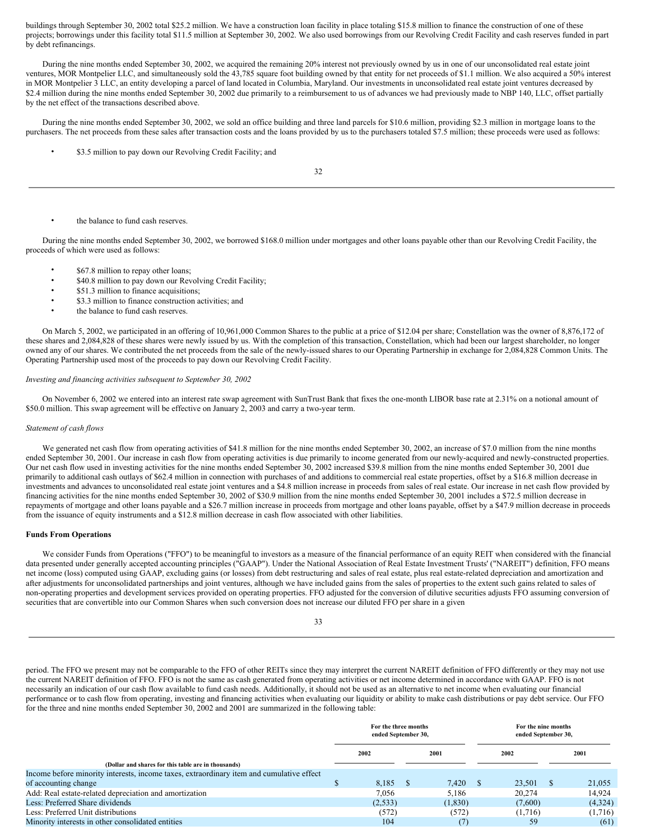buildings through September 30, 2002 total \$25.2 million. We have a construction loan facility in place totaling \$15.8 million to finance the construction of one of these projects; borrowings under this facility total \$11.5 million at September 30, 2002. We also used borrowings from our Revolving Credit Facility and cash reserves funded in part by debt refinancings.

During the nine months ended September 30, 2002, we acquired the remaining 20% interest not previously owned by us in one of our unconsolidated real estate joint ventures, MOR Montpelier LLC, and simultaneously sold the 43,785 square foot building owned by that entity for net proceeds of \$1.1 million. We also acquired a 50% interest in MOR Montpelier 3 LLC, an entity developing a parcel of land located in Columbia, Maryland. Our investments in unconsolidated real estate joint ventures decreased by \$2.4 million during the nine months ended September 30, 2002 due primarily to a reimbursement to us of advances we had previously made to NBP 140, LLC, offset partially by the net effect of the transactions described above.

During the nine months ended September 30, 2002, we sold an office building and three land parcels for \$10.6 million, providing \$2.3 million in mortgage loans to the purchasers. The net proceeds from these sales after transaction costs and the loans provided by us to the purchasers totaled \$7.5 million; these proceeds were used as follows:

• \$3.5 million to pay down our Revolving Credit Facility; and

32

the balance to fund cash reserves.

During the nine months ended September 30, 2002, we borrowed \$168.0 million under mortgages and other loans payable other than our Revolving Credit Facility, the proceeds of which were used as follows:

- \$67.8 million to repay other loans;
- \$40.8 million to pay down our Revolving Credit Facility;
- \$51.3 million to finance acquisitions;
- \$3.3 million to finance construction activities; and
- the balance to fund cash reserves.

On March 5, 2002, we participated in an offering of 10,961,000 Common Shares to the public at a price of \$12.04 per share; Constellation was the owner of 8,876,172 of these shares and 2,084,828 of these shares were newly issued by us. With the completion of this transaction, Constellation, which had been our largest shareholder, no longer owned any of our shares. We contributed the net proceeds from the sale of the newly-issued shares to our Operating Partnership in exchange for 2,084,828 Common Units. The Operating Partnership used most of the proceeds to pay down our Revolving Credit Facility.

#### *Investing and financing activities subsequent to September 30, 2002*

On November 6, 2002 we entered into an interest rate swap agreement with SunTrust Bank that fixes the one-month LIBOR base rate at 2.31% on a notional amount of \$50.0 million. This swap agreement will be effective on January 2, 2003 and carry a two-year term.

#### *Statement of cash flows*

We generated net cash flow from operating activities of \$41.8 million for the nine months ended September 30, 2002, an increase of \$7.0 million from the nine months ended September 30, 2001. Our increase in cash flow from operating activities is due primarily to income generated from our newly-acquired and newly-constructed properties. Our net cash flow used in investing activities for the nine months ended September 30, 2002 increased \$39.8 million from the nine months ended September 30, 2001 due primarily to additional cash outlays of \$62.4 million in connection with purchases of and additions to commercial real estate properties, offset by a \$16.8 million decrease in investments and advances to unconsolidated real estate joint ventures and a \$4.8 million increase in proceeds from sales of real estate. Our increase in net cash flow provided by financing activities for the nine months ended September 30, 2002 of \$30.9 million from the nine months ended September 30, 2001 includes a \$72.5 million decrease in repayments of mortgage and other loans payable and a \$26.7 million increase in proceeds from mortgage and other loans payable, offset by a \$47.9 million decrease in proceeds from the issuance of equity instruments and a \$12.8 million decrease in cash flow associated with other liabilities.

# **Funds From Operations**

We consider Funds from Operations ("FFO") to be meaningful to investors as a measure of the financial performance of an equity REIT when considered with the financial data presented under generally accepted accounting principles ("GAAP"). Under the National Association of Real Estate Investment Trusts' ("NAREIT") definition, FFO means net income (loss) computed using GAAP, excluding gains (or losses) from debt restructuring and sales of real estate, plus real estate-related depreciation and amortization and after adjustments for unconsolidated partnerships and joint ventures, although we have included gains from the sales of properties to the extent such gains related to sales of non-operating properties and development services provided on operating properties. FFO adjusted for the conversion of dilutive securities adjusts FFO assuming conversion of securities that are convertible into our Common Shares when such conversion does not increase our diluted FFO per share in a given

33

period. The FFO we present may not be comparable to the FFO of other REITs since they may interpret the current NAREIT definition of FFO differently or they may not use the current NAREIT definition of FFO. FFO is not the same as cash generated from operating activities or net income determined in accordance with GAAP. FFO is not necessarily an indication of our cash flow available to fund cash needs. Additionally, it should not be used as an alternative to net income when evaluating our financial performance or to cash flow from operating, investing and financing activities when evaluating our liquidity or ability to make cash distributions or pay debt service. Our FFO for the three and nine months ended September 30, 2002 and 2001 are summarized in the following table:

|                                                                                          | For the three months<br>ended September 30, |         |  |         |  | For the nine months<br>ended September 30, |  |         |  |  |
|------------------------------------------------------------------------------------------|---------------------------------------------|---------|--|---------|--|--------------------------------------------|--|---------|--|--|
|                                                                                          |                                             | 2002    |  | 2001    |  | 2002                                       |  | 2001    |  |  |
| (Dollar and shares for this table are in thousands)                                      |                                             |         |  |         |  |                                            |  |         |  |  |
| Income before minority interests, income taxes, extraordinary item and cumulative effect |                                             |         |  |         |  |                                            |  |         |  |  |
| of accounting change                                                                     |                                             | 8,185   |  | 7.420   |  | 23.501                                     |  | 21,055  |  |  |
| Add: Real estate-related depreciation and amortization                                   |                                             | 7.056   |  | 5.186   |  | 20,274                                     |  | 14.924  |  |  |
| Less: Preferred Share dividends                                                          |                                             | (2,533) |  | (1,830) |  | (7,600)                                    |  | (4,324) |  |  |
| Less: Preferred Unit distributions                                                       |                                             | (572)   |  | (572)   |  | (1,716)                                    |  | (1,716) |  |  |
| Minority interests in other consolidated entities                                        |                                             | 104     |  | (7)     |  | 59                                         |  | (61)    |  |  |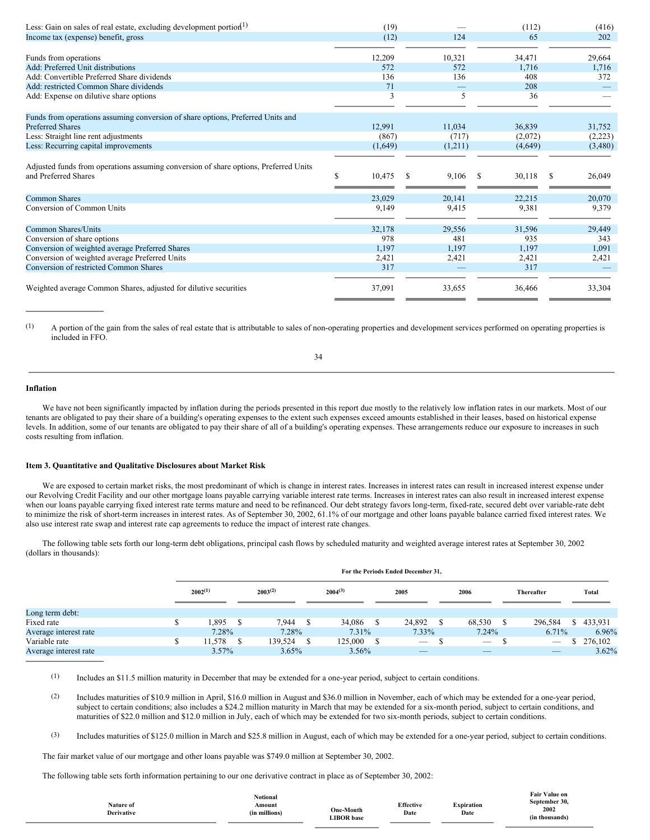| Less: Gain on sales of real estate, excluding development portion $\mathbf{f}^{(1)}$ | (19)         |            | (112)       | (416)        |
|--------------------------------------------------------------------------------------|--------------|------------|-------------|--------------|
| Income tax (expense) benefit, gross                                                  | (12)         | 124        | 65          | 202          |
|                                                                                      |              |            |             |              |
| Funds from operations                                                                | 12,209       | 10,321     | 34,471      | 29,664       |
| Add: Preferred Unit distributions                                                    | 572          | 572        | 1,716       | 1,716        |
| Add: Convertible Preferred Share dividends                                           | 136          | 136        | 408         | 372          |
| Add: restricted Common Share dividends                                               | 71           |            | 208         |              |
| Add: Expense on dilutive share options                                               | 3            | 5          | 36          |              |
|                                                                                      |              |            |             |              |
| Funds from operations assuming conversion of share options, Preferred Units and      |              |            |             |              |
| <b>Preferred Shares</b>                                                              | 12,991       | 11,034     | 36,839      | 31,752       |
| Less: Straight line rent adjustments                                                 | (867)        | (717)      | (2,072)     | (2,223)      |
| Less: Recurring capital improvements                                                 | (1,649)      | (1,211)    | (4,649)     | (3,480)      |
|                                                                                      |              |            |             |              |
| Adjusted funds from operations assuming conversion of share options, Preferred Units |              |            |             |              |
| and Preferred Shares                                                                 | \$<br>10,475 | 9,106<br>S | S<br>30,118 | 26,049<br>-S |
|                                                                                      |              |            |             |              |
| <b>Common Shares</b>                                                                 | 23,029       | 20,141     | 22,215      | 20,070       |
| Conversion of Common Units                                                           | 9,149        | 9,415      | 9,381       | 9,379        |
|                                                                                      |              |            |             |              |
| <b>Common Shares/Units</b>                                                           | 32,178       | 29,556     | 31,596      | 29,449       |
| Conversion of share options                                                          | 978          | 481        | 935         | 343          |
| Conversion of weighted average Preferred Shares                                      | 1,197        | 1,197      | 1,197       | 1,091        |
| Conversion of weighted average Preferred Units                                       | 2,421        | 2,421      | 2,421       | 2,421        |
| Conversion of restricted Common Shares                                               | 317          |            | 317         |              |
|                                                                                      |              |            |             |              |
| Weighted average Common Shares, adjusted for dilutive securities                     | 37,091       | 33,655     | 36,466      | 33,304       |

(1) A portion of the gain from the sales of real estate that is attributable to sales of non-operating properties and development services performed on operating properties is included in FFO.

|                   | I<br>٧ |
|-------------------|--------|
| ۰,<br>I<br>$\sim$ |        |

#### **Inflation**

We have not been significantly impacted by inflation during the periods presented in this report due mostly to the relatively low inflation rates in our markets. Most of our tenants are obligated to pay their share of a building's operating expenses to the extent such expenses exceed amounts established in their leases, based on historical expense levels. In addition, some of our tenants are obligated to pay their share of all of a building's operating expenses. These arrangements reduce our exposure to increases in such costs resulting from inflation.

# <span id="page-21-0"></span>**Item 3. Quantitative and Qualitative Disclosures about Market Risk**

We are exposed to certain market risks, the most predominant of which is change in interest rates. Increases in interest rates can result in increased interest expense under our Revolving Credit Facility and our other mortgage loans payable carrying variable interest rate terms. Increases in interest rates can also result in increased interest expense when our loans payable carrying fixed interest rate terms mature and need to be refinanced. Our debt strategy favors long-term, fixed-rate, secured debt over variable-rate debt to minimize the risk of short-term increases in interest rates. As of September 30, 2002, 61.1% of our mortgage and other loans payable balance carried fixed interest rates. We also use interest rate swap and interest rate cap agreements to reduce the impact of interest rate changes.

The following table sets forth our long-term debt obligations, principal cash flows by scheduled maturity and weighted average interest rates at September 30, 2002 (dollars in thousands):

|                       | For the Periods Ended December 31, |  |              |  |              |   |                                 |   |                                 |  |                                 |     |           |
|-----------------------|------------------------------------|--|--------------|--|--------------|---|---------------------------------|---|---------------------------------|--|---------------------------------|-----|-----------|
|                       | $2002^{(1)}$                       |  | $2003^{(2)}$ |  | $2004^{(3)}$ |   | 2005                            |   | 2006                            |  | <b>Thereafter</b>               |     | Total     |
| Long term debt:       |                                    |  |              |  |              |   |                                 |   |                                 |  |                                 |     |           |
| Fixed rate            | 1,895                              |  | 7.944        |  | 34,086       | S | 24,892                          |   | 68,530                          |  | 296,584                         | Эh. | 433,931   |
| Average interest rate | 7.28%                              |  | 7.28%        |  | $7.31\%$     |   | 7.33%                           |   | 7.24%                           |  | $6.71\%$                        |     | 6.96%     |
| Variable rate         | 1,578                              |  | 139,524      |  | 125,000      | S | $\hspace{0.1mm}-\hspace{0.1mm}$ | ъ | $\hspace{0.1mm}-\hspace{0.1mm}$ |  | $\hspace{0.1mm}-\hspace{0.1mm}$ |     | \$276,102 |
| Average interest rate | $3.57\%$                           |  | 3.65%        |  | $3.56\%$     |   | $-$                             |   | _                               |  |                                 |     | 3.62%     |

(1) Includes an \$11.5 million maturity in December that may be extended for a one-year period, subject to certain conditions.

- (2) Includes maturities of \$10.9 million in April, \$16.0 million in August and \$36.0 million in November, each of which may be extended for a one-year period, subject to certain conditions; also includes a \$24.2 million maturity in March that may be extended for a six-month period, subject to certain conditions, and maturities of \$22.0 million and \$12.0 million in July, each of which may be extended for two six-month periods, subject to certain conditions.
- (3) Includes maturities of \$125.0 million in March and \$25.8 million in August, each of which may be extended for a one-year period, subject to certain conditions.

The fair market value of our mortgage and other loans payable was \$749.0 million at September 30, 2002.

The following table sets forth information pertaining to our one derivative contract in place as of September 30, 2002:

| Nature of<br><b>Derivative</b> | Notional<br>Amount<br>(in millions) | <b>One-Month</b><br><b>IBOR</b> base | Effective<br>Date<br>. | xpiration<br>Date | <b>Fair Value on</b><br>September 30.<br>2002<br>(in thousands) |
|--------------------------------|-------------------------------------|--------------------------------------|------------------------|-------------------|-----------------------------------------------------------------|
|                                |                                     |                                      |                        |                   |                                                                 |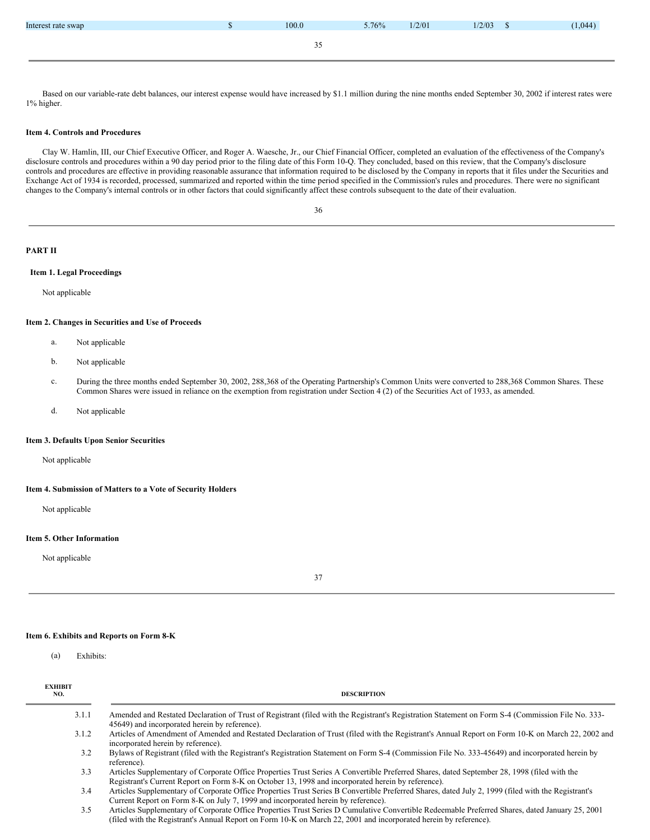| Interest rate swap | 100.0      | 5.76% | 1/2/01 | 1/2/03 | (1,044) |
|--------------------|------------|-------|--------|--------|---------|
|                    |            |       |        |        |         |
|                    | - -<br>ر ر |       |        |        |         |

Based on our variable-rate debt balances, our interest expense would have increased by \$1.1 million during the nine months ended September 30, 2002 if interest rates were 1% higher.

# <span id="page-22-0"></span>**Item 4. Controls and Procedures**

Clay W. Hamlin, III, our Chief Executive Officer, and Roger A. Waesche, Jr., our Chief Financial Officer, completed an evaluation of the effectiveness of the Company's disclosure controls and procedures within a 90 day period prior to the filing date of this Form 10-Q. They concluded, based on this review, that the Company's disclosure controls and procedures are effective in providing reasonable assurance that information required to be disclosed by the Company in reports that it files under the Securities and Exchange Act of 1934 is recorded, processed, summarized and reported within the time period specified in the Commission's rules and procedures. There were no significant changes to the Company's internal controls or in other factors that could significantly affect these controls subsequent to the date of their evaluation.

36

# <span id="page-22-1"></span>**PART II**

# <span id="page-22-2"></span>**Item 1. Legal Proceedings**

Not applicable

# <span id="page-22-3"></span>**Item 2. Changes in Securities and Use of Proceeds**

- a. Not applicable
- b. Not applicable
- c. During the three months ended September 30, 2002, 288,368 of the Operating Partnership's Common Units were converted to 288,368 Common Shares. These Common Shares were issued in reliance on the exemption from registration under Section 4 (2) of the Securities Act of 1933, as amended.
- d. Not applicable

# <span id="page-22-4"></span>**Item 3. Defaults Upon Senior Securities**

Not applicable

# <span id="page-22-5"></span>**Item 4. Submission of Matters to a Vote of Security Holders**

Not applicable

### <span id="page-22-6"></span>**Item 5. Other Information**

Not applicable

# <span id="page-22-7"></span>**Item 6. Exhibits and Reports on Form 8-K**

(a) Exhibits:

| <b>EXHIBIT</b><br>NO. | <b>DESCRIPTION</b>                                                                                                                                                                                                                                                  |
|-----------------------|---------------------------------------------------------------------------------------------------------------------------------------------------------------------------------------------------------------------------------------------------------------------|
| 3.1.1                 | Amended and Restated Declaration of Trust of Registrant (filed with the Registrant's Registration Statement on Form S-4 (Commission File No. 333-<br>45649) and incorporated herein by reference).                                                                  |
| 3.1.2                 | Articles of Amendment of Amended and Restated Declaration of Trust (filed with the Registrant's Annual Report on Form 10-K on March 22, 2002 and<br>incorporated herein by reference).                                                                              |
| 3.2                   | Bylaws of Registrant (filed with the Registrant's Registration Statement on Form S-4 (Commission File No. 333-45649) and incorporated herein by<br>reference).                                                                                                      |
| 3.3                   | Articles Supplementary of Corporate Office Properties Trust Series A Convertible Preferred Shares, dated September 28, 1998 (filed with the<br>Registrant's Current Report on Form 8-K on October 13, 1998 and incorporated herein by reference).                   |
| 3.4                   | Articles Supplementary of Corporate Office Properties Trust Series B Convertible Preferred Shares, dated July 2, 1999 (filed with the Registrant's<br>Current Report on Form 8-K on July 7, 1999 and incorporated herein by reference).                             |
| 3.5                   | Articles Supplementary of Corporate Office Properties Trust Series D Cumulative Convertible Redeemable Preferred Shares, dated January 25, 2001<br>(filed with the Registrant's Annual Report on Form 10-K on March 22, 2001 and incorporated herein by reference). |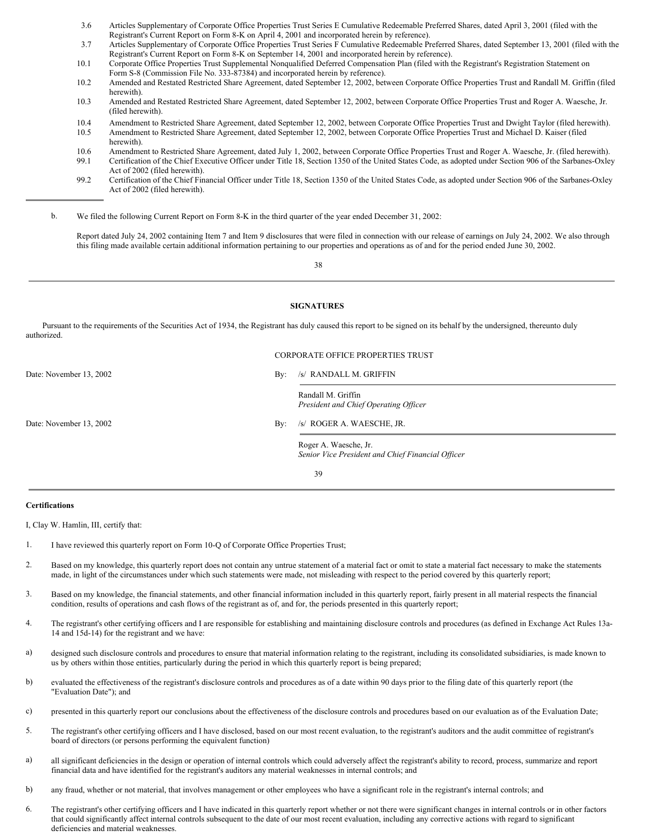- 3.6 Articles Supplementary of Corporate Office Properties Trust Series E Cumulative Redeemable Preferred Shares, dated April 3, 2001 (filed with the Registrant's Current Report on Form 8-K on April 4, 2001 and incorporated herein by reference).
- 3.7 Articles Supplementary of Corporate Office Properties Trust Series F Cumulative Redeemable Preferred Shares, dated September 13, 2001 (filed with the Registrant's Current Report on Form 8-K on September 14, 2001 and incorporated herein by reference).
- 10.1 Corporate Office Properties Trust Supplemental Nonqualified Deferred Compensation Plan (filed with the Registrant's Registration Statement on Form S-8 (Commission File No. 333-87384) and incorporated herein by reference).
- 10.2 Amended and Restated Restricted Share Agreement, dated September 12, 2002, between Corporate Office Properties Trust and Randall M. Griffin (filed herewith).
- 10.3 Amended and Restated Restricted Share Agreement, dated September 12, 2002, between Corporate Office Properties Trust and Roger A. Waesche, Jr. (filed herewith).
- 10.4 Amendment to Restricted Share Agreement, dated September 12, 2002, between Corporate Office Properties Trust and Dwight Taylor (filed herewith). 10.5 Amendment to Restricted Share Agreement, dated September 12, 2002, between Corporate Office Properties Trust and Michael D. Kaiser (filed
- herewith).
- 10.6 Amendment to Restricted Share Agreement, dated July 1, 2002, between Corporate Office Properties Trust and Roger A. Waesche, Jr. (filed herewith). 99.1 Certification of the Chief Executive Officer under Title 18, Section 1350 of the United States Code, as adopted under Section 906 of the Sarbanes-Oxley Act of 2002 (filed herewith).
- 99.2 Certification of the Chief Financial Officer under Title 18, Section 1350 of the United States Code, as adopted under Section 906 of the Sarbanes-Oxley Act of 2002 (filed herewith).

b. We filed the following Current Report on Form 8-K in the third quarter of the year ended December 31, 2002:

Report dated July 24, 2002 containing Item 7 and Item 9 disclosures that were filed in connection with our release of earnings on July 24, 2002. We also through this filing made available certain additional information pertaining to our properties and operations as of and for the period ended June 30, 2002.

38

# <span id="page-23-0"></span>**SIGNATURES**

Pursuant to the requirements of the Securities Act of 1934, the Registrant has duly caused this report to be signed on its behalf by the undersigned, thereunto duly authorized.

|                         |            | <b>CORPORATE OFFICE PROPERTIES TRUST</b>                                   |
|-------------------------|------------|----------------------------------------------------------------------------|
| Date: November 13, 2002 | $\rm\,By:$ | /s/ RANDALL M. GRIFFIN                                                     |
|                         |            | Randall M. Griffin<br>President and Chief Operating Officer                |
| Date: November 13, 2002 | $\rm\,By:$ | /s/ ROGER A. WAESCHE, JR.                                                  |
|                         |            | Roger A. Waesche, Jr.<br>Senior Vice President and Chief Financial Officer |
|                         |            | 39                                                                         |

#### **Certifications**

I, Clay W. Hamlin, III, certify that:

- 1. I have reviewed this quarterly report on Form 10-Q of Corporate Office Properties Trust;
- 2. Based on my knowledge, this quarterly report does not contain any untrue statement of a material fact or omit to state a material fact necessary to make the statements made, in light of the circumstances under which such statements were made, not misleading with respect to the period covered by this quarterly report;
- 3. Based on my knowledge, the financial statements, and other financial information included in this quarterly report, fairly present in all material respects the financial condition, results of operations and cash flows of the registrant as of, and for, the periods presented in this quarterly report;
- 4. The registrant's other certifying officers and I are responsible for establishing and maintaining disclosure controls and procedures (as defined in Exchange Act Rules 13a-14 and 15d-14) for the registrant and we have:
- a) designed such disclosure controls and procedures to ensure that material information relating to the registrant, including its consolidated subsidiaries, is made known to us by others within those entities, particularly during the period in which this quarterly report is being prepared;
- b) evaluated the effectiveness of the registrant's disclosure controls and procedures as of a date within 90 days prior to the filing date of this quarterly report (the "Evaluation Date"); and
- c) presented in this quarterly report our conclusions about the effectiveness of the disclosure controls and procedures based on our evaluation as of the Evaluation Date;
- 5. The registrant's other certifying officers and I have disclosed, based on our most recent evaluation, to the registrant's auditors and the audit committee of registrant's board of directors (or persons performing the equivalent function)
- a) all significant deficiencies in the design or operation of internal controls which could adversely affect the registrant's ability to record, process, summarize and report financial data and have identified for the registrant's auditors any material weaknesses in internal controls; and
- b) any fraud, whether or not material, that involves management or other employees who have a significant role in the registrant's internal controls; and
- 6. The registrant's other certifying officers and I have indicated in this quarterly report whether or not there were significant changes in internal controls or in other factors that could significantly affect internal controls subsequent to the date of our most recent evaluation, including any corrective actions with regard to significant deficiencies and material weaknesses.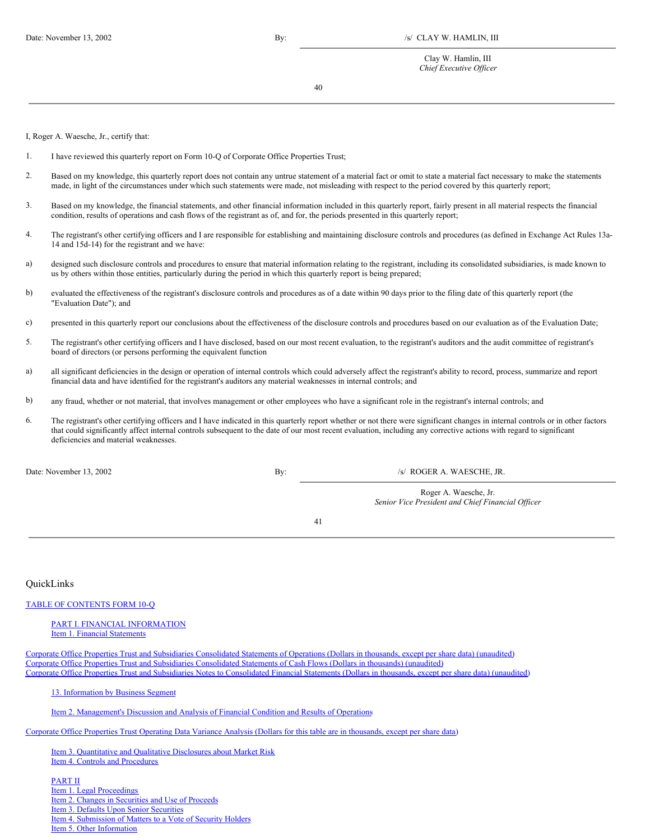### Clay W. Hamlin, III *Chief Executive Of icer*

40

I, Roger A. Waesche, Jr., certify that:

- 1. I have reviewed this quarterly report on Form 10-Q of Corporate Office Properties Trust;
- 2. Based on my knowledge, this quarterly report does not contain any untrue statement of a material fact or omit to state a material fact necessary to make the statements made, in light of the circumstances under which such statements were made, not misleading with respect to the period covered by this quarterly report;
- 3. Based on my knowledge, the financial statements, and other financial information included in this quarterly report, fairly present in all material respects the financial condition, results of operations and cash flows of the registrant as of, and for, the periods presented in this quarterly report;
- 4. The registrant's other certifying officers and I are responsible for establishing and maintaining disclosure controls and procedures (as defined in Exchange Act Rules 13a-14 and 15d-14) for the registrant and we have:
- a) designed such disclosure controls and procedures to ensure that material information relating to the registrant, including its consolidated subsidiaries, is made known to us by others within those entities, particularly during the period in which this quarterly report is being prepared;
- b) evaluated the effectiveness of the registrant's disclosure controls and procedures as of a date within 90 days prior to the filing date of this quarterly report (the "Evaluation Date"); and
- c) presented in this quarterly report our conclusions about the effectiveness of the disclosure controls and procedures based on our evaluation as of the Evaluation Date;
- 5. The registrant's other certifying officers and I have disclosed, based on our most recent evaluation, to the registrant's auditors and the audit committee of registrant's board of directors (or persons performing the equivalent function
- a) all significant deficiencies in the design or operation of internal controls which could adversely affect the registrant's ability to record, process, summarize and report financial data and have identified for the registrant's auditors any material weaknesses in internal controls; and
- b) any fraud, whether or not material, that involves management or other employees who have a significant role in the registrant's internal controls; and
- 6. The registrant's other certifying officers and I have indicated in this quarterly report whether or not there were significant changes in internal controls or in other factors that could significantly affect internal controls subsequent to the date of our most recent evaluation, including any corrective actions with regard to significant deficiencies and material weaknesses.

Date: November 13, 2002 **By:** /s/ ROGER A. WAESCHE, JR.

Roger A. Waesche, Jr. *Senior Vice President and Chief Financial Of icer*

41

<span id="page-24-0"></span>QuickLinks

TABLE OF [CONTENTS](#page-0-0) FORM 10-Q

PART I. FINANCIAL [INFORMATION](#page-1-0) Item 1. Financial [Statements](#page-1-1)

Corporate Office Properties Trust and Subsidiaries [Consolidated](#page-2-0) Statements of Operations (Dollars in thousands, except per share data) (unaudited) Corporate Office Properties Trust and Subsidiaries [Consolidated](#page-3-0) Statements of Cash Flows (Dollars in thousands) (unaudited) Corporate Office Properties Trust and Subsidiaries Notes to [Consolidated](#page-4-0) Financial Statements (Dollars in thousands, except per share data) (unaudited)

13. [Information](#page-12-0) by Business Segment

Item 2. [Management's](#page-15-0) Discussion and Analysis of Financial Condition and Results of Operations

Corporate Office Properties Trust Operating Data Variance Analysis (Dollars for this table are in [thousands,](#page-15-1) except per share data)

Item 3. [Quantitative](#page-21-0) and Qualitative Disclosures about Market Risk Item 4. Controls and [Procedures](#page-22-0)

[PART](#page-22-1) II Item 1. Legal [Proceedings](#page-22-2) Item 2. Changes in [Securities](#page-22-3) and Use of Proceeds Item 3. Defaults Upon Senior [Securities](#page-22-4) Item 4. [Submission](#page-22-5) of Matters to a Vote of Security Holders Item 5. Other [Information](#page-22-6)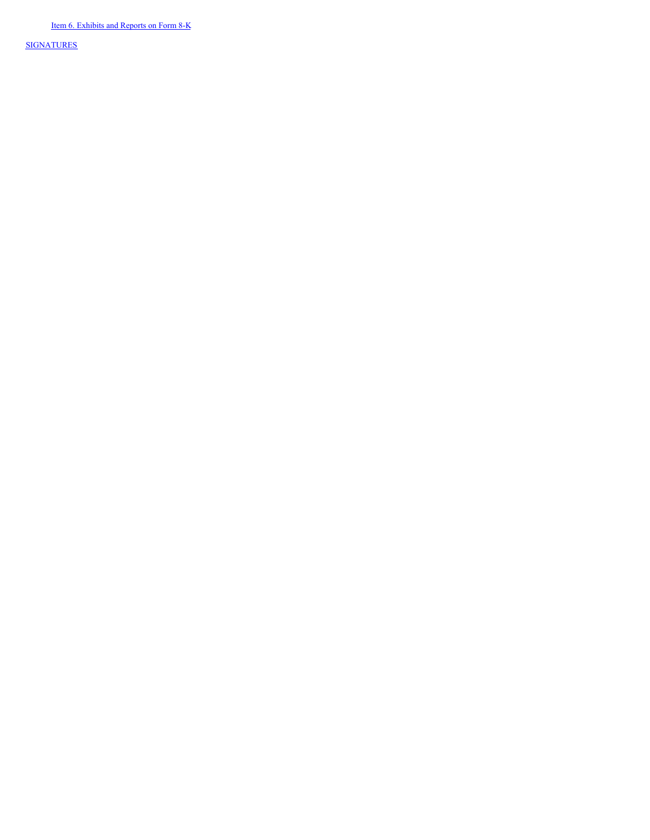Item 6. [Exhibits](#page-22-7) and Reports on Form 8-K

**[SIGNATURES](#page-23-0)**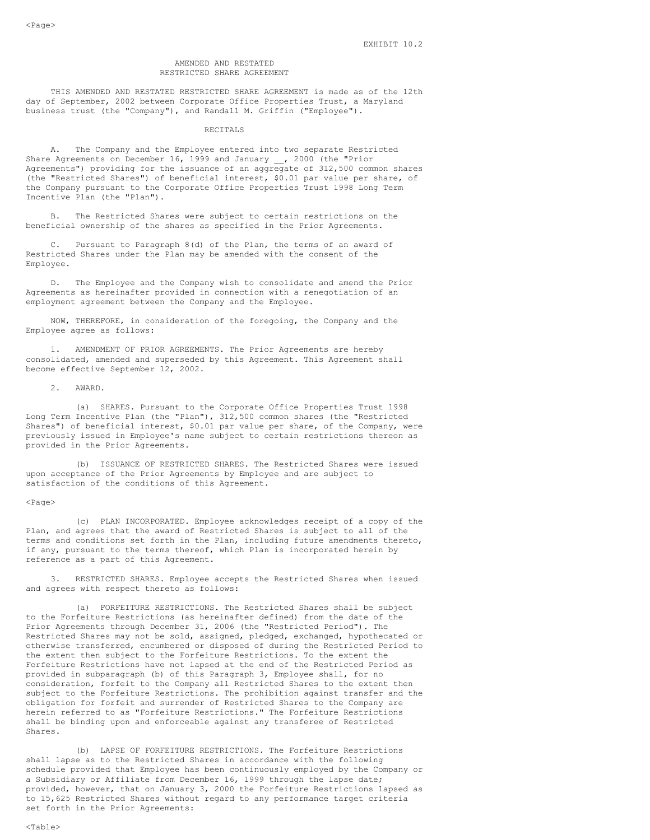### AMENDED AND RESTATED RESTRICTED SHARE AGREEMENT

THIS AMENDED AND RESTATED RESTRICTED SHARE AGREEMENT is made as of the 12th day of September, 2002 between Corporate Office Properties Trust, a Maryland business trust (the "Company"), and Randall M. Griffin ("Employee").

# RECITALS

A. The Company and the Employee entered into two separate Restricted Share Agreements on December 16, 1999 and January , 2000 (the "Prior Agreements") providing for the issuance of an aggregate of 312,500 common shares (the "Restricted Shares") of beneficial interest, \$0.01 par value per share, of the Company pursuant to the Corporate Office Properties Trust 1998 Long Term Incentive Plan (the "Plan").

B. The Restricted Shares were subject to certain restrictions on the beneficial ownership of the shares as specified in the Prior Agreements.

C. Pursuant to Paragraph 8(d) of the Plan, the terms of an award of Restricted Shares under the Plan may be amended with the consent of the Employee.

D. The Employee and the Company wish to consolidate and amend the Prior Agreements as hereinafter provided in connection with a renegotiation of an employment agreement between the Company and the Employee.

NOW, THEREFORE, in consideration of the foregoing, the Company and the Employee agree as follows:

1. AMENDMENT OF PRIOR AGREEMENTS. The Prior Agreements are hereby consolidated, amended and superseded by this Agreement. This Agreement shall become effective September 12, 2002.

### 2. AWARD.

(a) SHARES. Pursuant to the Corporate Office Properties Trust 1998 Long Term Incentive Plan (the "Plan"), 312,500 common shares (the "Restricted Shares") of beneficial interest, \$0.01 par value per share, of the Company, were previously issued in Employee's name subject to certain restrictions thereon as provided in the Prior Agreements.

(b) ISSUANCE OF RESTRICTED SHARES. The Restricted Shares were issued upon acceptance of the Prior Agreements by Employee and are subject to satisfaction of the conditions of this Agreement.

#### <Page>

(c) PLAN INCORPORATED. Employee acknowledges receipt of a copy of the Plan, and agrees that the award of Restricted Shares is subject to all of the terms and conditions set forth in the Plan, including future amendments thereto, if any, pursuant to the terms thereof, which Plan is incorporated herein by reference as a part of this Agreement.

3. RESTRICTED SHARES. Employee accepts the Restricted Shares when issued and agrees with respect thereto as follows:

(a) FORFEITURE RESTRICTIONS. The Restricted Shares shall be subject to the Forfeiture Restrictions (as hereinafter defined) from the date of the Prior Agreements through December 31, 2006 (the "Restricted Period"). The Restricted Shares may not be sold, assigned, pledged, exchanged, hypothecated or otherwise transferred, encumbered or disposed of during the Restricted Period to the extent then subject to the Forfeiture Restrictions. To the extent the Forfeiture Restrictions have not lapsed at the end of the Restricted Period as provided in subparagraph (b) of this Paragraph 3, Employee shall, for no consideration, forfeit to the Company all Restricted Shares to the extent then subject to the Forfeiture Restrictions. The prohibition against transfer and the obligation for forfeit and surrender of Restricted Shares to the Company are herein referred to as "Forfeiture Restrictions." The Forfeiture Restrictions shall be binding upon and enforceable against any transferee of Restricted Shares.

(b) LAPSE OF FORFEITURE RESTRICTIONS. The Forfeiture Restrictions shall lapse as to the Restricted Shares in accordance with the following schedule provided that Employee has been continuously employed by the Company or a Subsidiary or Affiliate from December 16, 1999 through the lapse date; provided, however, that on January 3, 2000 the Forfeiture Restrictions lapsed as to 15,625 Restricted Shares without regard to any performance target criteria set forth in the Prior Agreements: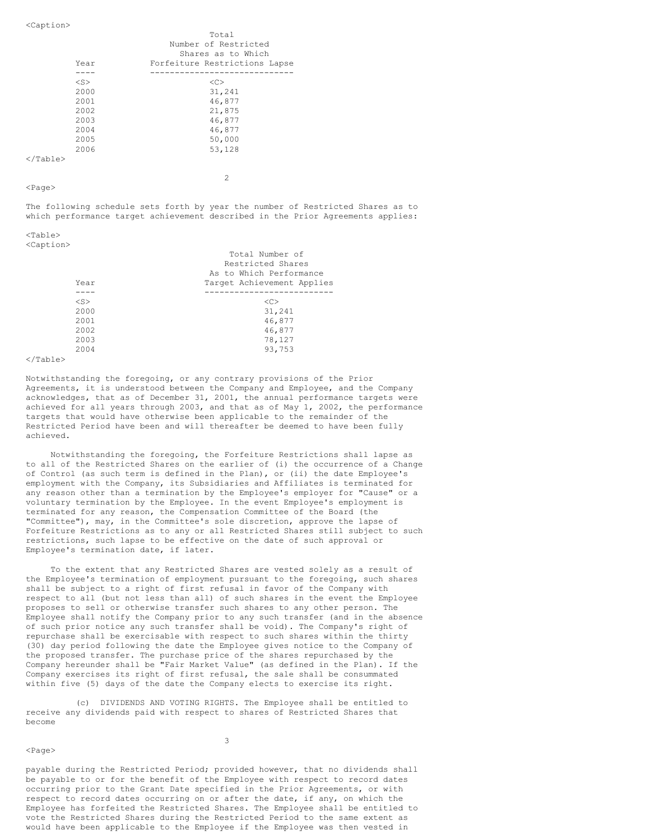|  |           | IULAI                         |
|--|-----------|-------------------------------|
|  |           | Number of Restricted          |
|  |           | Shares as to Which            |
|  | Year      | Forfeiture Restrictions Lapse |
|  |           |                               |
|  | $<$ S $>$ | <<                            |
|  | 2000      | 31,241                        |
|  | 2001      | 46,877                        |
|  | 2002      | 21,875                        |
|  | 2003      | 46,877                        |
|  | 2004      | 46,877                        |
|  | 2005      | 50,000                        |
|  | 2006      | 53,128                        |
|  |           |                               |

  |  ||  |  |  |
<Page>

The following schedule sets forth by year the number of Restricted Shares as to which performance target achievement described in the Prior Agreements applies:

2

 $m + 1$ 

<Table> <Caption>

| Restricted Shares          |
|----------------------------|
| As to Which Performance    |
| Target Achievement Applies |
|                            |
|                            |
|                            |
|                            |
|                            |
|                            |
|                            |
|                            |

#### $\langle$ Table $\rangle$

Notwithstanding the foregoing, or any contrary provisions of the Prior Agreements, it is understood between the Company and Employee, and the Company acknowledges, that as of December 31, 2001, the annual performance targets were achieved for all years through 2003, and that as of May 1, 2002, the performance targets that would have otherwise been applicable to the remainder of the Restricted Period have been and will thereafter be deemed to have been fully achieved.

Notwithstanding the foregoing, the Forfeiture Restrictions shall lapse as to all of the Restricted Shares on the earlier of (i) the occurrence of a Change of Control (as such term is defined in the Plan), or (ii) the date Employee's employment with the Company, its Subsidiaries and Affiliates is terminated for any reason other than a termination by the Employee's employer for "Cause" or a voluntary termination by the Employee. In the event Employee's employment is terminated for any reason, the Compensation Committee of the Board (the "Committee"), may, in the Committee's sole discretion, approve the lapse of Forfeiture Restrictions as to any or all Restricted Shares still subject to such restrictions, such lapse to be effective on the date of such approval or Employee's termination date, if later.

To the extent that any Restricted Shares are vested solely as a result of the Employee's termination of employment pursuant to the foregoing, such shares shall be subject to a right of first refusal in favor of the Company with respect to all (but not less than all) of such shares in the event the Employee proposes to sell or otherwise transfer such shares to any other person. The Employee shall notify the Company prior to any such transfer (and in the absence of such prior notice any such transfer shall be void). The Company's right of repurchase shall be exercisable with respect to such shares within the thirty (30) day period following the date the Employee gives notice to the Company of the proposed transfer. The purchase price of the shares repurchased by the Company hereunder shall be "Fair Market Value" (as defined in the Plan). If the Company exercises its right of first refusal, the sale shall be consummated within five (5) days of the date the Company elects to exercise its right.

(c) DIVIDENDS AND VOTING RIGHTS. The Employee shall be entitled to receive any dividends paid with respect to shares of Restricted Shares that become

### <Page>

3

payable during the Restricted Period; provided however, that no dividends shall be payable to or for the benefit of the Employee with respect to record dates occurring prior to the Grant Date specified in the Prior Agreements, or with respect to record dates occurring on or after the date, if any, on which the Employee has forfeited the Restricted Shares. The Employee shall be entitled to vote the Restricted Shares during the Restricted Period to the same extent as would have been applicable to the Employee if the Employee was then vested in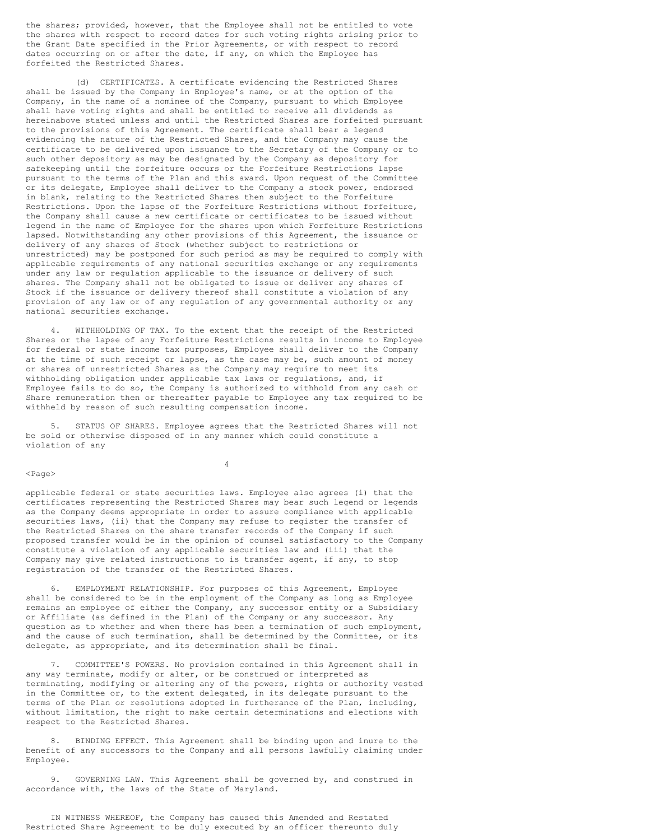the shares; provided, however, that the Employee shall not be entitled to vote the shares with respect to record dates for such voting rights arising prior to the Grant Date specified in the Prior Agreements, or with respect to record dates occurring on or after the date, if any, on which the Employee has forfeited the Restricted Shares.

(d) CERTIFICATES. A certificate evidencing the Restricted Shares shall be issued by the Company in Employee's name, or at the option of the Company, in the name of a nominee of the Company, pursuant to which Employee shall have voting rights and shall be entitled to receive all dividends as hereinabove stated unless and until the Restricted Shares are forfeited pursuant to the provisions of this Agreement. The certificate shall bear a legend evidencing the nature of the Restricted Shares, and the Company may cause the certificate to be delivered upon issuance to the Secretary of the Company or to such other depository as may be designated by the Company as depository for safekeeping until the forfeiture occurs or the Forfeiture Restrictions lapse pursuant to the terms of the Plan and this award. Upon request of the Committee or its delegate, Employee shall deliver to the Company a stock power, endorsed in blank, relating to the Restricted Shares then subject to the Forfeiture Restrictions. Upon the lapse of the Forfeiture Restrictions without forfeiture, the Company shall cause a new certificate or certificates to be issued without legend in the name of Employee for the shares upon which Forfeiture Restrictions lapsed. Notwithstanding any other provisions of this Agreement, the issuance or delivery of any shares of Stock (whether subject to restrictions or unrestricted) may be postponed for such period as may be required to comply with applicable requirements of any national securities exchange or any requirements under any law or regulation applicable to the issuance or delivery of such shares. The Company shall not be obligated to issue or deliver any shares of Stock if the issuance or delivery thereof shall constitute a violation of any provision of any law or of any regulation of any governmental authority or any national securities exchange.

4. WITHHOLDING OF TAX. To the extent that the receipt of the Restricted Shares or the lapse of any Forfeiture Restrictions results in income to Employee for federal or state income tax purposes, Employee shall deliver to the Company at the time of such receipt or lapse, as the case may be, such amount of money or shares of unrestricted Shares as the Company may require to meet its withholding obligation under applicable tax laws or regulations, and, if Employee fails to do so, the Company is authorized to withhold from any cash or Share remuneration then or thereafter payable to Employee any tax required to be withheld by reason of such resulting compensation income.

5. STATUS OF SHARES. Employee agrees that the Restricted Shares will not be sold or otherwise disposed of in any manner which could constitute a violation of any

4

#### $<$ Page $>$

applicable federal or state securities laws. Employee also agrees (i) that the certificates representing the Restricted Shares may bear such legend or legends as the Company deems appropriate in order to assure compliance with applicable securities laws, (ii) that the Company may refuse to register the transfer of the Restricted Shares on the share transfer records of the Company if such proposed transfer would be in the opinion of counsel satisfactory to the Company constitute a violation of any applicable securities law and (iii) that the Company may give related instructions to is transfer agent, if any, to stop registration of the transfer of the Restricted Shares.

6. EMPLOYMENT RELATIONSHIP. For purposes of this Agreement, Employee shall be considered to be in the employment of the Company as long as Employee remains an employee of either the Company, any successor entity or a Subsidiary or Affiliate (as defined in the Plan) of the Company or any successor. Any question as to whether and when there has been a termination of such employment, and the cause of such termination, shall be determined by the Committee, or its delegate, as appropriate, and its determination shall be final.

7. COMMITTEE'S POWERS. No provision contained in this Agreement shall in any way terminate, modify or alter, or be construed or interpreted as terminating, modifying or altering any of the powers, rights or authority vested in the Committee or, to the extent delegated, in its delegate pursuant to the terms of the Plan or resolutions adopted in furtherance of the Plan, including, without limitation, the right to make certain determinations and elections with respect to the Restricted Shares.

8. BINDING EFFECT. This Agreement shall be binding upon and inure to the benefit of any successors to the Company and all persons lawfully claiming under Employee.

9. GOVERNING LAW. This Agreement shall be governed by, and construed in accordance with, the laws of the State of Maryland.

IN WITNESS WHEREOF, the Company has caused this Amended and Restated Restricted Share Agreement to be duly executed by an officer thereunto duly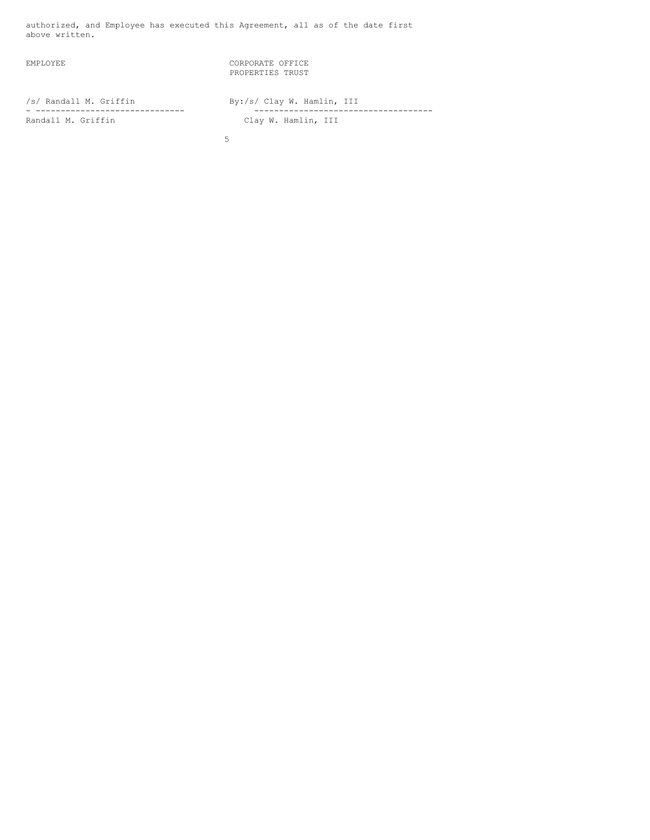authorized, and Employee has executed this Agreement, all as of the date first above written.

EMPLOYEE CORPORATE OFFICE PROPERTIES TRUST

/s/ Randall M. Griffin By:/s/ Clay W. Hamlin, III

- ------------------------------ ------------------------------------ Clay W. Hamlin, III

5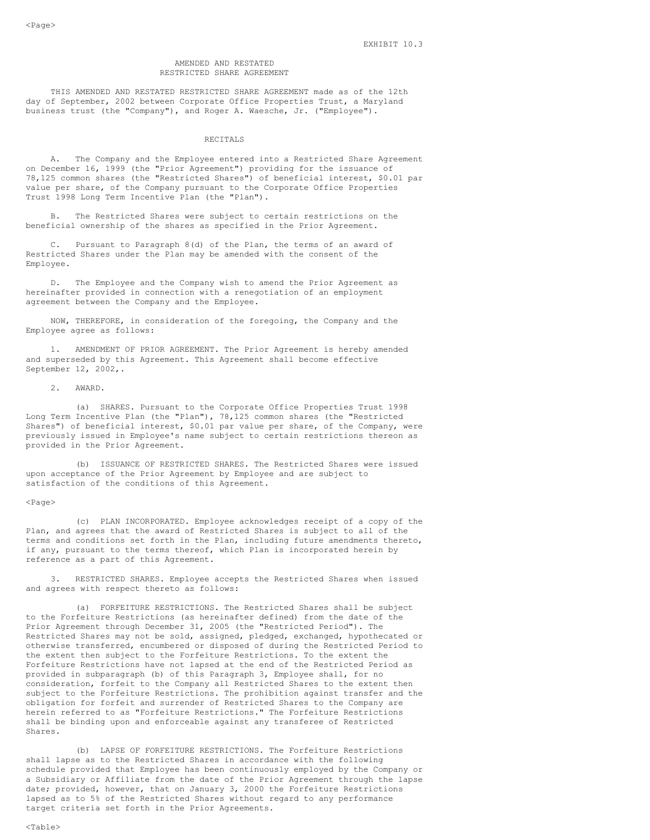### AMENDED AND RESTATED RESTRICTED SHARE AGREEMENT

THIS AMENDED AND RESTATED RESTRICTED SHARE AGREEMENT made as of the 12th day of September, 2002 between Corporate Office Properties Trust, a Maryland business trust (the "Company"), and Roger A. Waesche, Jr. ("Employee").

#### RECITALS

A. The Company and the Employee entered into a Restricted Share Agreement on December 16, 1999 (the "Prior Agreement") providing for the issuance of 78,125 common shares (the "Restricted Shares") of beneficial interest, \$0.01 par value per share, of the Company pursuant to the Corporate Office Properties Trust 1998 Long Term Incentive Plan (the "Plan").

B. The Restricted Shares were subject to certain restrictions on the beneficial ownership of the shares as specified in the Prior Agreement.

C. Pursuant to Paragraph 8(d) of the Plan, the terms of an award of Restricted Shares under the Plan may be amended with the consent of the Employee.

D. The Employee and the Company wish to amend the Prior Agreement as hereinafter provided in connection with a renegotiation of an employment agreement between the Company and the Employee.

NOW, THEREFORE, in consideration of the foregoing, the Company and the Employee agree as follows:

1. AMENDMENT OF PRIOR AGREEMENT. The Prior Agreement is hereby amended and superseded by this Agreement. This Agreement shall become effective September 12, 2002,.

# 2. AWARD.

(a) SHARES. Pursuant to the Corporate Office Properties Trust 1998 Long Term Incentive Plan (the "Plan"), 78,125 common shares (the "Restricted Shares") of beneficial interest, \$0.01 par value per share, of the Company, were previously issued in Employee's name subject to certain restrictions thereon as provided in the Prior Agreement.

(b) ISSUANCE OF RESTRICTED SHARES. The Restricted Shares were issued upon acceptance of the Prior Agreement by Employee and are subject to satisfaction of the conditions of this Agreement.

#### <Page>

(c) PLAN INCORPORATED. Employee acknowledges receipt of a copy of the Plan, and agrees that the award of Restricted Shares is subject to all of the terms and conditions set forth in the Plan, including future amendments thereto, if any, pursuant to the terms thereof, which Plan is incorporated herein by reference as a part of this Agreement.

3. RESTRICTED SHARES. Employee accepts the Restricted Shares when issued and agrees with respect thereto as follows:

(a) FORFEITURE RESTRICTIONS. The Restricted Shares shall be subject to the Forfeiture Restrictions (as hereinafter defined) from the date of the Prior Agreement through December 31, 2005 (the "Restricted Period"). The Restricted Shares may not be sold, assigned, pledged, exchanged, hypothecated or otherwise transferred, encumbered or disposed of during the Restricted Period to the extent then subject to the Forfeiture Restrictions. To the extent the Forfeiture Restrictions have not lapsed at the end of the Restricted Period as provided in subparagraph (b) of this Paragraph 3, Employee shall, for no consideration, forfeit to the Company all Restricted Shares to the extent then subject to the Forfeiture Restrictions. The prohibition against transfer and the obligation for forfeit and surrender of Restricted Shares to the Company are herein referred to as "Forfeiture Restrictions." The Forfeiture Restrictions shall be binding upon and enforceable against any transferee of Restricted Shares.

(b) LAPSE OF FORFEITURE RESTRICTIONS. The Forfeiture Restrictions shall lapse as to the Restricted Shares in accordance with the following schedule provided that Employee has been continuously employed by the Company or a Subsidiary or Affiliate from the date of the Prior Agreement through the lapse date; provided, however, that on January 3, 2000 the Forfeiture Restrictions lapsed as to 5% of the Restricted Shares without regard to any performance target criteria set forth in the Prior Agreements.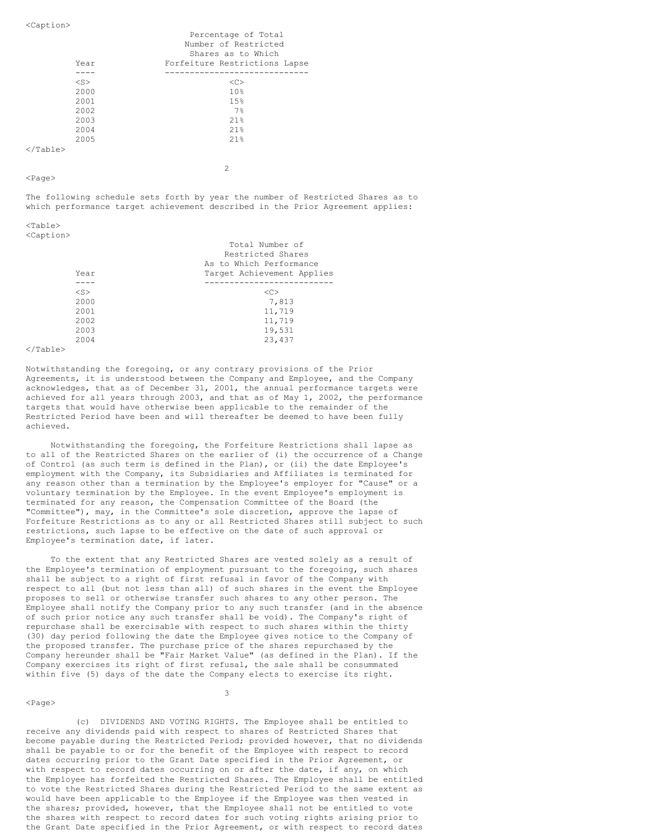<Caption>

|  | Year      | Percentage of Total<br>Number of Restricted<br>Shares as to Which<br>Forfeiture Restrictions Lapse |
|--|-----------|----------------------------------------------------------------------------------------------------|
|  |           |                                                                                                    |
|  |           |                                                                                                    |
|  | $<$ S $>$ | < <sub></sub>                                                                                      |
|  | 2000      | 10 <sup>°</sup>                                                                                    |
|  | 2001      | 15%                                                                                                |
|  | 2002      | 7%                                                                                                 |
|  | 2003      | 21%                                                                                                |
|  | 2004      | 21%                                                                                                |
|  | 2005      | 21%                                                                                                |
|  |           |                                                                                                    |

  |  ||  |  | っ |
|  |  |  |
#### $<$ Page $>$

The following schedule sets forth by year the number of Restricted Shares as to which performance target achievement described in the Prior Agreement applies:

 $<$ Table $>$ <Caption>

| Year   | Total Number of<br>Restricted Shares<br>As to Which Performance<br>Target Achievement Applies |
|--------|-----------------------------------------------------------------------------------------------|
|        |                                                                                               |
|        |                                                                                               |
| $<$ S> | < <sub></sub>                                                                                 |
| 2000   | 7,813                                                                                         |
| 2001   | 11,719                                                                                        |
| 2002   | 11,719                                                                                        |
| 2003   | 19,531                                                                                        |
| 2004   | 23,437                                                                                        |

</Table>

Notwithstanding the foregoing, or any contrary provisions of the Prior Agreements, it is understood between the Company and Employee, and the Company acknowledges, that as of December 31, 2001, the annual performance targets were achieved for all years through 2003, and that as of May 1, 2002, the performance targets that would have otherwise been applicable to the remainder of the Restricted Period have been and will thereafter be deemed to have been fully achieved.

Notwithstanding the foregoing, the Forfeiture Restrictions shall lapse as to all of the Restricted Shares on the earlier of (i) the occurrence of a Change of Control (as such term is defined in the Plan), or (ii) the date Employee's employment with the Company, its Subsidiaries and Affiliates is terminated for any reason other than a termination by the Employee's employer for "Cause" or a voluntary termination by the Employee. In the event Employee's employment is terminated for any reason, the Compensation Committee of the Board (the "Committee"), may, in the Committee's sole discretion, approve the lapse of Forfeiture Restrictions as to any or all Restricted Shares still subject to such restrictions, such lapse to be effective on the date of such approval or Employee's termination date, if later.

To the extent that any Restricted Shares are vested solely as a result of the Employee's termination of employment pursuant to the foregoing, such shares shall be subject to a right of first refusal in favor of the Company with respect to all (but not less than all) of such shares in the event the Employee proposes to sell or otherwise transfer such shares to any other person. The Employee shall notify the Company prior to any such transfer (and in the absence of such prior notice any such transfer shall be void). The Company's right of repurchase shall be exercisable with respect to such shares within the thirty (30) day period following the date the Employee gives notice to the Company of the proposed transfer. The purchase price of the shares repurchased by the Company hereunder shall be "Fair Market Value" (as defined in the Plan). If the Company exercises its right of first refusal, the sale shall be consummated within five (5) days of the date the Company elects to exercise its right.

3

<Page>

(c) DIVIDENDS AND VOTING RIGHTS. The Employee shall be entitled to receive any dividends paid with respect to shares of Restricted Shares that become payable during the Restricted Period; provided however, that no dividends shall be payable to or for the benefit of the Employee with respect to record dates occurring prior to the Grant Date specified in the Prior Agreement, or with respect to record dates occurring on or after the date, if any, on which the Employee has forfeited the Restricted Shares. The Employee shall be entitled to vote the Restricted Shares during the Restricted Period to the same extent as would have been applicable to the Employee if the Employee was then vested in the shares; provided, however, that the Employee shall not be entitled to vote the shares with respect to record dates for such voting rights arising prior to the Grant Date specified in the Prior Agreement, or with respect to record dates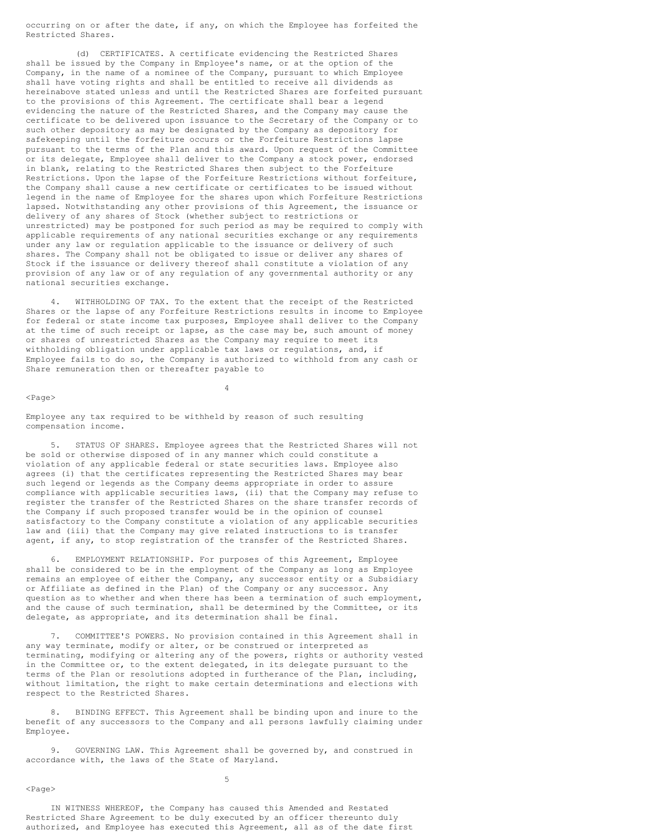occurring on or after the date, if any, on which the Employee has forfeited the Restricted Shares.

(d) CERTIFICATES. A certificate evidencing the Restricted Shares shall be issued by the Company in Employee's name, or at the option of the Company, in the name of a nominee of the Company, pursuant to which Employee shall have voting rights and shall be entitled to receive all dividends as hereinabove stated unless and until the Restricted Shares are forfeited pursuant to the provisions of this Agreement. The certificate shall bear a legend evidencing the nature of the Restricted Shares, and the Company may cause the certificate to be delivered upon issuance to the Secretary of the Company or to such other depository as may be designated by the Company as depository for safekeeping until the forfeiture occurs or the Forfeiture Restrictions lapse pursuant to the terms of the Plan and this award. Upon request of the Committee or its delegate, Employee shall deliver to the Company a stock power, endorsed in blank, relating to the Restricted Shares then subject to the Forfeiture Restrictions. Upon the lapse of the Forfeiture Restrictions without forfeiture, the Company shall cause a new certificate or certificates to be issued without legend in the name of Employee for the shares upon which Forfeiture Restrictions lapsed. Notwithstanding any other provisions of this Agreement, the issuance or delivery of any shares of Stock (whether subject to restrictions or unrestricted) may be postponed for such period as may be required to comply with applicable requirements of any national securities exchange or any requirements under any law or regulation applicable to the issuance or delivery of such shares. The Company shall not be obligated to issue or deliver any shares of Stock if the issuance or delivery thereof shall constitute a violation of any provision of any law or of any regulation of any governmental authority or any national securities exchange.

4. WITHHOLDING OF TAX. To the extent that the receipt of the Restricted Shares or the lapse of any Forfeiture Restrictions results in income to Employee for federal or state income tax purposes, Employee shall deliver to the Company at the time of such receipt or lapse, as the case may be, such amount of money or shares of unrestricted Shares as the Company may require to meet its withholding obligation under applicable tax laws or regulations, and, if Employee fails to do so, the Company is authorized to withhold from any cash or Share remuneration then or thereafter payable to

<Page>

4

Employee any tax required to be withheld by reason of such resulting compensation income.

5. STATUS OF SHARES. Employee agrees that the Restricted Shares will not be sold or otherwise disposed of in any manner which could constitute a violation of any applicable federal or state securities laws. Employee also agrees (i) that the certificates representing the Restricted Shares may bear such legend or legends as the Company deems appropriate in order to assure compliance with applicable securities laws, (ii) that the Company may refuse to register the transfer of the Restricted Shares on the share transfer records of the Company if such proposed transfer would be in the opinion of counsel satisfactory to the Company constitute a violation of any applicable securities law and (iii) that the Company may give related instructions to is transfer agent, if any, to stop registration of the transfer of the Restricted Shares.

EMPLOYMENT RELATIONSHIP. For purposes of this Agreement, Employee shall be considered to be in the employment of the Company as long as Employee remains an employee of either the Company, any successor entity or a Subsidiary or Affiliate as defined in the Plan) of the Company or any successor. Any question as to whether and when there has been a termination of such employment, and the cause of such termination, shall be determined by the Committee, or its delegate, as appropriate, and its determination shall be final.

7. COMMITTEE'S POWERS. No provision contained in this Agreement shall in any way terminate, modify or alter, or be construed or interpreted as terminating, modifying or altering any of the powers, rights or authority vested in the Committee or, to the extent delegated, in its delegate pursuant to the terms of the Plan or resolutions adopted in furtherance of the Plan, including, without limitation, the right to make certain determinations and elections with respect to the Restricted Shares.

8. BINDING EFFECT. This Agreement shall be binding upon and inure to the benefit of any successors to the Company and all persons lawfully claiming under Employee.

9. GOVERNING LAW. This Agreement shall be governed by, and construed in accordance with, the laws of the State of Maryland.

5

<Page>

IN WITNESS WHEREOF, the Company has caused this Amended and Restated Restricted Share Agreement to be duly executed by an officer thereunto duly authorized, and Employee has executed this Agreement, all as of the date first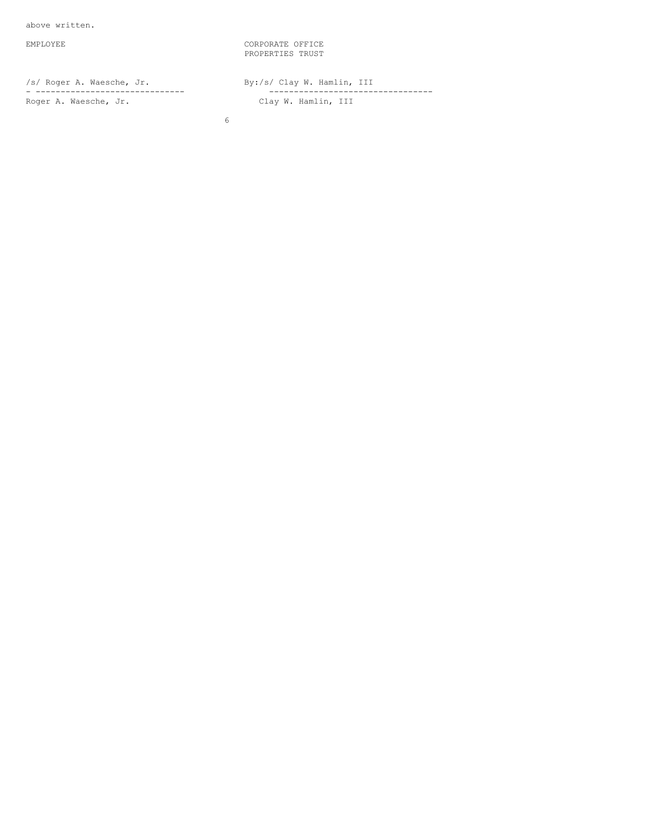above written.

EMPLOYEE CORPORATE OFFICE PROPERTIES TRUST

Roger A. Waesche, Jr.

/s/ Roger A. Waesche, Jr. By:/s/ Clay W. Hamlin, III - ------------------------------ ---------------------------------

6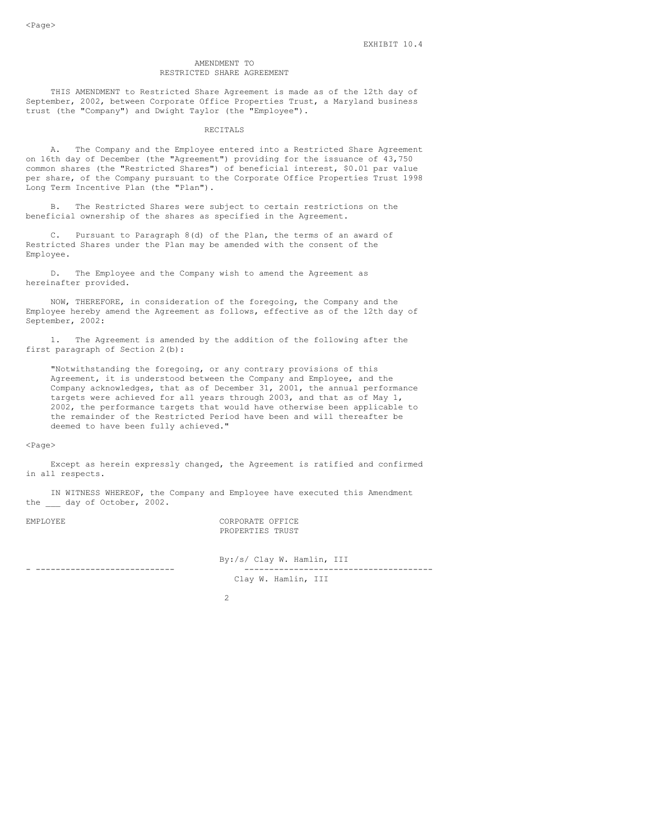# AMENDMENT TO RESTRICTED SHARE AGREEMENT

THIS AMENDMENT to Restricted Share Agreement is made as of the 12th day of September, 2002, between Corporate Office Properties Trust, a Maryland business trust (the "Company") and Dwight Taylor (the "Employee").

# RECITALS

A. The Company and the Employee entered into a Restricted Share Agreement on 16th day of December (the "Agreement") providing for the issuance of 43,750 common shares (the "Restricted Shares") of beneficial interest, \$0.01 par value per share, of the Company pursuant to the Corporate Office Properties Trust 1998 Long Term Incentive Plan (the "Plan").

B. The Restricted Shares were subject to certain restrictions on the beneficial ownership of the shares as specified in the Agreement.

C. Pursuant to Paragraph 8(d) of the Plan, the terms of an award of Restricted Shares under the Plan may be amended with the consent of the Employee.

D. The Employee and the Company wish to amend the Agreement as hereinafter provided.

NOW, THEREFORE, in consideration of the foregoing, the Company and the Employee hereby amend the Agreement as follows, effective as of the 12th day of September, 2002:

1. The Agreement is amended by the addition of the following after the first paragraph of Section 2(b):

"Notwithstanding the foregoing, or any contrary provisions of this Agreement, it is understood between the Company and Employee, and the Company acknowledges, that as of December 31, 2001, the annual performance targets were achieved for all years through 2003, and that as of May 1, 2002, the performance targets that would have otherwise been applicable to the remainder of the Restricted Period have been and will thereafter be deemed to have been fully achieved."

#### <Page>

Except as herein expressly changed, the Agreement is ratified and confirmed in all respects.

IN WITNESS WHEREOF, the Company and Employee have executed this Amendment the \_\_\_ day of October, 2002.

| EMPLOYEE | CORPORATE OFFICE<br>PROPERTIES TRUST |
|----------|--------------------------------------|
|          | By:/s/ Clay W. Hamlin, III           |
|          | Clay W. Hamlin, III                  |

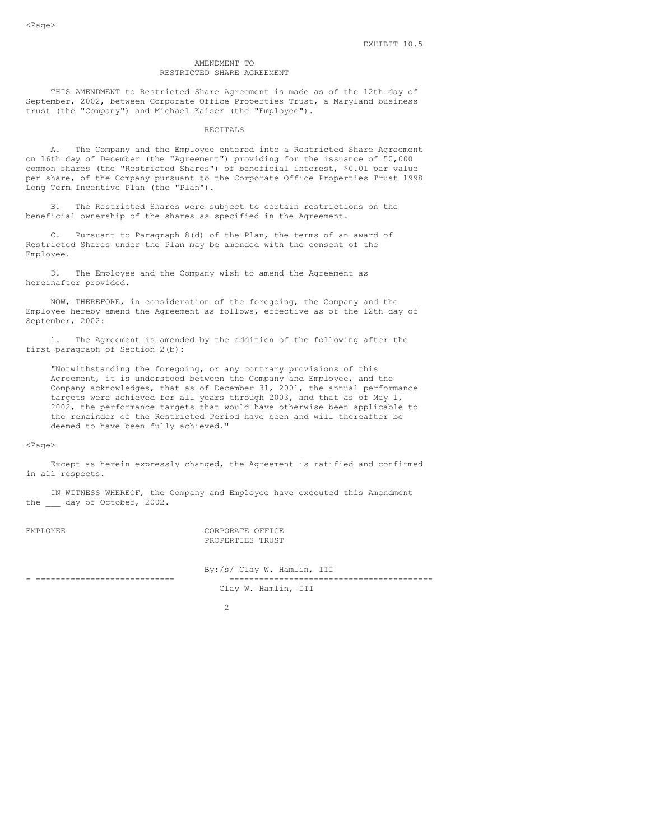# AMENDMENT TO RESTRICTED SHARE AGREEMENT

THIS AMENDMENT to Restricted Share Agreement is made as of the 12th day of September, 2002, between Corporate Office Properties Trust, a Maryland business trust (the "Company") and Michael Kaiser (the "Employee").

# RECITALS

A. The Company and the Employee entered into a Restricted Share Agreement on 16th day of December (the "Agreement") providing for the issuance of 50,000 common shares (the "Restricted Shares") of beneficial interest, \$0.01 par value per share, of the Company pursuant to the Corporate Office Properties Trust 1998 Long Term Incentive Plan (the "Plan").

B. The Restricted Shares were subject to certain restrictions on the beneficial ownership of the shares as specified in the Agreement.

C. Pursuant to Paragraph 8(d) of the Plan, the terms of an award of Restricted Shares under the Plan may be amended with the consent of the Employee.

D. The Employee and the Company wish to amend the Agreement as hereinafter provided.

NOW, THEREFORE, in consideration of the foregoing, the Company and the Employee hereby amend the Agreement as follows, effective as of the 12th day of September, 2002:

1. The Agreement is amended by the addition of the following after the first paragraph of Section 2(b):

"Notwithstanding the foregoing, or any contrary provisions of this Agreement, it is understood between the Company and Employee, and the Company acknowledges, that as of December 31, 2001, the annual performance targets were achieved for all years through 2003, and that as of May 1, 2002, the performance targets that would have otherwise been applicable to the remainder of the Restricted Period have been and will thereafter be deemed to have been fully achieved."

#### <Page>

Except as herein expressly changed, the Agreement is ratified and confirmed in all respects.

IN WITNESS WHEREOF, the Company and Employee have executed this Amendment the \_\_\_ day of October, 2002.

| EMPLOYEE | CORPORATE OFFICE<br>PROPERTIES TRUST |
|----------|--------------------------------------|
|          | By:/s/ Clay W. Hamlin, III           |
|          | Clay W. Hamlin, III                  |

2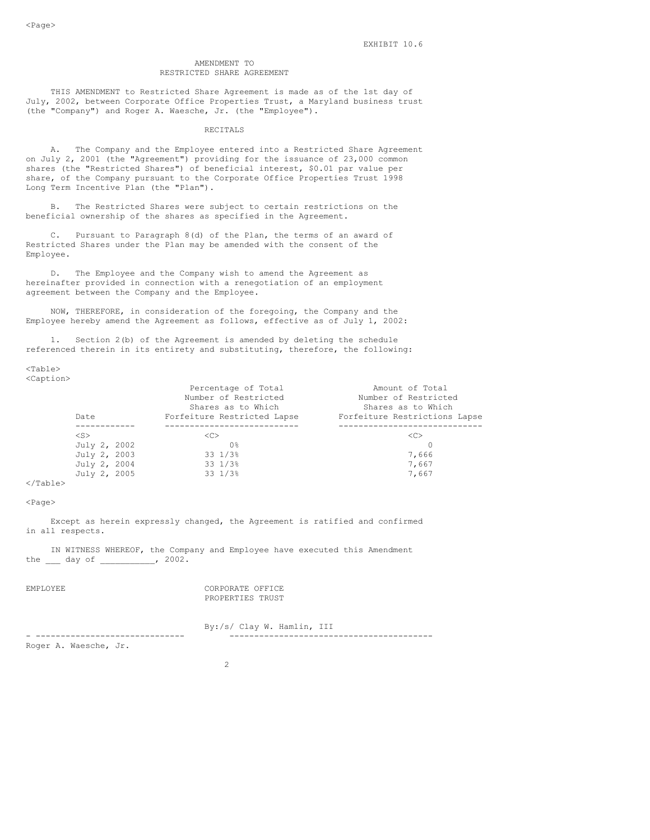# AMENDMENT TO RESTRICTED SHARE AGREEMENT

THIS AMENDMENT to Restricted Share Agreement is made as of the 1st day of July, 2002, between Corporate Office Properties Trust, a Maryland business trust (the "Company") and Roger A. Waesche, Jr. (the "Employee").

# RECITALS

A. The Company and the Employee entered into a Restricted Share Agreement on July 2, 2001 (the "Agreement") providing for the issuance of 23,000 common shares (the "Restricted Shares") of beneficial interest, \$0.01 par value per share, of the Company pursuant to the Corporate Office Properties Trust 1998 Long Term Incentive Plan (the "Plan").

B. The Restricted Shares were subject to certain restrictions on the beneficial ownership of the shares as specified in the Agreement.

C. Pursuant to Paragraph 8(d) of the Plan, the terms of an award of Restricted Shares under the Plan may be amended with the consent of the Employee.

D. The Employee and the Company wish to amend the Agreement as hereinafter provided in connection with a renegotiation of an employment agreement between the Company and the Employee.

NOW, THEREFORE, in consideration of the foregoing, the Company and the Employee hereby amend the Agreement as follows, effective as of July 1, 2002:

1. Section 2(b) of the Agreement is amended by deleting the schedule referenced therein in its entirety and substituting, therefore, the following:

<Table> <Caption>

|              | Percentage of Total         | Amount of Total               |
|--------------|-----------------------------|-------------------------------|
|              | Number of Restricted        | Number of Restricted          |
|              | Shares as to Which          | Shares as to Which            |
| Date         | Forfeiture Restricted Lapse | Forfeiture Restrictions Lapse |
|              |                             |                               |
| $<$ S $>$    | <<                          | < <sub></sub>                 |
| July 2, 2002 | 0%                          |                               |
| July 2, 2003 | $33 \frac{1}{38}$           | 7,666                         |
| July 2, 2004 | $33 \frac{1}{3}$            | 7,667                         |
| July 2, 2005 | 33 1/3%                     | 7,667                         |

</Table>

 $<$ Page $>$ 

Except as herein expressly changed, the Agreement is ratified and confirmed in all respects.

IN WITNESS WHEREOF, the Company and Employee have executed this Amendment the <u>same day of successes</u>, 2002.

EMPLOYEE CORPORATE OFFICE PROPERTIES TRUST

By:/s/ Clay W. Hamlin, III

- ------------------------------ ----------------------------------------- Roger A. Waesche, Jr.

 $\overline{2}$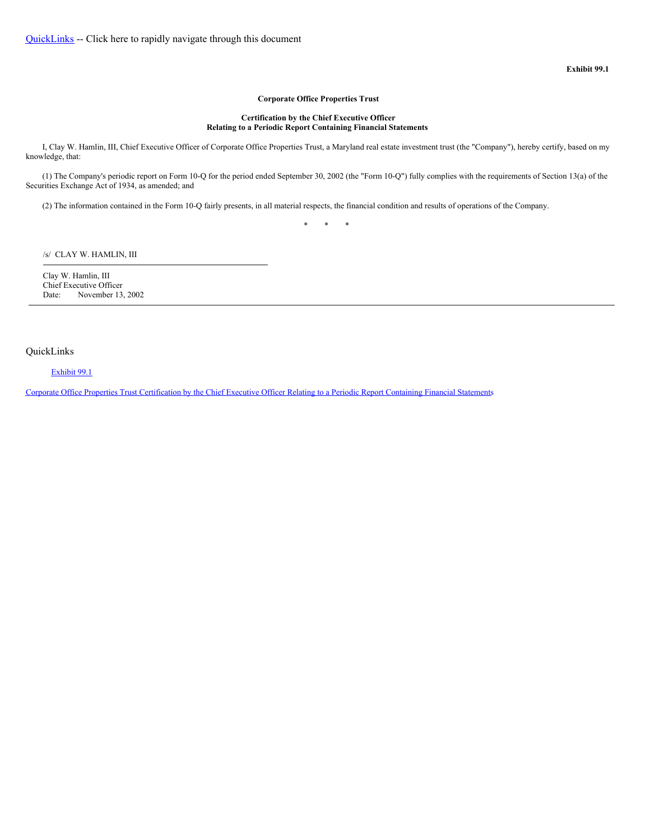<span id="page-37-1"></span>**Exhibit 99.1**

# <span id="page-37-2"></span>**Corporate Office Properties Trust**

# **Certification by the Chief Executive Officer Relating to a Periodic Report Containing Financial Statements**

I, Clay W. Hamlin, III, Chief Executive Officer of Corporate Office Properties Trust, a Maryland real estate investment trust (the "Company"), hereby certify, based on my knowledge, that:

(1) The Company's periodic report on Form 10-Q for the period ended September 30, 2002 (the "Form 10-Q") fully complies with the requirements of Section 13(a) of the Securities Exchange Act of 1934, as amended; and

(2) The information contained in the Form 10-Q fairly presents, in all material respects, the financial condition and results of operations of the Company.

\* \* \*

/s/ CLAY W. HAMLIN, III

Clay W. Hamlin, III Chief Executive Officer Date: November 13, 2002

<span id="page-37-0"></span>QuickLinks

[Exhibit](#page-37-1) 99.1

Corporate Office Properties Trust [Certification](#page-37-2) by the Chief Executive Officer Relating to a Periodic Report Containing Financial Statements